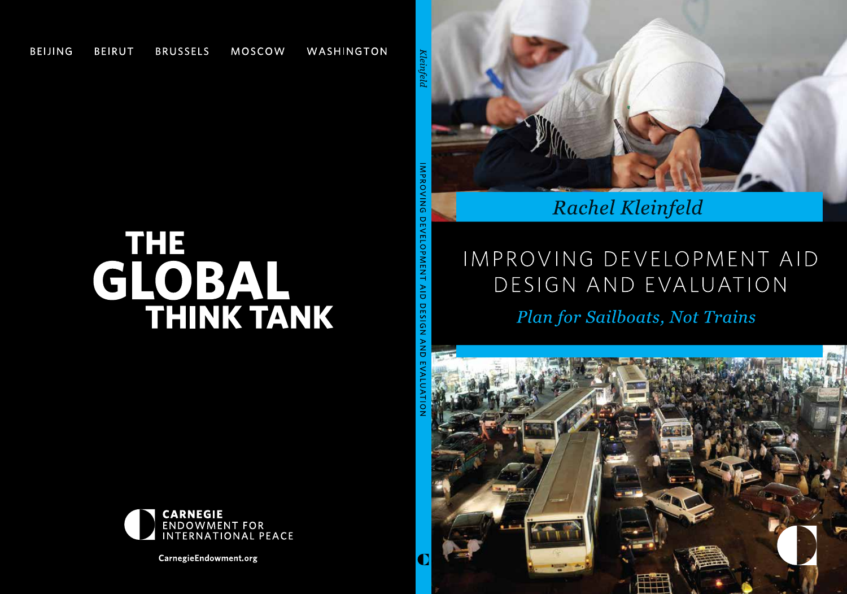

### Rachel Kleinfeld

# IMPROVING DEVELOPMENT AID DESIGN AND EVALUATION

### Plan for Sailboats, Not Trains

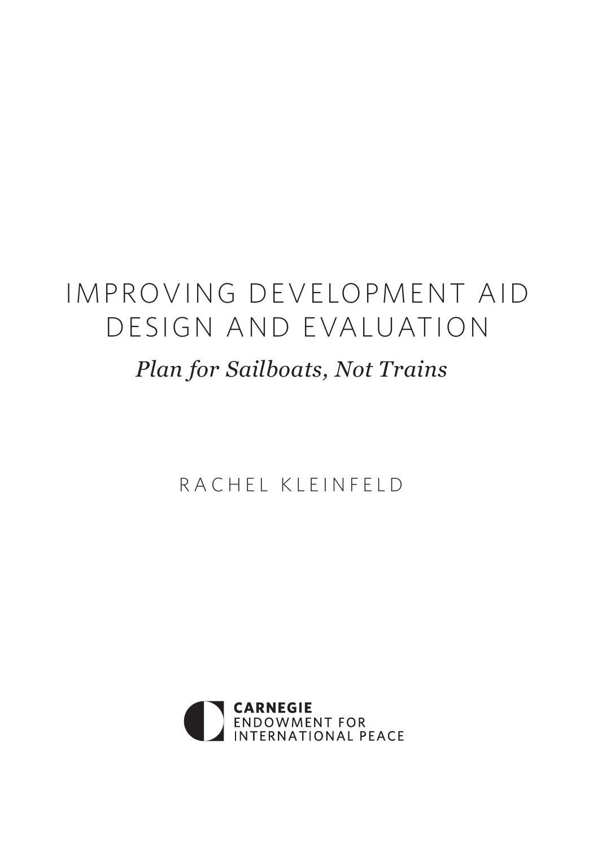## IMPROVING DEVELOPMENT AID DESIGN AND EVALUATION

### *Plan for Sailboats, Not Trains*

RACHEL KLEINFELD

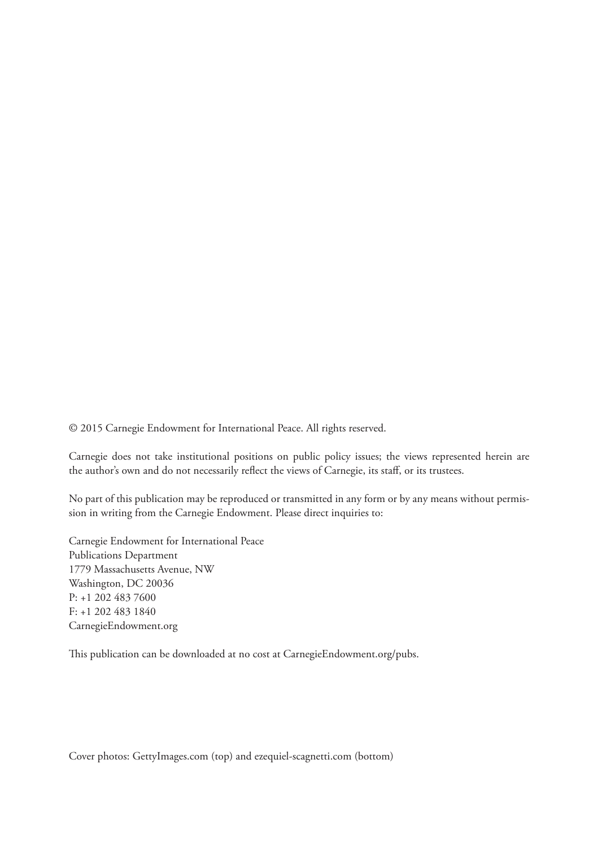© 2015 Carnegie Endowment for International Peace. All rights reserved.

Carnegie does not take institutional positions on public policy issues; the views represented herein are the author's own and do not necessarily reflect the views of Carnegie, its staff, or its trustees.

No part of this publication may be reproduced or transmitted in any form or by any means without permission in writing from the Carnegie Endowment. Please direct inquiries to:

Carnegie Endowment for International Peace Publications Department 1779 Massachusetts Avenue, NW Washington, DC 20036 P: +1 202 483 7600 F: +1 202 483 1840 CarnegieEndowment.org

This publication can be downloaded at no cost at CarnegieEndowment.org/pubs.

Cover photos: GettyImages.com (top) and ezequiel-scagnetti.com (bottom)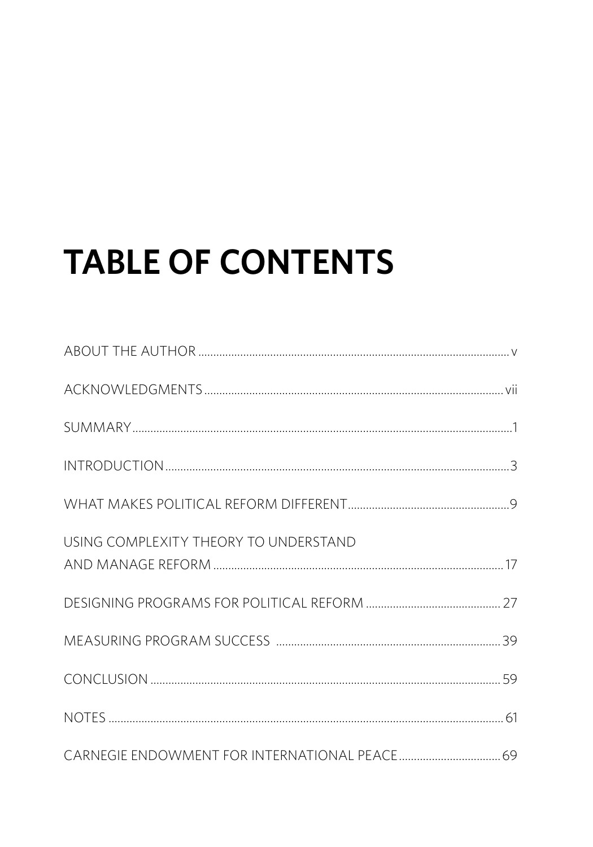# **TABLE OF CONTENTS**

| USING COMPLEXITY THEORY TO UNDERSTAND |  |
|---------------------------------------|--|
|                                       |  |
|                                       |  |
|                                       |  |
|                                       |  |
|                                       |  |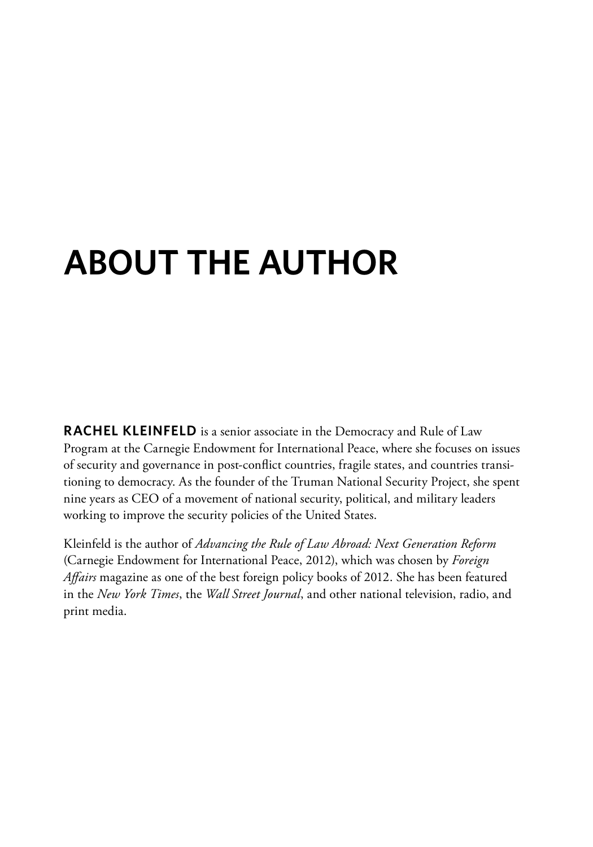# **About the Author**

**RACHEL KLEINFELD** is a senior associate in the Democracy and Rule of Law Program at the Carnegie Endowment for International Peace, where she focuses on issues of security and governance in post-conflict countries, fragile states, and countries transitioning to democracy. As the founder of the Truman National Security Project, she spent nine years as CEO of a movement of national security, political, and military leaders working to improve the security policies of the United States.

Kleinfeld is the author of *Advancing the Rule of Law Abroad: Next Generation Reform* (Carnegie Endowment for International Peace, 2012), which was chosen by *Foreign Affairs* magazine as one of the best foreign policy books of 2012. She has been featured in the *New York Times*, the *Wall Street Journal*, and other national television, radio, and print media.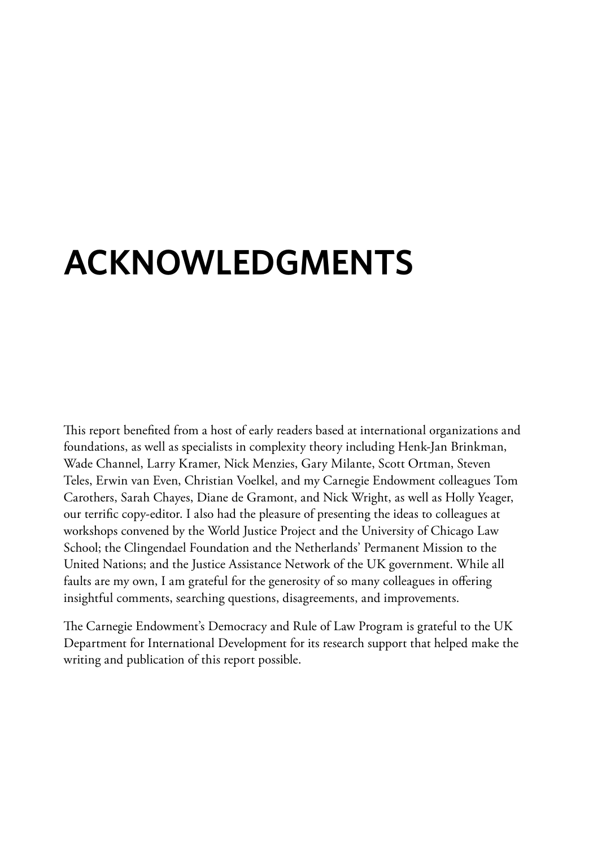## **Acknowledgments**

This report benefited from a host of early readers based at international organizations and foundations, as well as specialists in complexity theory including Henk-Jan Brinkman, Wade Channel, Larry Kramer, Nick Menzies, Gary Milante, Scott Ortman, Steven Teles, Erwin van Even, Christian Voelkel, and my Carnegie Endowment colleagues Tom Carothers, Sarah Chayes, Diane de Gramont, and Nick Wright, as well as Holly Yeager, our terrific copy-editor. I also had the pleasure of presenting the ideas to colleagues at workshops convened by the World Justice Project and the University of Chicago Law School; the Clingendael Foundation and the Netherlands' Permanent Mission to the United Nations; and the Justice Assistance Network of the UK government. While all faults are my own, I am grateful for the generosity of so many colleagues in offering insightful comments, searching questions, disagreements, and improvements.

The Carnegie Endowment's Democracy and Rule of Law Program is grateful to the UK Department for International Development for its research support that helped make the writing and publication of this report possible.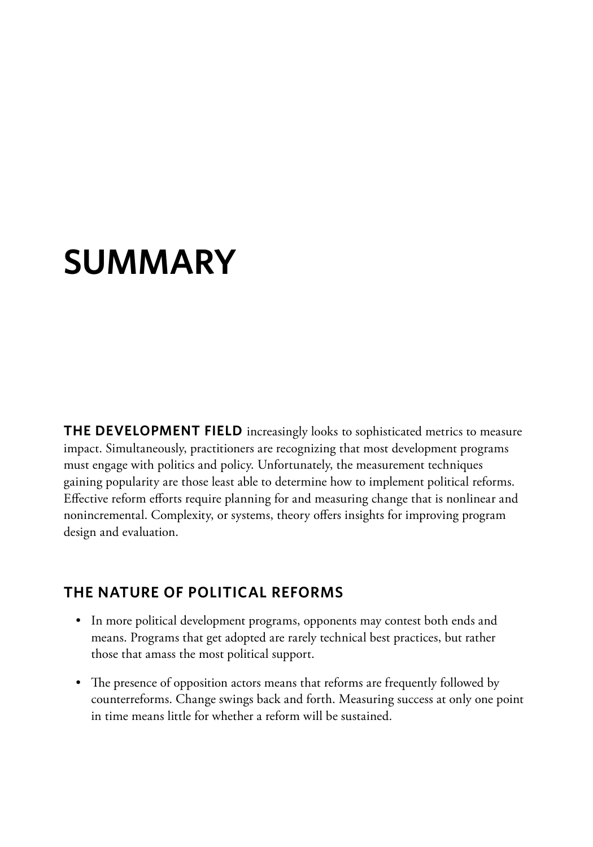## **Summary**

**THE DEVELOPMENT FIELD** increasingly looks to sophisticated metrics to measure impact. Simultaneously, practitioners are recognizing that most development programs must engage with politics and policy. Unfortunately, the measurement techniques gaining popularity are those least able to determine how to implement political reforms. Effective reform efforts require planning for and measuring change that is nonlinear and nonincremental. Complexity, or systems, theory offers insights for improving program design and evaluation.

#### **The Nature of Political Reforms**

- In more political development programs, opponents may contest both ends and means. Programs that get adopted are rarely technical best practices, but rather those that amass the most political support.
- The presence of opposition actors means that reforms are frequently followed by counterreforms. Change swings back and forth. Measuring success at only one point in time means little for whether a reform will be sustained.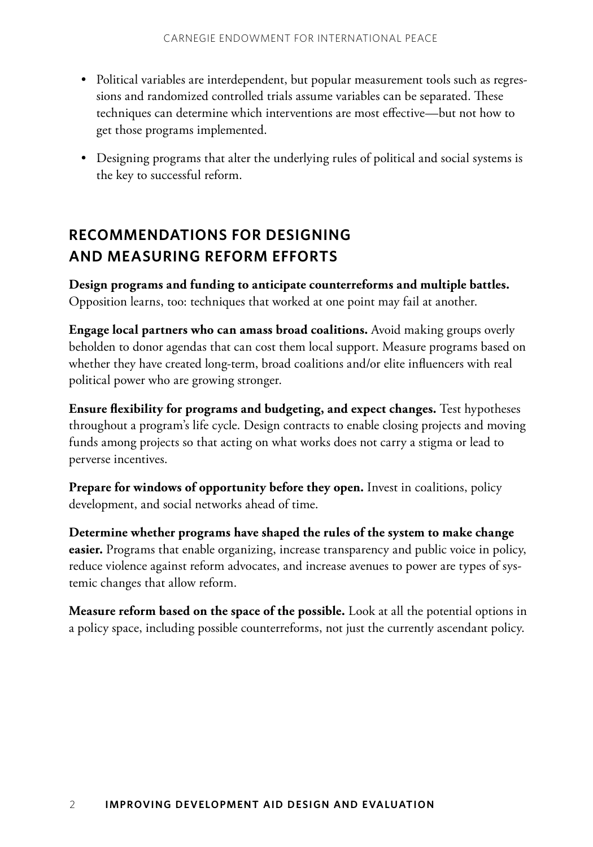- Political variables are interdependent, but popular measurement tools such as regressions and randomized controlled trials assume variables can be separated. These techniques can determine which interventions are most effective—but not how to get those programs implemented.
- Designing programs that alter the underlying rules of political and social systems is the key to successful reform.

#### **Recommendations for Designing and Measuring Reform Efforts**

**Design programs and funding to anticipate counterreforms and multiple battles.** Opposition learns, too: techniques that worked at one point may fail at another.

**Engage local partners who can amass broad coalitions.** Avoid making groups overly beholden to donor agendas that can cost them local support. Measure programs based on whether they have created long-term, broad coalitions and/or elite influencers with real political power who are growing stronger.

**Ensure flexibility for programs and budgeting, and expect changes.** Test hypotheses throughout a program's life cycle. Design contracts to enable closing projects and moving funds among projects so that acting on what works does not carry a stigma or lead to perverse incentives.

**Prepare for windows of opportunity before they open.** Invest in coalitions, policy development, and social networks ahead of time.

**Determine whether programs have shaped the rules of the system to make change easier.** Programs that enable organizing, increase transparency and public voice in policy, reduce violence against reform advocates, and increase avenues to power are types of systemic changes that allow reform.

**Measure reform based on the space of the possible.** Look at all the potential options in a policy space, including possible counterreforms, not just the currently ascendant policy.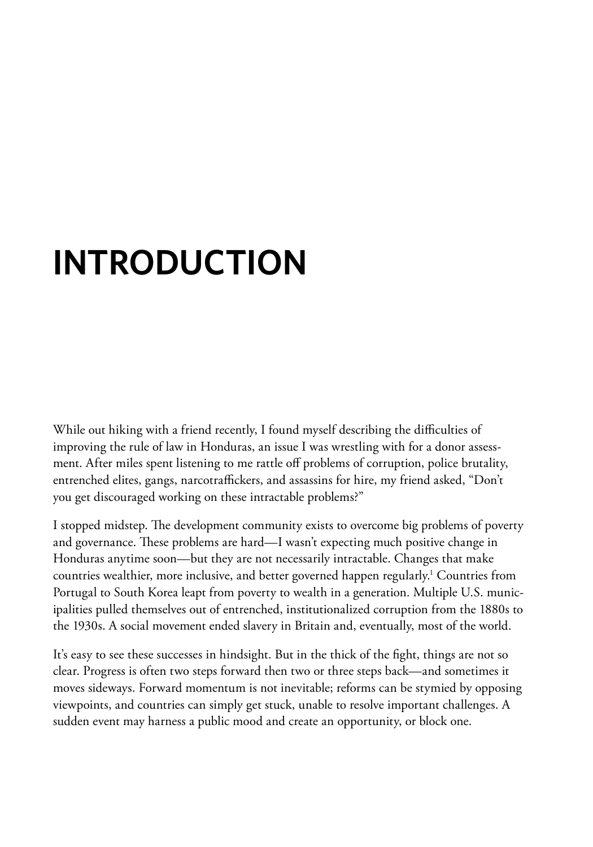# **Introduction**

While out hiking with a friend recently, I found myself describing the difficulties of improving the rule of law in Honduras, an issue I was wrestling with for a donor assessment. After miles spent listening to me rattle off problems of corruption, police brutality, entrenched elites, gangs, narcotraffickers, and assassins for hire, my friend asked, "Don't you get discouraged working on these intractable problems?"

I stopped midstep. The development community exists to overcome big problems of poverty and governance. These problems are hard—I wasn't expecting much positive change in Honduras anytime soon—but they are not necessarily intractable. Changes that make countries wealthier, more inclusive, and better governed happen regularly.1 Countries from Portugal to South Korea leapt from poverty to wealth in a generation. Multiple U.S. municipalities pulled themselves out of entrenched, institutionalized corruption from the 1880s to the 1930s. A social movement ended slavery in Britain and, eventually, most of the world.

It's easy to see these successes in hindsight. But in the thick of the fight, things are not so clear. Progress is often two steps forward then two or three steps back—and sometimes it moves sideways. Forward momentum is not inevitable; reforms can be stymied by opposing viewpoints, and countries can simply get stuck, unable to resolve important challenges. A sudden event may harness a public mood and create an opportunity, or block one.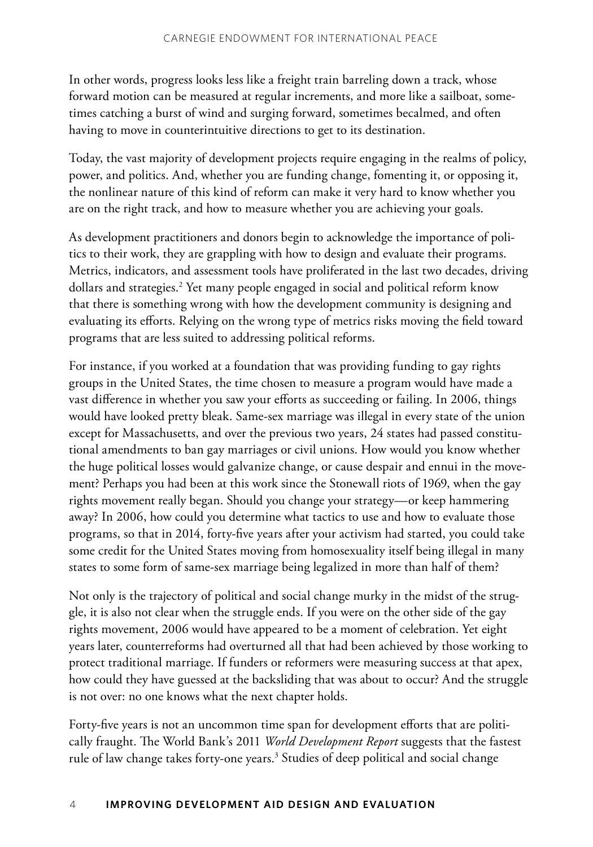In other words, progress looks less like a freight train barreling down a track, whose forward motion can be measured at regular increments, and more like a sailboat, sometimes catching a burst of wind and surging forward, sometimes becalmed, and often having to move in counterintuitive directions to get to its destination.

Today, the vast majority of development projects require engaging in the realms of policy, power, and politics. And, whether you are funding change, fomenting it, or opposing it, the nonlinear nature of this kind of reform can make it very hard to know whether you are on the right track, and how to measure whether you are achieving your goals.

As development practitioners and donors begin to acknowledge the importance of politics to their work, they are grappling with how to design and evaluate their programs. Metrics, indicators, and assessment tools have proliferated in the last two decades, driving dollars and strategies.<sup>2</sup> Yet many people engaged in social and political reform know that there is something wrong with how the development community is designing and evaluating its efforts. Relying on the wrong type of metrics risks moving the field toward programs that are less suited to addressing political reforms.

For instance, if you worked at a foundation that was providing funding to gay rights groups in the United States, the time chosen to measure a program would have made a vast difference in whether you saw your efforts as succeeding or failing. In 2006, things would have looked pretty bleak. Same-sex marriage was illegal in every state of the union except for Massachusetts, and over the previous two years, 24 states had passed constitutional amendments to ban gay marriages or civil unions. How would you know whether the huge political losses would galvanize change, or cause despair and ennui in the movement? Perhaps you had been at this work since the Stonewall riots of 1969, when the gay rights movement really began. Should you change your strategy—or keep hammering away? In 2006, how could you determine what tactics to use and how to evaluate those programs, so that in 2014, forty-five years after your activism had started, you could take some credit for the United States moving from homosexuality itself being illegal in many states to some form of same-sex marriage being legalized in more than half of them?

Not only is the trajectory of political and social change murky in the midst of the struggle, it is also not clear when the struggle ends. If you were on the other side of the gay rights movement, 2006 would have appeared to be a moment of celebration. Yet eight years later, counterreforms had overturned all that had been achieved by those working to protect traditional marriage. If funders or reformers were measuring success at that apex, how could they have guessed at the backsliding that was about to occur? And the struggle is not over: no one knows what the next chapter holds.

Forty-five years is not an uncommon time span for development efforts that are politically fraught. The World Bank's 2011 *World Development Report* suggests that the fastest rule of law change takes forty-one years.<sup>3</sup> Studies of deep political and social change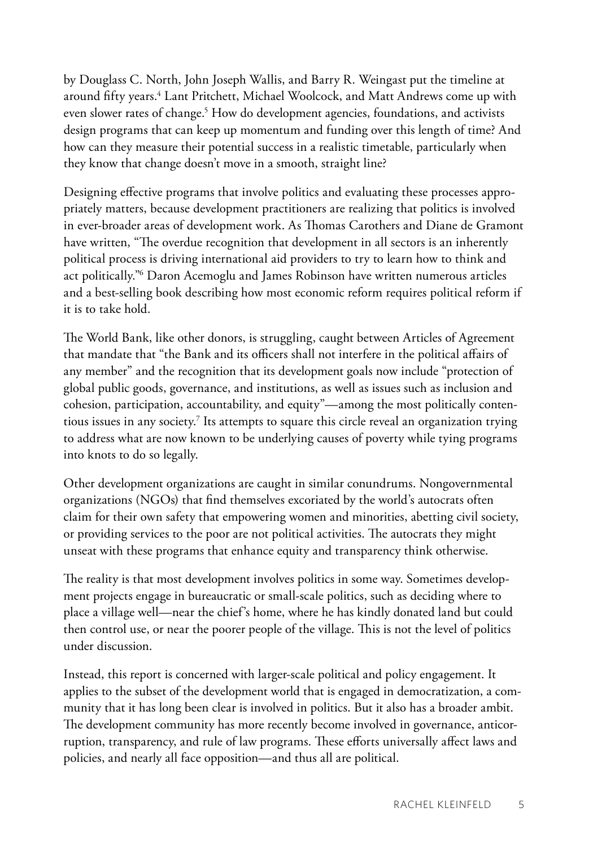by Douglass C. North, John Joseph Wallis, and Barry R. Weingast put the timeline at around fifty years.4 Lant Pritchett, Michael Woolcock, and Matt Andrews come up with even slower rates of change.<sup>5</sup> How do development agencies, foundations, and activists design programs that can keep up momentum and funding over this length of time? And how can they measure their potential success in a realistic timetable, particularly when they know that change doesn't move in a smooth, straight line?

Designing effective programs that involve politics and evaluating these processes appropriately matters, because development practitioners are realizing that politics is involved in ever-broader areas of development work. As Thomas Carothers and Diane de Gramont have written, "The overdue recognition that development in all sectors is an inherently political process is driving international aid providers to try to learn how to think and act politically."6 Daron Acemoglu and James Robinson have written numerous articles and a best-selling book describing how most economic reform requires political reform if it is to take hold.

The World Bank, like other donors, is struggling, caught between Articles of Agreement that mandate that "the Bank and its officers shall not interfere in the political affairs of any member" and the recognition that its development goals now include "protection of global public goods, governance, and institutions, as well as issues such as inclusion and cohesion, participation, accountability, and equity"—among the most politically contentious issues in any society.<sup>7</sup> Its attempts to square this circle reveal an organization trying to address what are now known to be underlying causes of poverty while tying programs into knots to do so legally.

Other development organizations are caught in similar conundrums. Nongovernmental organizations (NGOs) that find themselves excoriated by the world's autocrats often claim for their own safety that empowering women and minorities, abetting civil society, or providing services to the poor are not political activities. The autocrats they might unseat with these programs that enhance equity and transparency think otherwise.

The reality is that most development involves politics in some way. Sometimes development projects engage in bureaucratic or small-scale politics, such as deciding where to place a village well—near the chief's home, where he has kindly donated land but could then control use, or near the poorer people of the village. This is not the level of politics under discussion.

Instead, this report is concerned with larger-scale political and policy engagement. It applies to the subset of the development world that is engaged in democratization, a community that it has long been clear is involved in politics. But it also has a broader ambit. The development community has more recently become involved in governance, anticorruption, transparency, and rule of law programs. These efforts universally affect laws and policies, and nearly all face opposition—and thus all are political.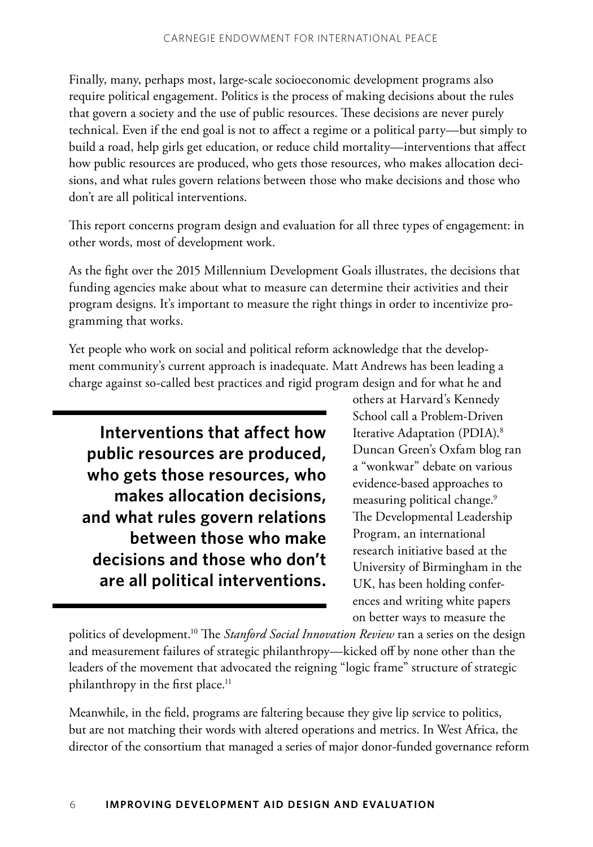Finally, many, perhaps most, large-scale socioeconomic development programs also require political engagement. Politics is the process of making decisions about the rules that govern a society and the use of public resources. These decisions are never purely technical. Even if the end goal is not to affect a regime or a political party—but simply to build a road, help girls get education, or reduce child mortality—interventions that affect how public resources are produced, who gets those resources, who makes allocation decisions, and what rules govern relations between those who make decisions and those who don't are all political interventions.

This report concerns program design and evaluation for all three types of engagement: in other words, most of development work.

As the fight over the 2015 Millennium Development Goals illustrates, the decisions that funding agencies make about what to measure can determine their activities and their program designs. It's important to measure the right things in order to incentivize programming that works.

Yet people who work on social and political reform acknowledge that the development community's current approach is inadequate. Matt Andrews has been leading a charge against so-called best practices and rigid program design and for what he and

**Interventions that affect how public resources are produced, who gets those resources, who makes allocation decisions, and what rules govern relations between those who make decisions and those who don't are all political interventions.**  others at Harvard's Kennedy School call a Problem-Driven Iterative Adaptation (PDIA).8 Duncan Green's Oxfam blog ran a "wonkwar" debate on various evidence-based approaches to measuring political change.<sup>9</sup> The Developmental Leadership Program, an international research initiative based at the University of Birmingham in the UK, has been holding conferences and writing white papers on better ways to measure the

politics of development.10 The *Stanford Social Innovation Review* ran a series on the design and measurement failures of strategic philanthropy—kicked off by none other than the leaders of the movement that advocated the reigning "logic frame" structure of strategic philanthropy in the first place.<sup>11</sup>

Meanwhile, in the field, programs are faltering because they give lip service to politics, but are not matching their words with altered operations and metrics. In West Africa, the director of the consortium that managed a series of major donor-funded governance reform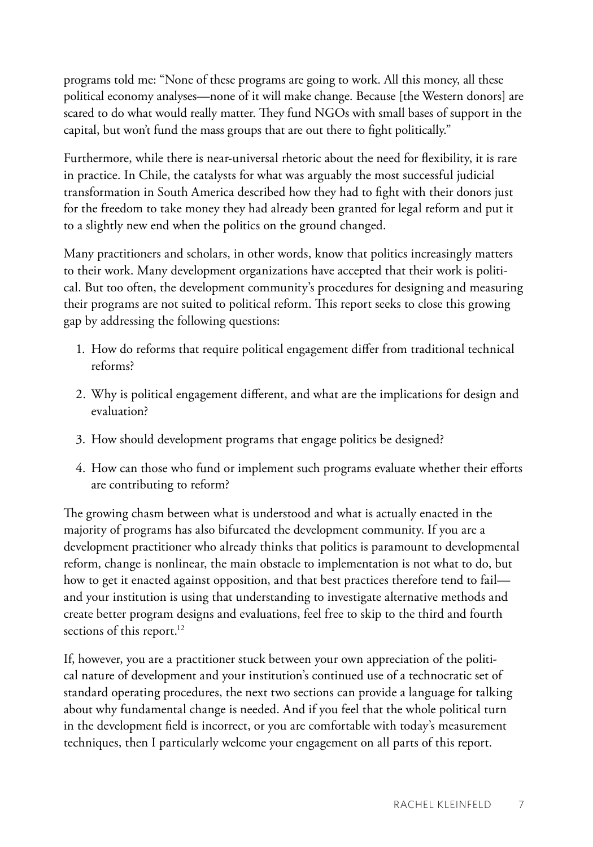programs told me: "None of these programs are going to work. All this money, all these political economy analyses—none of it will make change. Because [the Western donors] are scared to do what would really matter. They fund NGOs with small bases of support in the capital, but won't fund the mass groups that are out there to fight politically."

Furthermore, while there is near-universal rhetoric about the need for flexibility, it is rare in practice. In Chile, the catalysts for what was arguably the most successful judicial transformation in South America described how they had to fight with their donors just for the freedom to take money they had already been granted for legal reform and put it to a slightly new end when the politics on the ground changed.

Many practitioners and scholars, in other words, know that politics increasingly matters to their work. Many development organizations have accepted that their work is political. But too often, the development community's procedures for designing and measuring their programs are not suited to political reform. This report seeks to close this growing gap by addressing the following questions:

- 1. How do reforms that require political engagement differ from traditional technical reforms?
- 2. Why is political engagement different, and what are the implications for design and evaluation?
- 3. How should development programs that engage politics be designed?
- 4. How can those who fund or implement such programs evaluate whether their efforts are contributing to reform?

The growing chasm between what is understood and what is actually enacted in the majority of programs has also bifurcated the development community. If you are a development practitioner who already thinks that politics is paramount to developmental reform, change is nonlinear, the main obstacle to implementation is not what to do, but how to get it enacted against opposition, and that best practices therefore tend to fail and your institution is using that understanding to investigate alternative methods and create better program designs and evaluations, feel free to skip to the third and fourth sections of this report.<sup>12</sup>

If, however, you are a practitioner stuck between your own appreciation of the political nature of development and your institution's continued use of a technocratic set of standard operating procedures, the next two sections can provide a language for talking about why fundamental change is needed. And if you feel that the whole political turn in the development field is incorrect, or you are comfortable with today's measurement techniques, then I particularly welcome your engagement on all parts of this report.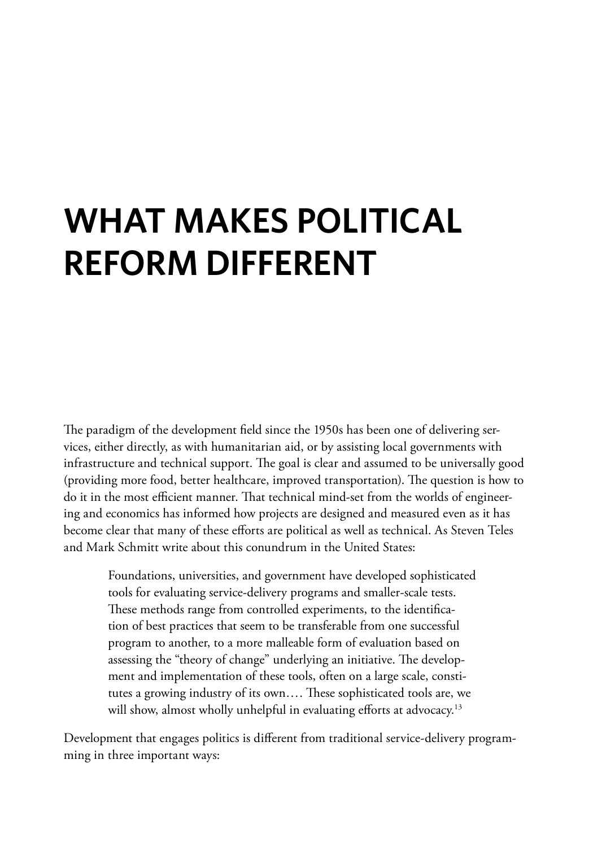# **What Makes Political Reform Different**

The paradigm of the development field since the 1950s has been one of delivering services, either directly, as with humanitarian aid, or by assisting local governments with infrastructure and technical support. The goal is clear and assumed to be universally good (providing more food, better healthcare, improved transportation). The question is how to do it in the most efficient manner. That technical mind-set from the worlds of engineering and economics has informed how projects are designed and measured even as it has become clear that many of these efforts are political as well as technical. As Steven Teles and Mark Schmitt write about this conundrum in the United States:

Foundations, universities, and government have developed sophisticated tools for evaluating service-delivery programs and smaller-scale tests. These methods range from controlled experiments, to the identification of best practices that seem to be transferable from one successful program to another, to a more malleable form of evaluation based on assessing the "theory of change" underlying an initiative. The development and implementation of these tools, often on a large scale, constitutes a growing industry of its own…. These sophisticated tools are, we will show, almost wholly unhelpful in evaluating efforts at advocacy.<sup>13</sup>

Development that engages politics is different from traditional service-delivery programming in three important ways: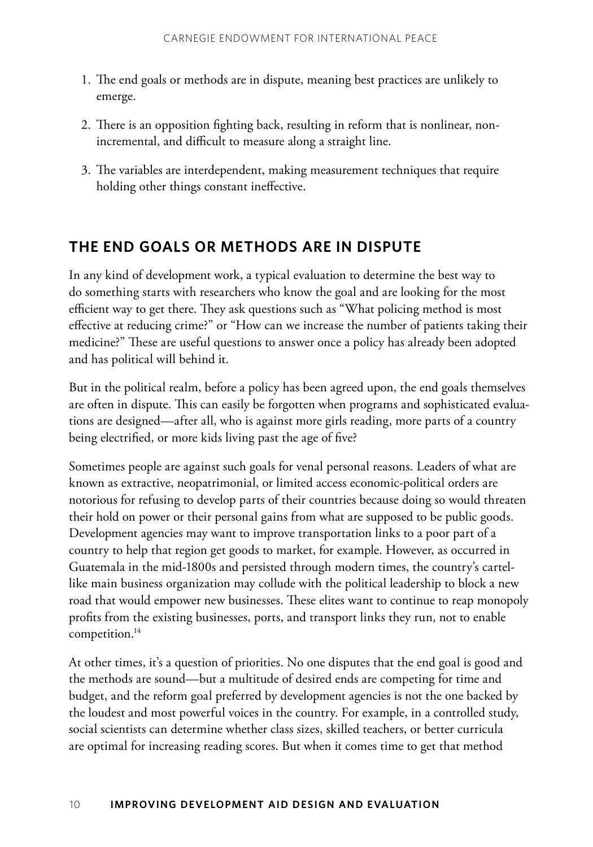- 1. The end goals or methods are in dispute, meaning best practices are unlikely to emerge.
- 2. There is an opposition fighting back, resulting in reform that is nonlinear, nonincremental, and difficult to measure along a straight line.
- 3. The variables are interdependent, making measurement techniques that require holding other things constant ineffective.

#### **The End Goals or Methods Are in Dispute**

In any kind of development work, a typical evaluation to determine the best way to do something starts with researchers who know the goal and are looking for the most efficient way to get there. They ask questions such as "What policing method is most effective at reducing crime?" or "How can we increase the number of patients taking their medicine?" These are useful questions to answer once a policy has already been adopted and has political will behind it.

But in the political realm, before a policy has been agreed upon, the end goals themselves are often in dispute. This can easily be forgotten when programs and sophisticated evaluations are designed—after all, who is against more girls reading, more parts of a country being electrified, or more kids living past the age of five?

Sometimes people are against such goals for venal personal reasons. Leaders of what are known as extractive, neopatrimonial, or limited access economic-political orders are notorious for refusing to develop parts of their countries because doing so would threaten their hold on power or their personal gains from what are supposed to be public goods. Development agencies may want to improve transportation links to a poor part of a country to help that region get goods to market, for example. However, as occurred in Guatemala in the mid-1800s and persisted through modern times, the country's cartellike main business organization may collude with the political leadership to block a new road that would empower new businesses. These elites want to continue to reap monopoly profits from the existing businesses, ports, and transport links they run, not to enable competition.<sup>14</sup>

At other times, it's a question of priorities. No one disputes that the end goal is good and the methods are sound—but a multitude of desired ends are competing for time and budget, and the reform goal preferred by development agencies is not the one backed by the loudest and most powerful voices in the country. For example, in a controlled study, social scientists can determine whether class sizes, skilled teachers, or better curricula are optimal for increasing reading scores. But when it comes time to get that method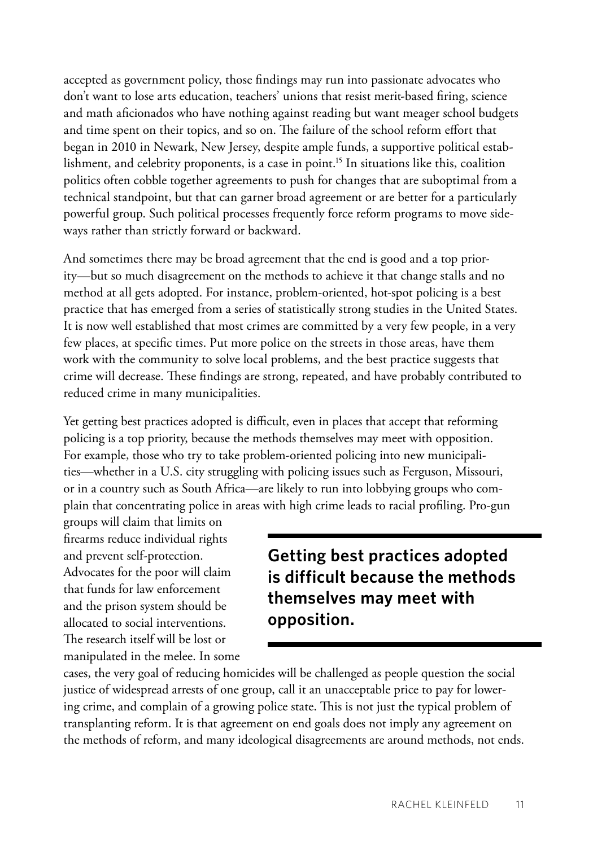accepted as government policy, those findings may run into passionate advocates who don't want to lose arts education, teachers' unions that resist merit-based firing, science and math aficionados who have nothing against reading but want meager school budgets and time spent on their topics, and so on. The failure of the school reform effort that began in 2010 in Newark, New Jersey, despite ample funds, a supportive political establishment, and celebrity proponents, is a case in point.<sup>15</sup> In situations like this, coalition politics often cobble together agreements to push for changes that are suboptimal from a technical standpoint, but that can garner broad agreement or are better for a particularly powerful group. Such political processes frequently force reform programs to move sideways rather than strictly forward or backward.

And sometimes there may be broad agreement that the end is good and a top priority—but so much disagreement on the methods to achieve it that change stalls and no method at all gets adopted. For instance, problem-oriented, hot-spot policing is a best practice that has emerged from a series of statistically strong studies in the United States. It is now well established that most crimes are committed by a very few people, in a very few places, at specific times. Put more police on the streets in those areas, have them work with the community to solve local problems, and the best practice suggests that crime will decrease. These findings are strong, repeated, and have probably contributed to reduced crime in many municipalities.

Yet getting best practices adopted is difficult, even in places that accept that reforming policing is a top priority, because the methods themselves may meet with opposition. For example, those who try to take problem-oriented policing into new municipalities—whether in a U.S. city struggling with policing issues such as Ferguson, Missouri, or in a country such as South Africa—are likely to run into lobbying groups who complain that concentrating police in areas with high crime leads to racial profiling. Pro-gun

groups will claim that limits on firearms reduce individual rights and prevent self-protection. Advocates for the poor will claim that funds for law enforcement and the prison system should be allocated to social interventions. The research itself will be lost or manipulated in the melee. In some

**Getting best practices adopted is difficult because the methods themselves may meet with opposition.** 

cases, the very goal of reducing homicides will be challenged as people question the social justice of widespread arrests of one group, call it an unacceptable price to pay for lowering crime, and complain of a growing police state. This is not just the typical problem of transplanting reform. It is that agreement on end goals does not imply any agreement on the methods of reform, and many ideological disagreements are around methods, not ends.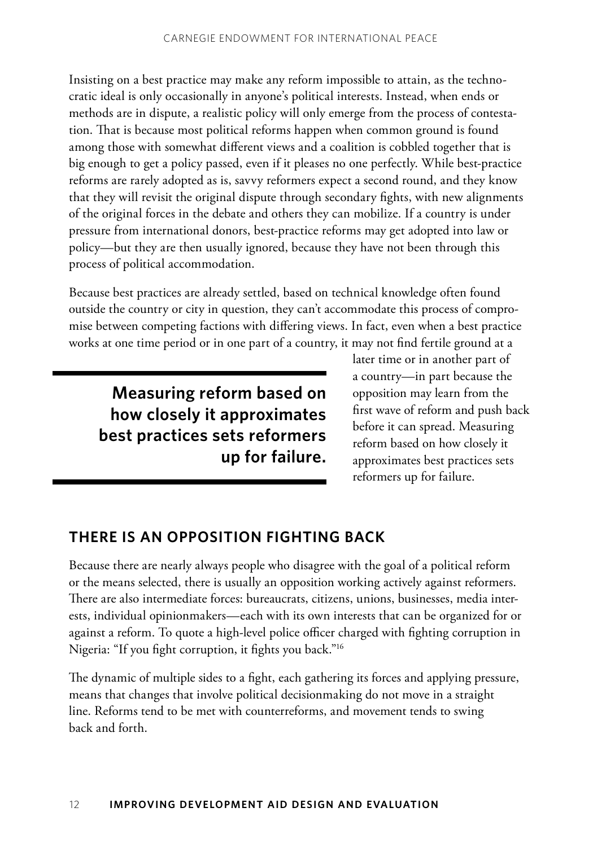Insisting on a best practice may make any reform impossible to attain, as the technocratic ideal is only occasionally in anyone's political interests. Instead, when ends or methods are in dispute, a realistic policy will only emerge from the process of contestation. That is because most political reforms happen when common ground is found among those with somewhat different views and a coalition is cobbled together that is big enough to get a policy passed, even if it pleases no one perfectly. While best-practice reforms are rarely adopted as is, savvy reformers expect a second round, and they know that they will revisit the original dispute through secondary fights, with new alignments of the original forces in the debate and others they can mobilize. If a country is under pressure from international donors, best-practice reforms may get adopted into law or policy—but they are then usually ignored, because they have not been through this process of political accommodation.

Because best practices are already settled, based on technical knowledge often found outside the country or city in question, they can't accommodate this process of compromise between competing factions with differing views. In fact, even when a best practice works at one time period or in one part of a country, it may not find fertile ground at a

**Measuring reform based on how closely it approximates best practices sets reformers up for failure.**  later time or in another part of a country—in part because the opposition may learn from the first wave of reform and push back before it can spread. Measuring reform based on how closely it approximates best practices sets reformers up for failure.

#### **There Is an Opposition Fighting Back**

Because there are nearly always people who disagree with the goal of a political reform or the means selected, there is usually an opposition working actively against reformers. There are also intermediate forces: bureaucrats, citizens, unions, businesses, media interests, individual opinionmakers—each with its own interests that can be organized for or against a reform. To quote a high-level police officer charged with fighting corruption in Nigeria: "If you fight corruption, it fights you back."16

The dynamic of multiple sides to a fight, each gathering its forces and applying pressure, means that changes that involve political decisionmaking do not move in a straight line. Reforms tend to be met with counterreforms, and movement tends to swing back and forth.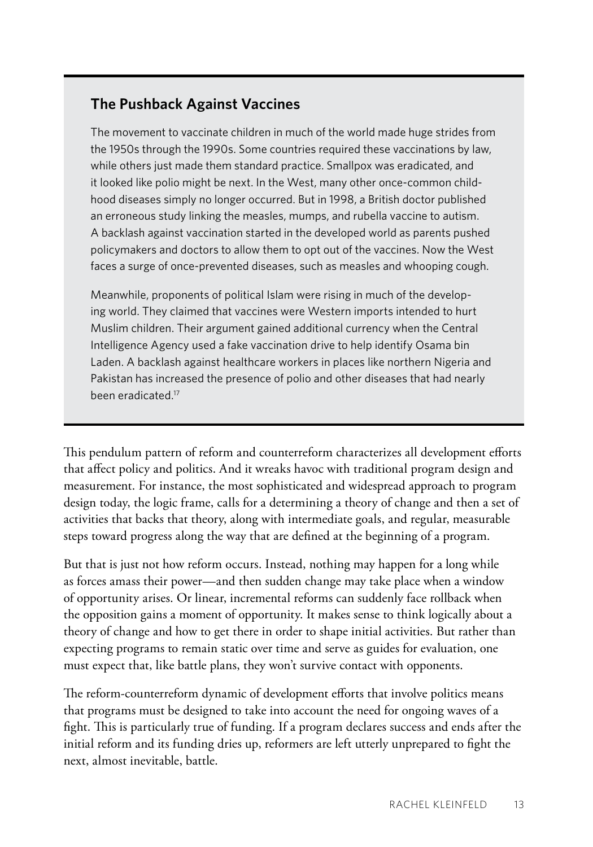#### **The Pushback Against Vaccines**

The movement to vaccinate children in much of the world made huge strides from the 1950s through the 1990s. Some countries required these vaccinations by law, while others just made them standard practice. Smallpox was eradicated, and it looked like polio might be next. In the West, many other once-common childhood diseases simply no longer occurred. But in 1998, a British doctor published an erroneous study linking the measles, mumps, and rubella vaccine to autism. A backlash against vaccination started in the developed world as parents pushed policymakers and doctors to allow them to opt out of the vaccines. Now the West faces a surge of once-prevented diseases, such as measles and whooping cough.

Meanwhile, proponents of political Islam were rising in much of the developing world. They claimed that vaccines were Western imports intended to hurt Muslim children. Their argument gained additional currency when the Central Intelligence Agency used a fake vaccination drive to help identify Osama bin Laden. A backlash against healthcare workers in places like northern Nigeria and Pakistan has increased the presence of polio and other diseases that had nearly been eradicated.<sup>17</sup>

This pendulum pattern of reform and counterreform characterizes all development efforts that affect policy and politics. And it wreaks havoc with traditional program design and measurement. For instance, the most sophisticated and widespread approach to program design today, the logic frame, calls for a determining a theory of change and then a set of activities that backs that theory, along with intermediate goals, and regular, measurable steps toward progress along the way that are defined at the beginning of a program.

But that is just not how reform occurs. Instead, nothing may happen for a long while as forces amass their power—and then sudden change may take place when a window of opportunity arises. Or linear, incremental reforms can suddenly face rollback when the opposition gains a moment of opportunity. It makes sense to think logically about a theory of change and how to get there in order to shape initial activities. But rather than expecting programs to remain static over time and serve as guides for evaluation, one must expect that, like battle plans, they won't survive contact with opponents.

The reform-counterreform dynamic of development efforts that involve politics means that programs must be designed to take into account the need for ongoing waves of a fight. This is particularly true of funding. If a program declares success and ends after the initial reform and its funding dries up, reformers are left utterly unprepared to fight the next, almost inevitable, battle.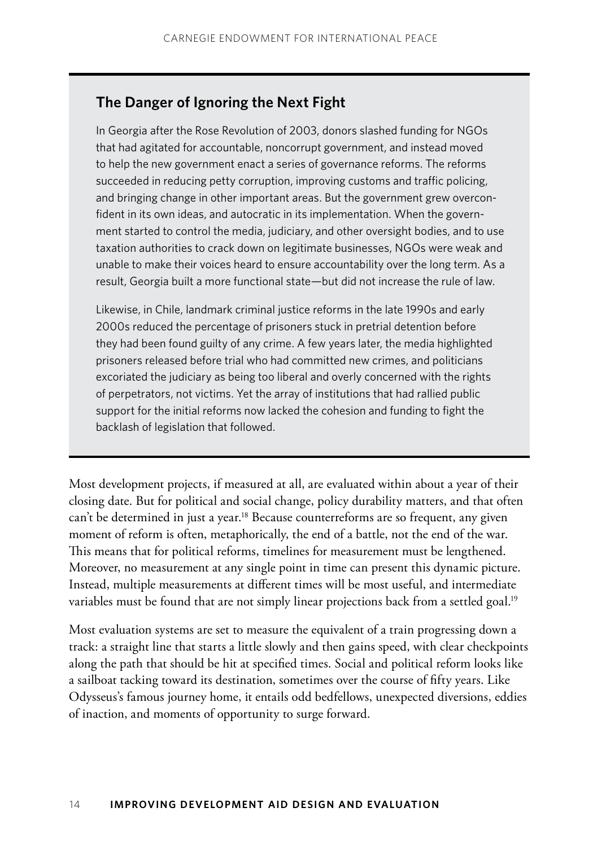#### **The Danger of Ignoring the Next Fight**

In Georgia after the Rose Revolution of 2003, donors slashed funding for NGOs that had agitated for accountable, noncorrupt government, and instead moved to help the new government enact a series of governance reforms. The reforms succeeded in reducing petty corruption, improving customs and traffic policing, and bringing change in other important areas. But the government grew overconfident in its own ideas, and autocratic in its implementation. When the government started to control the media, judiciary, and other oversight bodies, and to use taxation authorities to crack down on legitimate businesses, NGOs were weak and unable to make their voices heard to ensure accountability over the long term. As a result, Georgia built a more functional state—but did not increase the rule of law.

Likewise, in Chile, landmark criminal justice reforms in the late 1990s and early 2000s reduced the percentage of prisoners stuck in pretrial detention before they had been found guilty of any crime. A few years later, the media highlighted prisoners released before trial who had committed new crimes, and politicians excoriated the judiciary as being too liberal and overly concerned with the rights of perpetrators, not victims. Yet the array of institutions that had rallied public support for the initial reforms now lacked the cohesion and funding to fight the backlash of legislation that followed.

Most development projects, if measured at all, are evaluated within about a year of their closing date. But for political and social change, policy durability matters, and that often can't be determined in just a year.<sup>18</sup> Because counterreforms are so frequent, any given moment of reform is often, metaphorically, the end of a battle, not the end of the war. This means that for political reforms, timelines for measurement must be lengthened. Moreover, no measurement at any single point in time can present this dynamic picture. Instead, multiple measurements at different times will be most useful, and intermediate variables must be found that are not simply linear projections back from a settled goal.<sup>19</sup>

Most evaluation systems are set to measure the equivalent of a train progressing down a track: a straight line that starts a little slowly and then gains speed, with clear checkpoints along the path that should be hit at specified times. Social and political reform looks like a sailboat tacking toward its destination, sometimes over the course of fifty years. Like Odysseus's famous journey home, it entails odd bedfellows, unexpected diversions, eddies of inaction, and moments of opportunity to surge forward.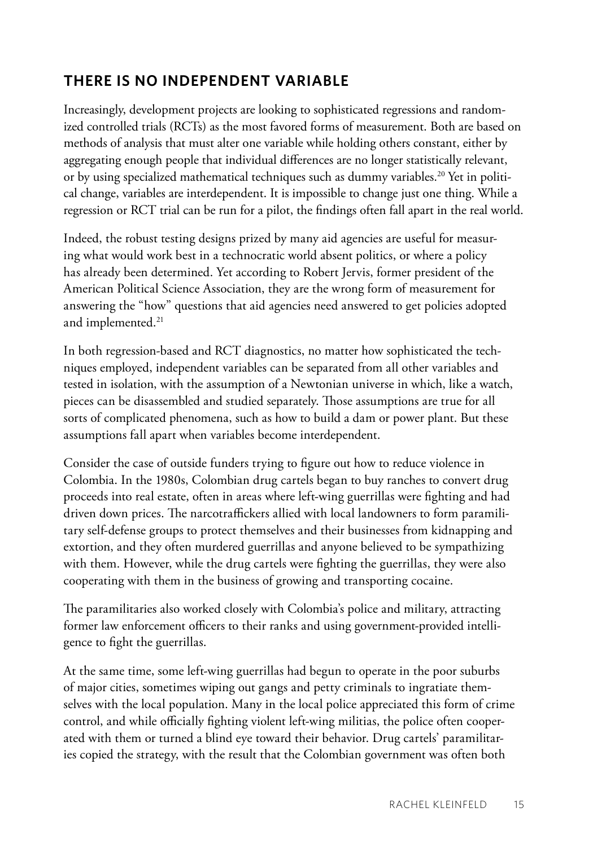#### **There Is No Independent Variable**

Increasingly, development projects are looking to sophisticated regressions and randomized controlled trials (RCTs) as the most favored forms of measurement. Both are based on methods of analysis that must alter one variable while holding others constant, either by aggregating enough people that individual differences are no longer statistically relevant, or by using specialized mathematical techniques such as dummy variables.<sup>20</sup> Yet in political change, variables are interdependent. It is impossible to change just one thing. While a regression or RCT trial can be run for a pilot, the findings often fall apart in the real world.

Indeed, the robust testing designs prized by many aid agencies are useful for measuring what would work best in a technocratic world absent politics, or where a policy has already been determined. Yet according to Robert Jervis, former president of the American Political Science Association, they are the wrong form of measurement for answering the "how" questions that aid agencies need answered to get policies adopted and implemented.<sup>21</sup>

In both regression-based and RCT diagnostics, no matter how sophisticated the techniques employed, independent variables can be separated from all other variables and tested in isolation, with the assumption of a Newtonian universe in which, like a watch, pieces can be disassembled and studied separately. Those assumptions are true for all sorts of complicated phenomena, such as how to build a dam or power plant. But these assumptions fall apart when variables become interdependent.

Consider the case of outside funders trying to figure out how to reduce violence in Colombia. In the 1980s, Colombian drug cartels began to buy ranches to convert drug proceeds into real estate, often in areas where left-wing guerrillas were fighting and had driven down prices. The narcotraffickers allied with local landowners to form paramilitary self-defense groups to protect themselves and their businesses from kidnapping and extortion, and they often murdered guerrillas and anyone believed to be sympathizing with them. However, while the drug cartels were fighting the guerrillas, they were also cooperating with them in the business of growing and transporting cocaine.

The paramilitaries also worked closely with Colombia's police and military, attracting former law enforcement officers to their ranks and using government-provided intelligence to fight the guerrillas.

At the same time, some left-wing guerrillas had begun to operate in the poor suburbs of major cities, sometimes wiping out gangs and petty criminals to ingratiate themselves with the local population. Many in the local police appreciated this form of crime control, and while officially fighting violent left-wing militias, the police often cooperated with them or turned a blind eye toward their behavior. Drug cartels' paramilitaries copied the strategy, with the result that the Colombian government was often both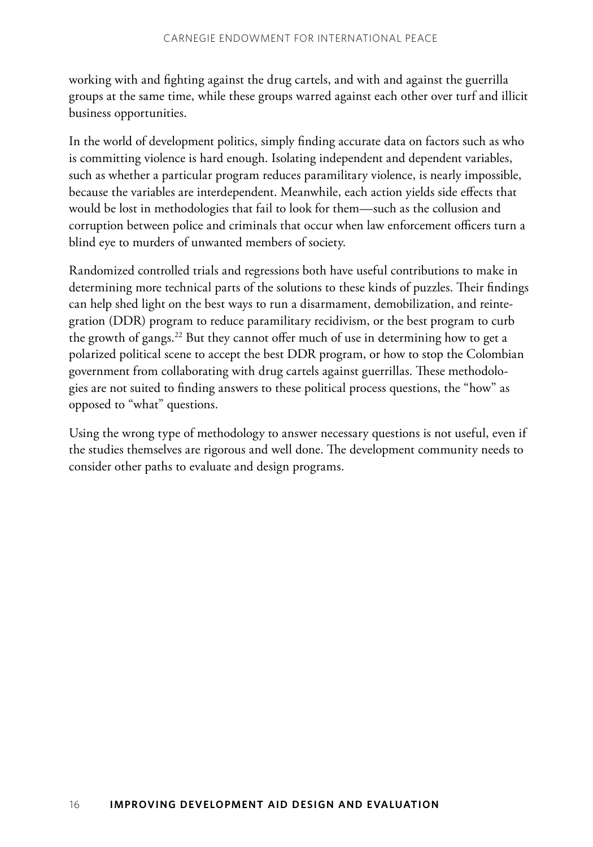working with and fighting against the drug cartels, and with and against the guerrilla groups at the same time, while these groups warred against each other over turf and illicit business opportunities.

In the world of development politics, simply finding accurate data on factors such as who is committing violence is hard enough. Isolating independent and dependent variables, such as whether a particular program reduces paramilitary violence, is nearly impossible, because the variables are interdependent. Meanwhile, each action yields side effects that would be lost in methodologies that fail to look for them—such as the collusion and corruption between police and criminals that occur when law enforcement officers turn a blind eye to murders of unwanted members of society.

Randomized controlled trials and regressions both have useful contributions to make in determining more technical parts of the solutions to these kinds of puzzles. Their findings can help shed light on the best ways to run a disarmament, demobilization, and reintegration (DDR) program to reduce paramilitary recidivism, or the best program to curb the growth of gangs.<sup>22</sup> But they cannot offer much of use in determining how to get a polarized political scene to accept the best DDR program, or how to stop the Colombian government from collaborating with drug cartels against guerrillas. These methodologies are not suited to finding answers to these political process questions, the "how" as opposed to "what" questions.

Using the wrong type of methodology to answer necessary questions is not useful, even if the studies themselves are rigorous and well done. The development community needs to consider other paths to evaluate and design programs.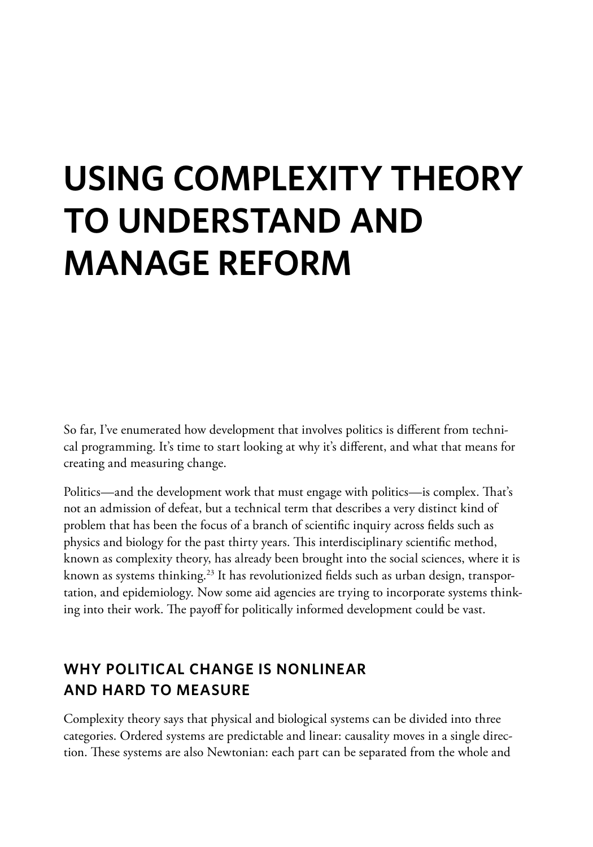# **Using Complexity Theory to Understand and Manage Reform**

So far, I've enumerated how development that involves politics is different from technical programming. It's time to start looking at why it's different, and what that means for creating and measuring change.

Politics—and the development work that must engage with politics—is complex. That's not an admission of defeat, but a technical term that describes a very distinct kind of problem that has been the focus of a branch of scientific inquiry across fields such as physics and biology for the past thirty years. This interdisciplinary scientific method, known as complexity theory, has already been brought into the social sciences, where it is known as systems thinking.<sup>23</sup> It has revolutionized fields such as urban design, transportation, and epidemiology. Now some aid agencies are trying to incorporate systems thinking into their work. The payoff for politically informed development could be vast.

#### **Why Political Change Is Nonlinear and Hard to Measure**

Complexity theory says that physical and biological systems can be divided into three categories. Ordered systems are predictable and linear: causality moves in a single direction. These systems are also Newtonian: each part can be separated from the whole and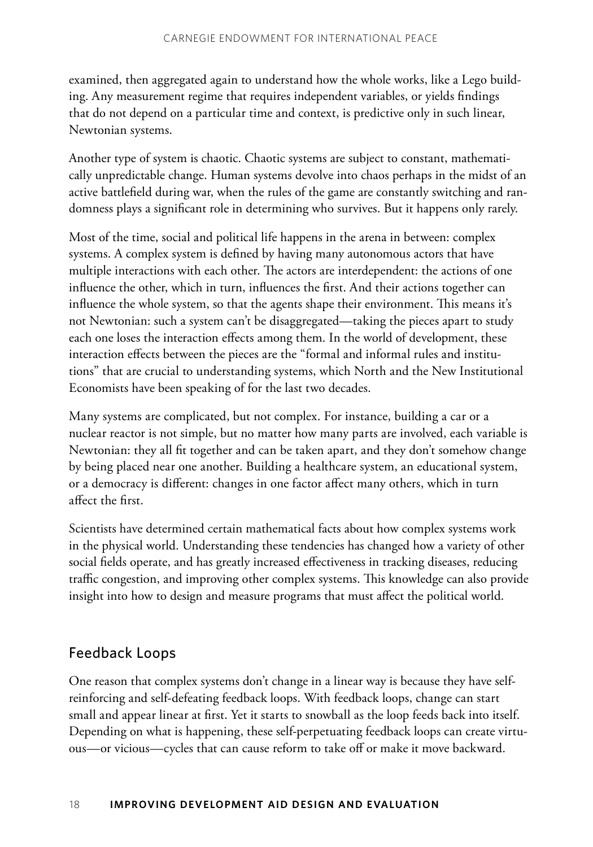examined, then aggregated again to understand how the whole works, like a Lego building. Any measurement regime that requires independent variables, or yields findings that do not depend on a particular time and context, is predictive only in such linear, Newtonian systems.

Another type of system is chaotic. Chaotic systems are subject to constant, mathematically unpredictable change. Human systems devolve into chaos perhaps in the midst of an active battlefield during war, when the rules of the game are constantly switching and randomness plays a significant role in determining who survives. But it happens only rarely.

Most of the time, social and political life happens in the arena in between: complex systems. A complex system is defined by having many autonomous actors that have multiple interactions with each other. The actors are interdependent: the actions of one influence the other, which in turn, influences the first. And their actions together can influence the whole system, so that the agents shape their environment. This means it's not Newtonian: such a system can't be disaggregated—taking the pieces apart to study each one loses the interaction effects among them. In the world of development, these interaction effects between the pieces are the "formal and informal rules and institutions" that are crucial to understanding systems, which North and the New Institutional Economists have been speaking of for the last two decades.

Many systems are complicated, but not complex. For instance, building a car or a nuclear reactor is not simple, but no matter how many parts are involved, each variable is Newtonian: they all fit together and can be taken apart, and they don't somehow change by being placed near one another. Building a healthcare system, an educational system, or a democracy is different: changes in one factor affect many others, which in turn affect the first.

Scientists have determined certain mathematical facts about how complex systems work in the physical world. Understanding these tendencies has changed how a variety of other social fields operate, and has greatly increased effectiveness in tracking diseases, reducing traffic congestion, and improving other complex systems. This knowledge can also provide insight into how to design and measure programs that must affect the political world.

#### Feedback Loops

One reason that complex systems don't change in a linear way is because they have selfreinforcing and self-defeating feedback loops. With feedback loops, change can start small and appear linear at first. Yet it starts to snowball as the loop feeds back into itself. Depending on what is happening, these self-perpetuating feedback loops can create virtuous—or vicious—cycles that can cause reform to take off or make it move backward.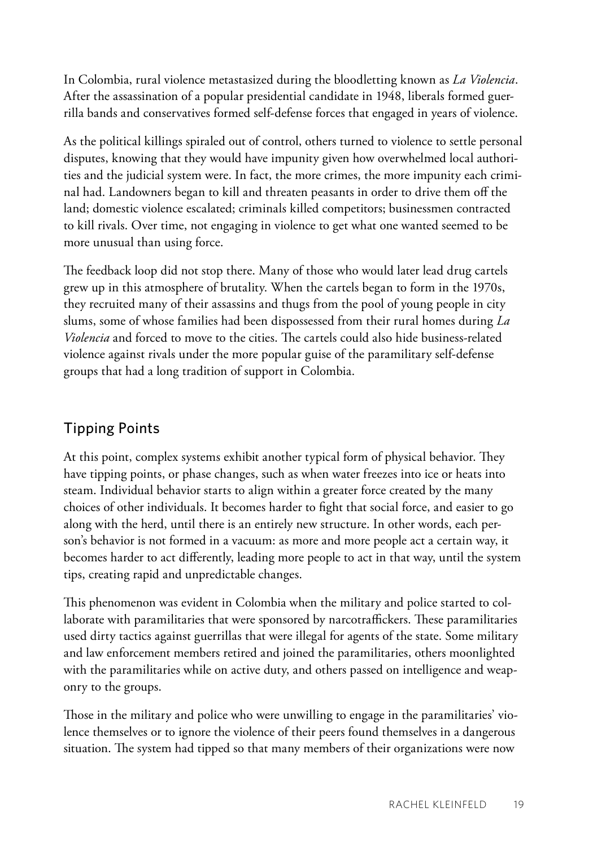In Colombia, rural violence metastasized during the bloodletting known as *La Violencia*. After the assassination of a popular presidential candidate in 1948, liberals formed guerrilla bands and conservatives formed self-defense forces that engaged in years of violence.

As the political killings spiraled out of control, others turned to violence to settle personal disputes, knowing that they would have impunity given how overwhelmed local authorities and the judicial system were. In fact, the more crimes, the more impunity each criminal had. Landowners began to kill and threaten peasants in order to drive them off the land; domestic violence escalated; criminals killed competitors; businessmen contracted to kill rivals. Over time, not engaging in violence to get what one wanted seemed to be more unusual than using force.

The feedback loop did not stop there. Many of those who would later lead drug cartels grew up in this atmosphere of brutality. When the cartels began to form in the 1970s, they recruited many of their assassins and thugs from the pool of young people in city slums, some of whose families had been dispossessed from their rural homes during *La Violencia* and forced to move to the cities. The cartels could also hide business-related violence against rivals under the more popular guise of the paramilitary self-defense groups that had a long tradition of support in Colombia.

#### Tipping Points

At this point, complex systems exhibit another typical form of physical behavior. They have tipping points, or phase changes, such as when water freezes into ice or heats into steam. Individual behavior starts to align within a greater force created by the many choices of other individuals. It becomes harder to fight that social force, and easier to go along with the herd, until there is an entirely new structure. In other words, each person's behavior is not formed in a vacuum: as more and more people act a certain way, it becomes harder to act differently, leading more people to act in that way, until the system tips, creating rapid and unpredictable changes.

This phenomenon was evident in Colombia when the military and police started to collaborate with paramilitaries that were sponsored by narcotraffickers. These paramilitaries used dirty tactics against guerrillas that were illegal for agents of the state. Some military and law enforcement members retired and joined the paramilitaries, others moonlighted with the paramilitaries while on active duty, and others passed on intelligence and weaponry to the groups.

Those in the military and police who were unwilling to engage in the paramilitaries' violence themselves or to ignore the violence of their peers found themselves in a dangerous situation. The system had tipped so that many members of their organizations were now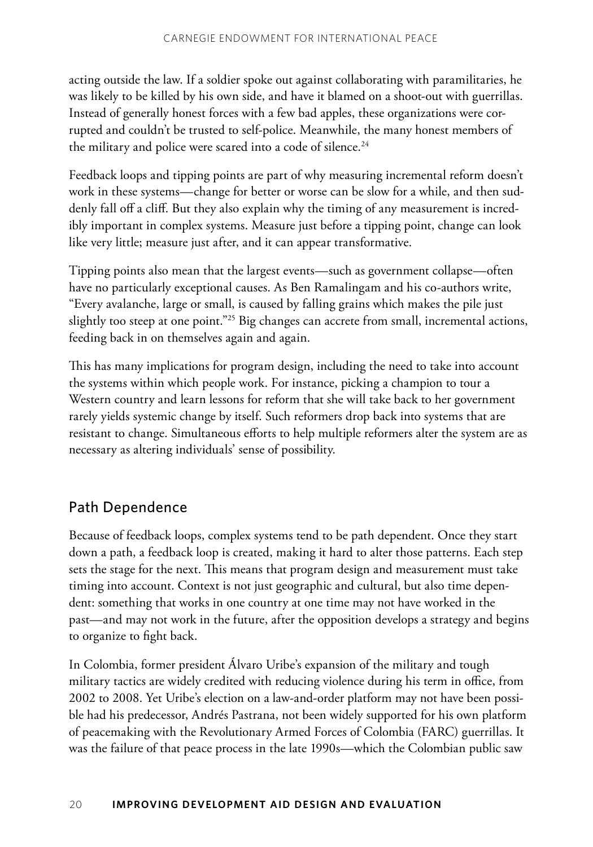acting outside the law. If a soldier spoke out against collaborating with paramilitaries, he was likely to be killed by his own side, and have it blamed on a shoot-out with guerrillas. Instead of generally honest forces with a few bad apples, these organizations were corrupted and couldn't be trusted to self-police. Meanwhile, the many honest members of the military and police were scared into a code of silence.<sup>24</sup>

Feedback loops and tipping points are part of why measuring incremental reform doesn't work in these systems—change for better or worse can be slow for a while, and then suddenly fall off a cliff. But they also explain why the timing of any measurement is incredibly important in complex systems. Measure just before a tipping point, change can look like very little; measure just after, and it can appear transformative.

Tipping points also mean that the largest events—such as government collapse—often have no particularly exceptional causes. As Ben Ramalingam and his co-authors write, "Every avalanche, large or small, is caused by falling grains which makes the pile just slightly too steep at one point."25 Big changes can accrete from small, incremental actions, feeding back in on themselves again and again.

This has many implications for program design, including the need to take into account the systems within which people work. For instance, picking a champion to tour a Western country and learn lessons for reform that she will take back to her government rarely yields systemic change by itself. Such reformers drop back into systems that are resistant to change. Simultaneous efforts to help multiple reformers alter the system are as necessary as altering individuals' sense of possibility.

#### Path Dependence

Because of feedback loops, complex systems tend to be path dependent. Once they start down a path, a feedback loop is created, making it hard to alter those patterns. Each step sets the stage for the next. This means that program design and measurement must take timing into account. Context is not just geographic and cultural, but also time dependent: something that works in one country at one time may not have worked in the past—and may not work in the future, after the opposition develops a strategy and begins to organize to fight back.

In Colombia, former president Álvaro Uribe's expansion of the military and tough military tactics are widely credited with reducing violence during his term in office, from 2002 to 2008. Yet Uribe's election on a law-and-order platform may not have been possible had his predecessor, Andrés Pastrana, not been widely supported for his own platform of peacemaking with the Revolutionary Armed Forces of Colombia (FARC) guerrillas. It was the failure of that peace process in the late 1990s—which the Colombian public saw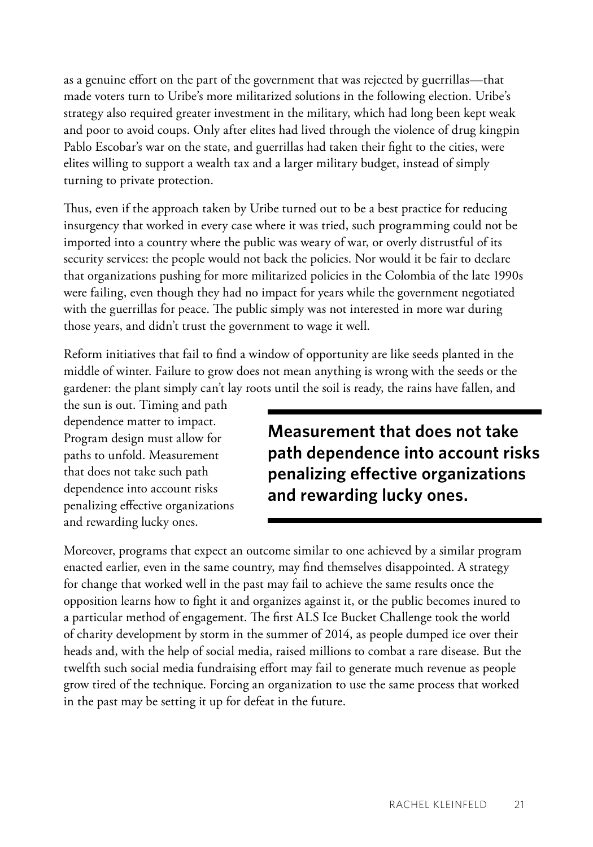as a genuine effort on the part of the government that was rejected by guerrillas—that made voters turn to Uribe's more militarized solutions in the following election. Uribe's strategy also required greater investment in the military, which had long been kept weak and poor to avoid coups. Only after elites had lived through the violence of drug kingpin Pablo Escobar's war on the state, and guerrillas had taken their fight to the cities, were elites willing to support a wealth tax and a larger military budget, instead of simply turning to private protection.

Thus, even if the approach taken by Uribe turned out to be a best practice for reducing insurgency that worked in every case where it was tried, such programming could not be imported into a country where the public was weary of war, or overly distrustful of its security services: the people would not back the policies. Nor would it be fair to declare that organizations pushing for more militarized policies in the Colombia of the late 1990s were failing, even though they had no impact for years while the government negotiated with the guerrillas for peace. The public simply was not interested in more war during those years, and didn't trust the government to wage it well.

Reform initiatives that fail to find a window of opportunity are like seeds planted in the middle of winter. Failure to grow does not mean anything is wrong with the seeds or the gardener: the plant simply can't lay roots until the soil is ready, the rains have fallen, and

the sun is out. Timing and path dependence matter to impact. Program design must allow for paths to unfold. Measurement that does not take such path dependence into account risks penalizing effective organizations and rewarding lucky ones.

**Measurement that does not take path dependence into account risks penalizing effective organizations and rewarding lucky ones.**

Moreover, programs that expect an outcome similar to one achieved by a similar program enacted earlier, even in the same country, may find themselves disappointed. A strategy for change that worked well in the past may fail to achieve the same results once the opposition learns how to fight it and organizes against it, or the public becomes inured to a particular method of engagement. The first ALS Ice Bucket Challenge took the world of charity development by storm in the summer of 2014, as people dumped ice over their heads and, with the help of social media, raised millions to combat a rare disease. But the twelfth such social media fundraising effort may fail to generate much revenue as people grow tired of the technique. Forcing an organization to use the same process that worked in the past may be setting it up for defeat in the future.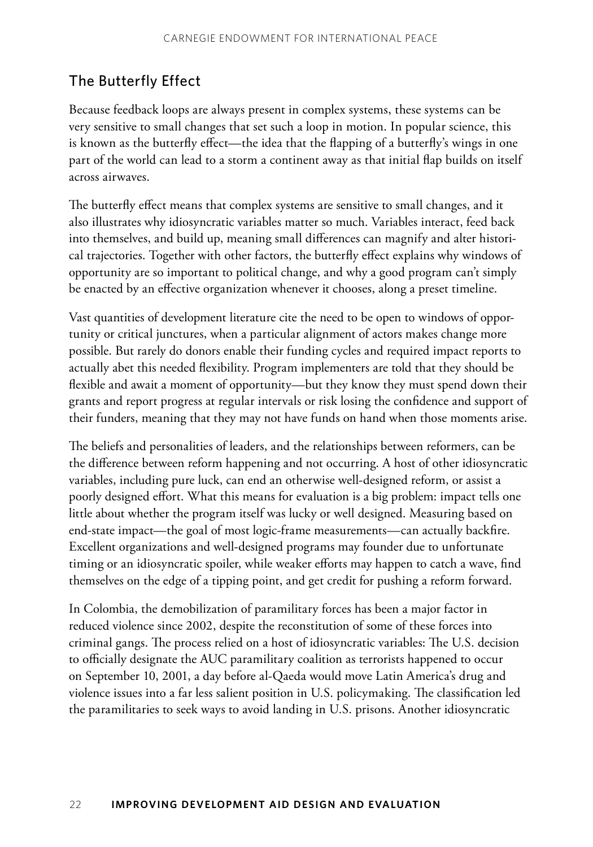#### The Butterfly Effect

Because feedback loops are always present in complex systems, these systems can be very sensitive to small changes that set such a loop in motion. In popular science, this is known as the butterfly effect—the idea that the flapping of a butterfly's wings in one part of the world can lead to a storm a continent away as that initial flap builds on itself across airwaves.

The butterfly effect means that complex systems are sensitive to small changes, and it also illustrates why idiosyncratic variables matter so much. Variables interact, feed back into themselves, and build up, meaning small differences can magnify and alter historical trajectories. Together with other factors, the butterfly effect explains why windows of opportunity are so important to political change, and why a good program can't simply be enacted by an effective organization whenever it chooses, along a preset timeline.

Vast quantities of development literature cite the need to be open to windows of opportunity or critical junctures, when a particular alignment of actors makes change more possible. But rarely do donors enable their funding cycles and required impact reports to actually abet this needed flexibility. Program implementers are told that they should be flexible and await a moment of opportunity—but they know they must spend down their grants and report progress at regular intervals or risk losing the confidence and support of their funders, meaning that they may not have funds on hand when those moments arise.

The beliefs and personalities of leaders, and the relationships between reformers, can be the difference between reform happening and not occurring. A host of other idiosyncratic variables, including pure luck, can end an otherwise well-designed reform, or assist a poorly designed effort. What this means for evaluation is a big problem: impact tells one little about whether the program itself was lucky or well designed. Measuring based on end-state impact—the goal of most logic-frame measurements—can actually backfire. Excellent organizations and well-designed programs may founder due to unfortunate timing or an idiosyncratic spoiler, while weaker efforts may happen to catch a wave, find themselves on the edge of a tipping point, and get credit for pushing a reform forward.

In Colombia, the demobilization of paramilitary forces has been a major factor in reduced violence since 2002, despite the reconstitution of some of these forces into criminal gangs. The process relied on a host of idiosyncratic variables: The U.S. decision to officially designate the AUC paramilitary coalition as terrorists happened to occur on September 10, 2001, a day before al-Qaeda would move Latin America's drug and violence issues into a far less salient position in U.S. policymaking. The classification led the paramilitaries to seek ways to avoid landing in U.S. prisons. Another idiosyncratic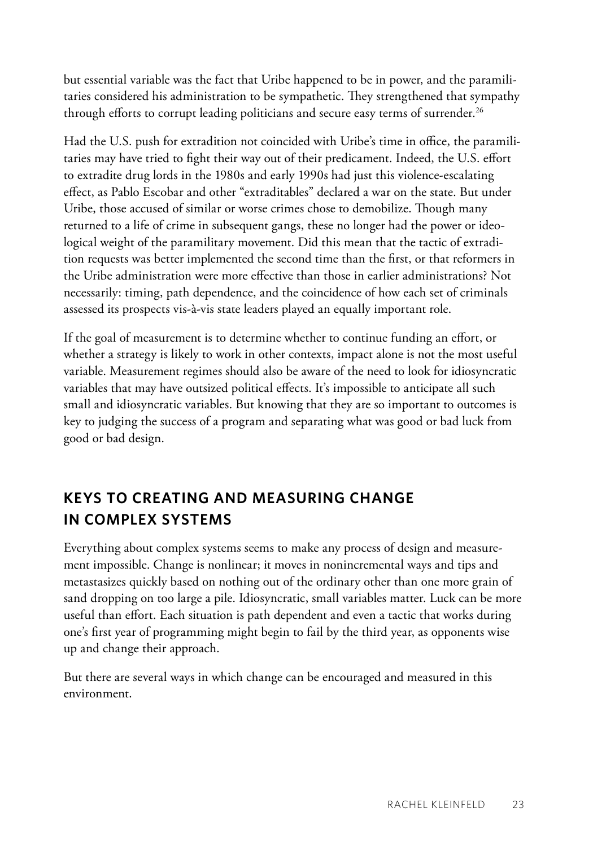but essential variable was the fact that Uribe happened to be in power, and the paramilitaries considered his administration to be sympathetic. They strengthened that sympathy through efforts to corrupt leading politicians and secure easy terms of surrender.<sup>26</sup>

Had the U.S. push for extradition not coincided with Uribe's time in office, the paramilitaries may have tried to fight their way out of their predicament. Indeed, the U.S. effort to extradite drug lords in the 1980s and early 1990s had just this violence-escalating effect, as Pablo Escobar and other "extraditables" declared a war on the state. But under Uribe, those accused of similar or worse crimes chose to demobilize. Though many returned to a life of crime in subsequent gangs, these no longer had the power or ideological weight of the paramilitary movement. Did this mean that the tactic of extradition requests was better implemented the second time than the first, or that reformers in the Uribe administration were more effective than those in earlier administrations? Not necessarily: timing, path dependence, and the coincidence of how each set of criminals assessed its prospects vis-à-vis state leaders played an equally important role.

If the goal of measurement is to determine whether to continue funding an effort, or whether a strategy is likely to work in other contexts, impact alone is not the most useful variable. Measurement regimes should also be aware of the need to look for idiosyncratic variables that may have outsized political effects. It's impossible to anticipate all such small and idiosyncratic variables. But knowing that they are so important to outcomes is key to judging the success of a program and separating what was good or bad luck from good or bad design.

#### **Keys to Creating and Measuring Change in Complex Systems**

Everything about complex systems seems to make any process of design and measurement impossible. Change is nonlinear; it moves in nonincremental ways and tips and metastasizes quickly based on nothing out of the ordinary other than one more grain of sand dropping on too large a pile. Idiosyncratic, small variables matter. Luck can be more useful than effort. Each situation is path dependent and even a tactic that works during one's first year of programming might begin to fail by the third year, as opponents wise up and change their approach.

But there are several ways in which change can be encouraged and measured in this environment.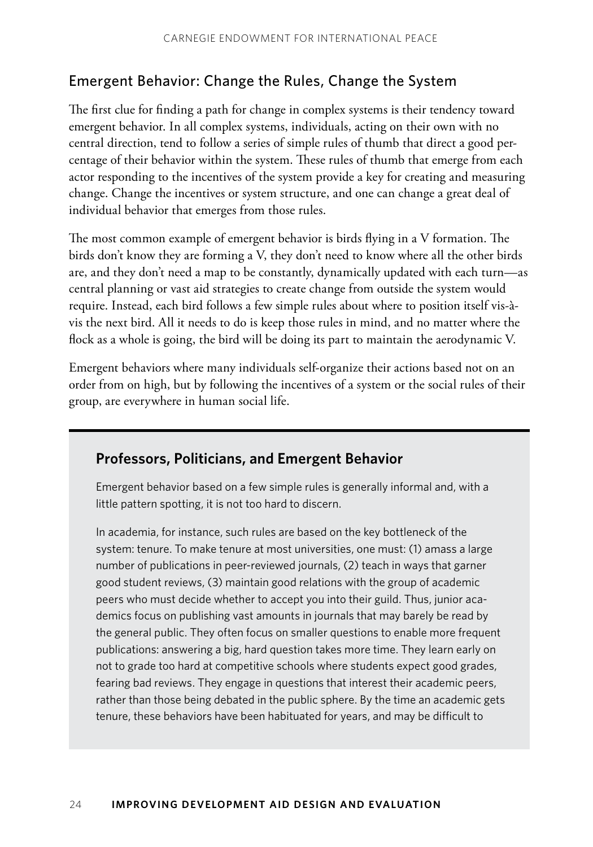#### Emergent Behavior: Change the Rules, Change the System

The first clue for finding a path for change in complex systems is their tendency toward emergent behavior. In all complex systems, individuals, acting on their own with no central direction, tend to follow a series of simple rules of thumb that direct a good percentage of their behavior within the system. These rules of thumb that emerge from each actor responding to the incentives of the system provide a key for creating and measuring change. Change the incentives or system structure, and one can change a great deal of individual behavior that emerges from those rules.

The most common example of emergent behavior is birds flying in a V formation. The birds don't know they are forming a V, they don't need to know where all the other birds are, and they don't need a map to be constantly, dynamically updated with each turn—as central planning or vast aid strategies to create change from outside the system would require. Instead, each bird follows a few simple rules about where to position itself vis-àvis the next bird. All it needs to do is keep those rules in mind, and no matter where the flock as a whole is going, the bird will be doing its part to maintain the aerodynamic V.

Emergent behaviors where many individuals self-organize their actions based not on an order from on high, but by following the incentives of a system or the social rules of their group, are everywhere in human social life.

#### **Professors, Politicians, and Emergent Behavior**

Emergent behavior based on a few simple rules is generally informal and, with a little pattern spotting, it is not too hard to discern.

In academia, for instance, such rules are based on the key bottleneck of the system: tenure. To make tenure at most universities, one must: (1) amass a large number of publications in peer-reviewed journals, (2) teach in ways that garner good student reviews, (3) maintain good relations with the group of academic peers who must decide whether to accept you into their guild. Thus, junior academics focus on publishing vast amounts in journals that may barely be read by the general public. They often focus on smaller questions to enable more frequent publications: answering a big, hard question takes more time. They learn early on not to grade too hard at competitive schools where students expect good grades, fearing bad reviews. They engage in questions that interest their academic peers, rather than those being debated in the public sphere. By the time an academic gets tenure, these behaviors have been habituated for years, and may be difficult to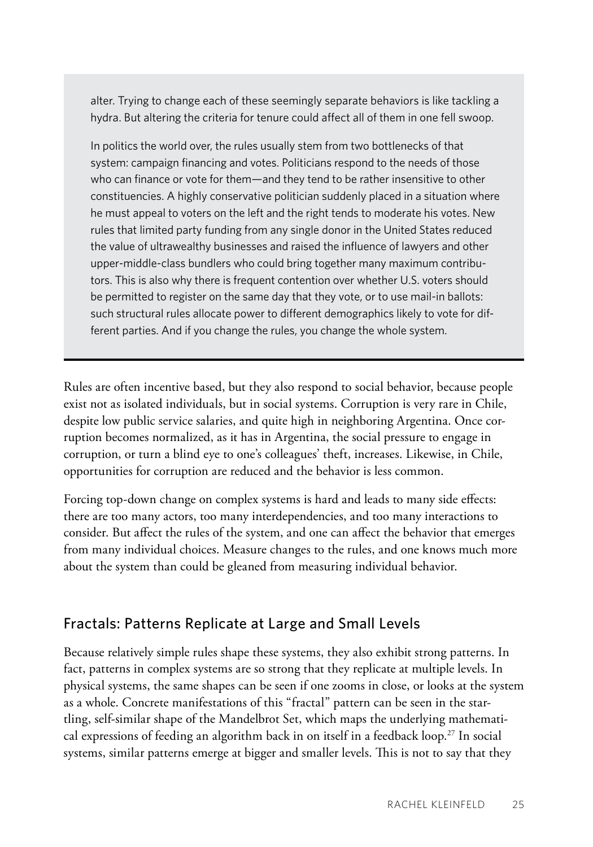alter. Trying to change each of these seemingly separate behaviors is like tackling a hydra. But altering the criteria for tenure could affect all of them in one fell swoop.

In politics the world over, the rules usually stem from two bottlenecks of that system: campaign financing and votes. Politicians respond to the needs of those who can finance or vote for them—and they tend to be rather insensitive to other constituencies. A highly conservative politician suddenly placed in a situation where he must appeal to voters on the left and the right tends to moderate his votes. New rules that limited party funding from any single donor in the United States reduced the value of ultrawealthy businesses and raised the influence of lawyers and other upper-middle-class bundlers who could bring together many maximum contributors. This is also why there is frequent contention over whether U.S. voters should be permitted to register on the same day that they vote, or to use mail-in ballots: such structural rules allocate power to different demographics likely to vote for different parties. And if you change the rules, you change the whole system.

Rules are often incentive based, but they also respond to social behavior, because people exist not as isolated individuals, but in social systems. Corruption is very rare in Chile, despite low public service salaries, and quite high in neighboring Argentina. Once corruption becomes normalized, as it has in Argentina, the social pressure to engage in corruption, or turn a blind eye to one's colleagues' theft, increases. Likewise, in Chile, opportunities for corruption are reduced and the behavior is less common.

Forcing top-down change on complex systems is hard and leads to many side effects: there are too many actors, too many interdependencies, and too many interactions to consider. But affect the rules of the system, and one can affect the behavior that emerges from many individual choices. Measure changes to the rules, and one knows much more about the system than could be gleaned from measuring individual behavior.

#### Fractals: Patterns Replicate at Large and Small Levels

Because relatively simple rules shape these systems, they also exhibit strong patterns. In fact, patterns in complex systems are so strong that they replicate at multiple levels. In physical systems, the same shapes can be seen if one zooms in close, or looks at the system as a whole. Concrete manifestations of this "fractal" pattern can be seen in the startling, self-similar shape of the Mandelbrot Set, which maps the underlying mathematical expressions of feeding an algorithm back in on itself in a feedback loop.<sup>27</sup> In social systems, similar patterns emerge at bigger and smaller levels. This is not to say that they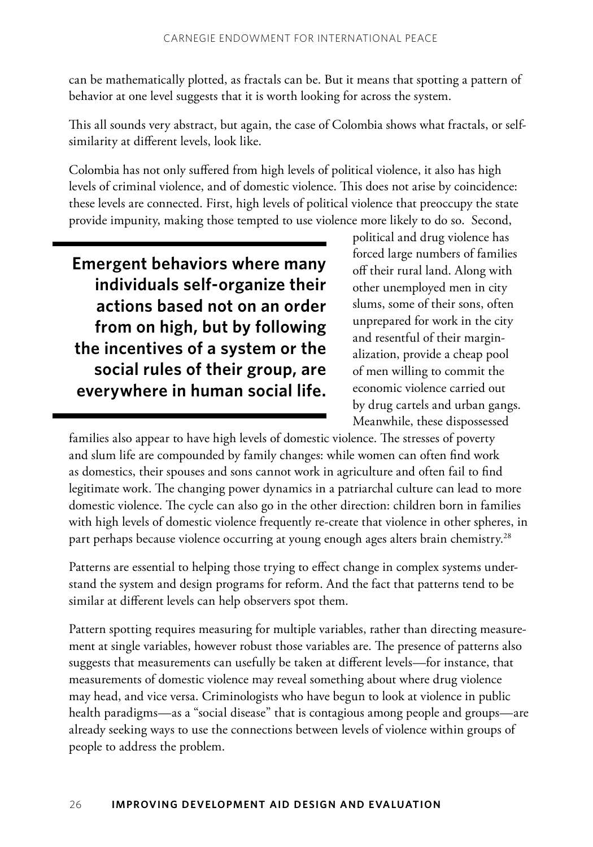can be mathematically plotted, as fractals can be. But it means that spotting a pattern of behavior at one level suggests that it is worth looking for across the system.

This all sounds very abstract, but again, the case of Colombia shows what fractals, or selfsimilarity at different levels, look like.

Colombia has not only suffered from high levels of political violence, it also has high levels of criminal violence, and of domestic violence. This does not arise by coincidence: these levels are connected. First, high levels of political violence that preoccupy the state provide impunity, making those tempted to use violence more likely to do so. Second,

**Emergent behaviors where many individuals self-organize their actions based not on an order from on high, but by following the incentives of a system or the social rules of their group, are everywhere in human social life.**  political and drug violence has forced large numbers of families off their rural land. Along with other unemployed men in city slums, some of their sons, often unprepared for work in the city and resentful of their marginalization, provide a cheap pool of men willing to commit the economic violence carried out by drug cartels and urban gangs. Meanwhile, these dispossessed

families also appear to have high levels of domestic violence. The stresses of poverty and slum life are compounded by family changes: while women can often find work as domestics, their spouses and sons cannot work in agriculture and often fail to find legitimate work. The changing power dynamics in a patriarchal culture can lead to more domestic violence. The cycle can also go in the other direction: children born in families with high levels of domestic violence frequently re-create that violence in other spheres, in part perhaps because violence occurring at young enough ages alters brain chemistry.<sup>28</sup>

Patterns are essential to helping those trying to effect change in complex systems understand the system and design programs for reform. And the fact that patterns tend to be similar at different levels can help observers spot them.

Pattern spotting requires measuring for multiple variables, rather than directing measurement at single variables, however robust those variables are. The presence of patterns also suggests that measurements can usefully be taken at different levels—for instance, that measurements of domestic violence may reveal something about where drug violence may head, and vice versa. Criminologists who have begun to look at violence in public health paradigms—as a "social disease" that is contagious among people and groups—are already seeking ways to use the connections between levels of violence within groups of people to address the problem.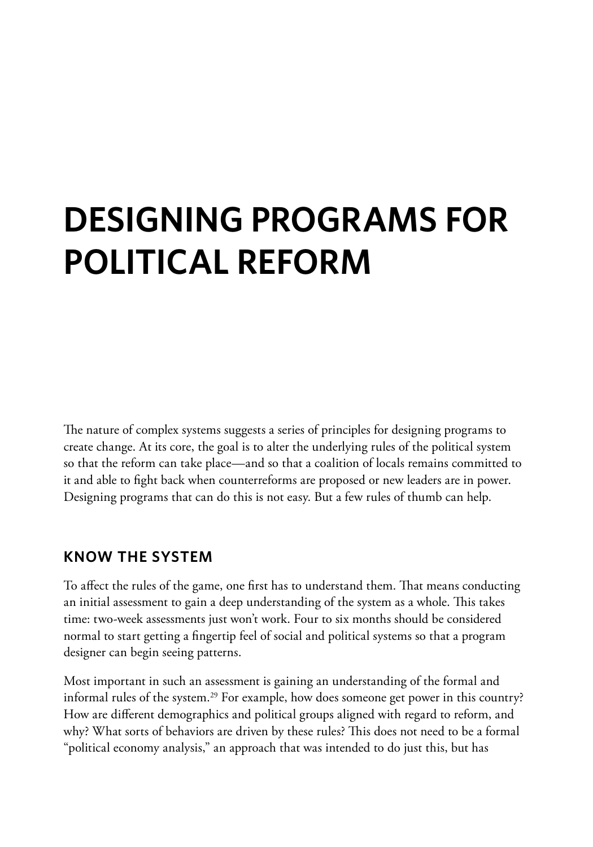# **Designing Programs for Political Reform**

The nature of complex systems suggests a series of principles for designing programs to create change. At its core, the goal is to alter the underlying rules of the political system so that the reform can take place—and so that a coalition of locals remains committed to it and able to fight back when counterreforms are proposed or new leaders are in power. Designing programs that can do this is not easy. But a few rules of thumb can help.

#### **Know the System**

To affect the rules of the game, one first has to understand them. That means conducting an initial assessment to gain a deep understanding of the system as a whole. This takes time: two-week assessments just won't work. Four to six months should be considered normal to start getting a fingertip feel of social and political systems so that a program designer can begin seeing patterns.

Most important in such an assessment is gaining an understanding of the formal and informal rules of the system.<sup>29</sup> For example, how does someone get power in this country? How are different demographics and political groups aligned with regard to reform, and why? What sorts of behaviors are driven by these rules? This does not need to be a formal "political economy analysis," an approach that was intended to do just this, but has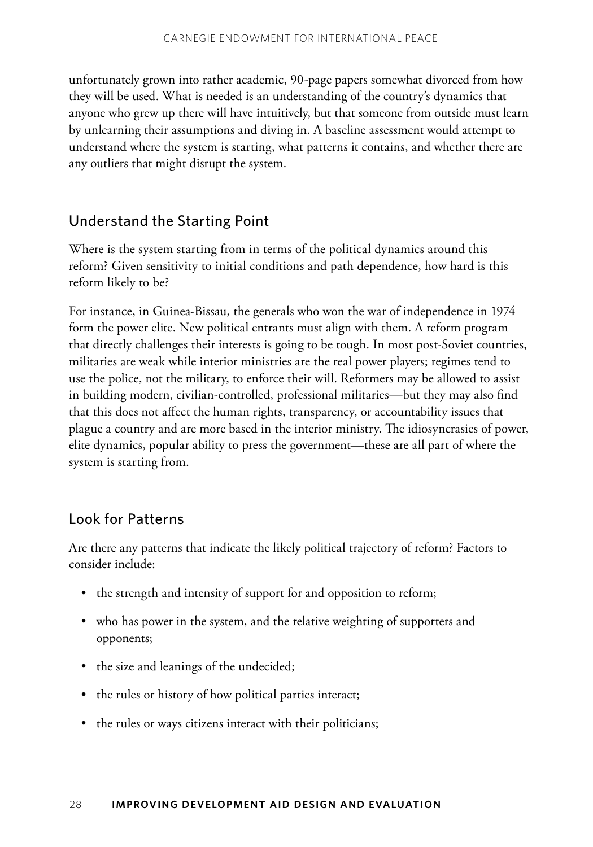unfortunately grown into rather academic, 90-page papers somewhat divorced from how they will be used. What is needed is an understanding of the country's dynamics that anyone who grew up there will have intuitively, but that someone from outside must learn by unlearning their assumptions and diving in. A baseline assessment would attempt to understand where the system is starting, what patterns it contains, and whether there are any outliers that might disrupt the system.

### Understand the Starting Point

Where is the system starting from in terms of the political dynamics around this reform? Given sensitivity to initial conditions and path dependence, how hard is this reform likely to be?

For instance, in Guinea-Bissau, the generals who won the war of independence in 1974 form the power elite. New political entrants must align with them. A reform program that directly challenges their interests is going to be tough. In most post-Soviet countries, militaries are weak while interior ministries are the real power players; regimes tend to use the police, not the military, to enforce their will. Reformers may be allowed to assist in building modern, civilian-controlled, professional militaries—but they may also find that this does not affect the human rights, transparency, or accountability issues that plague a country and are more based in the interior ministry. The idiosyncrasies of power, elite dynamics, popular ability to press the government—these are all part of where the system is starting from.

### Look for Patterns

Are there any patterns that indicate the likely political trajectory of reform? Factors to consider include:

- the strength and intensity of support for and opposition to reform;
- who has power in the system, and the relative weighting of supporters and opponents;
- the size and leanings of the undecided;
- the rules or history of how political parties interact;
- the rules or ways citizens interact with their politicians;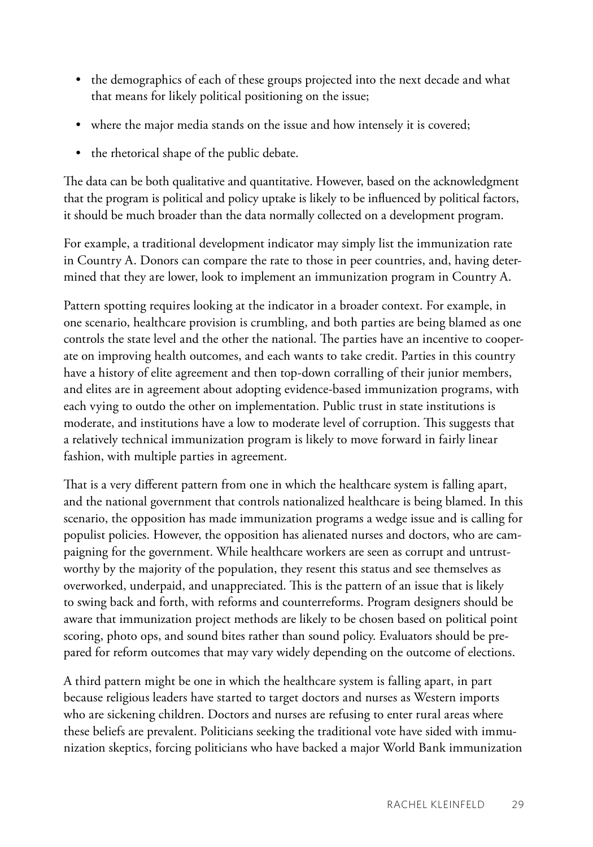- the demographics of each of these groups projected into the next decade and what that means for likely political positioning on the issue;
- where the major media stands on the issue and how intensely it is covered;
- the rhetorical shape of the public debate.

The data can be both qualitative and quantitative. However, based on the acknowledgment that the program is political and policy uptake is likely to be influenced by political factors, it should be much broader than the data normally collected on a development program.

For example, a traditional development indicator may simply list the immunization rate in Country A. Donors can compare the rate to those in peer countries, and, having determined that they are lower, look to implement an immunization program in Country A.

Pattern spotting requires looking at the indicator in a broader context. For example, in one scenario, healthcare provision is crumbling, and both parties are being blamed as one controls the state level and the other the national. The parties have an incentive to cooperate on improving health outcomes, and each wants to take credit. Parties in this country have a history of elite agreement and then top-down corralling of their junior members, and elites are in agreement about adopting evidence-based immunization programs, with each vying to outdo the other on implementation. Public trust in state institutions is moderate, and institutions have a low to moderate level of corruption. This suggests that a relatively technical immunization program is likely to move forward in fairly linear fashion, with multiple parties in agreement.

That is a very different pattern from one in which the healthcare system is falling apart, and the national government that controls nationalized healthcare is being blamed. In this scenario, the opposition has made immunization programs a wedge issue and is calling for populist policies. However, the opposition has alienated nurses and doctors, who are campaigning for the government. While healthcare workers are seen as corrupt and untrustworthy by the majority of the population, they resent this status and see themselves as overworked, underpaid, and unappreciated. This is the pattern of an issue that is likely to swing back and forth, with reforms and counterreforms. Program designers should be aware that immunization project methods are likely to be chosen based on political point scoring, photo ops, and sound bites rather than sound policy. Evaluators should be prepared for reform outcomes that may vary widely depending on the outcome of elections.

A third pattern might be one in which the healthcare system is falling apart, in part because religious leaders have started to target doctors and nurses as Western imports who are sickening children. Doctors and nurses are refusing to enter rural areas where these beliefs are prevalent. Politicians seeking the traditional vote have sided with immunization skeptics, forcing politicians who have backed a major World Bank immunization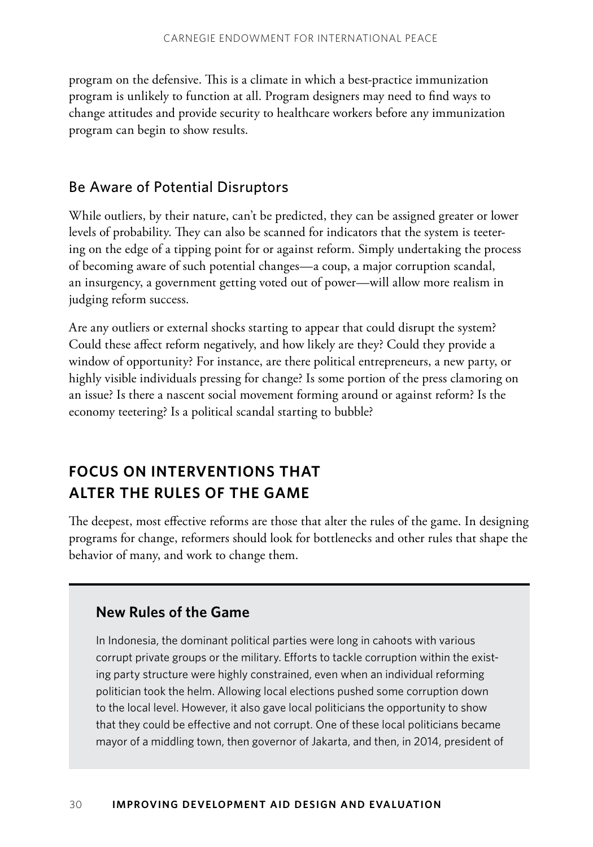program on the defensive. This is a climate in which a best-practice immunization program is unlikely to function at all. Program designers may need to find ways to change attitudes and provide security to healthcare workers before any immunization program can begin to show results.

#### Be Aware of Potential Disruptors

While outliers, by their nature, can't be predicted, they can be assigned greater or lower levels of probability. They can also be scanned for indicators that the system is teetering on the edge of a tipping point for or against reform. Simply undertaking the process of becoming aware of such potential changes—a coup, a major corruption scandal, an insurgency, a government getting voted out of power—will allow more realism in judging reform success.

Are any outliers or external shocks starting to appear that could disrupt the system? Could these affect reform negatively, and how likely are they? Could they provide a window of opportunity? For instance, are there political entrepreneurs, a new party, or highly visible individuals pressing for change? Is some portion of the press clamoring on an issue? Is there a nascent social movement forming around or against reform? Is the economy teetering? Is a political scandal starting to bubble?

## **Focus on Interventions That Alter the Rules of the Game**

The deepest, most effective reforms are those that alter the rules of the game. In designing programs for change, reformers should look for bottlenecks and other rules that shape the behavior of many, and work to change them.

### **New Rules of the Game**

In Indonesia, the dominant political parties were long in cahoots with various corrupt private groups or the military. Efforts to tackle corruption within the existing party structure were highly constrained, even when an individual reforming politician took the helm. Allowing local elections pushed some corruption down to the local level. However, it also gave local politicians the opportunity to show that they could be effective and not corrupt. One of these local politicians became mayor of a middling town, then governor of Jakarta, and then, in 2014, president of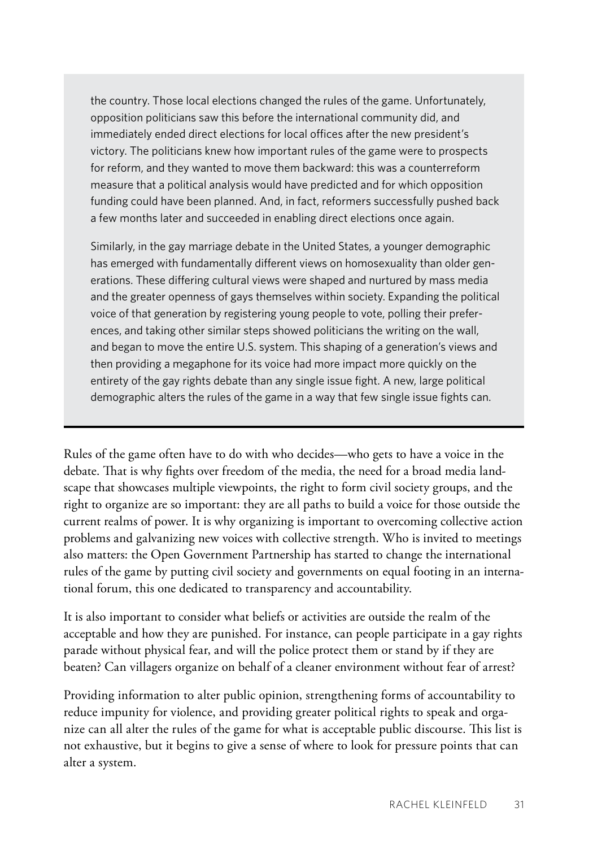the country. Those local elections changed the rules of the game. Unfortunately, opposition politicians saw this before the international community did, and immediately ended direct elections for local offices after the new president's victory. The politicians knew how important rules of the game were to prospects for reform, and they wanted to move them backward: this was a counterreform measure that a political analysis would have predicted and for which opposition funding could have been planned. And, in fact, reformers successfully pushed back a few months later and succeeded in enabling direct elections once again.

Similarly, in the gay marriage debate in the United States, a younger demographic has emerged with fundamentally different views on homosexuality than older generations. These differing cultural views were shaped and nurtured by mass media and the greater openness of gays themselves within society. Expanding the political voice of that generation by registering young people to vote, polling their preferences, and taking other similar steps showed politicians the writing on the wall, and began to move the entire U.S. system. This shaping of a generation's views and then providing a megaphone for its voice had more impact more quickly on the entirety of the gay rights debate than any single issue fight. A new, large political demographic alters the rules of the game in a way that few single issue fights can.

Rules of the game often have to do with who decides—who gets to have a voice in the debate. That is why fights over freedom of the media, the need for a broad media landscape that showcases multiple viewpoints, the right to form civil society groups, and the right to organize are so important: they are all paths to build a voice for those outside the current realms of power. It is why organizing is important to overcoming collective action problems and galvanizing new voices with collective strength. Who is invited to meetings also matters: the Open Government Partnership has started to change the international rules of the game by putting civil society and governments on equal footing in an international forum, this one dedicated to transparency and accountability.

It is also important to consider what beliefs or activities are outside the realm of the acceptable and how they are punished. For instance, can people participate in a gay rights parade without physical fear, and will the police protect them or stand by if they are beaten? Can villagers organize on behalf of a cleaner environment without fear of arrest?

Providing information to alter public opinion, strengthening forms of accountability to reduce impunity for violence, and providing greater political rights to speak and organize can all alter the rules of the game for what is acceptable public discourse. This list is not exhaustive, but it begins to give a sense of where to look for pressure points that can alter a system.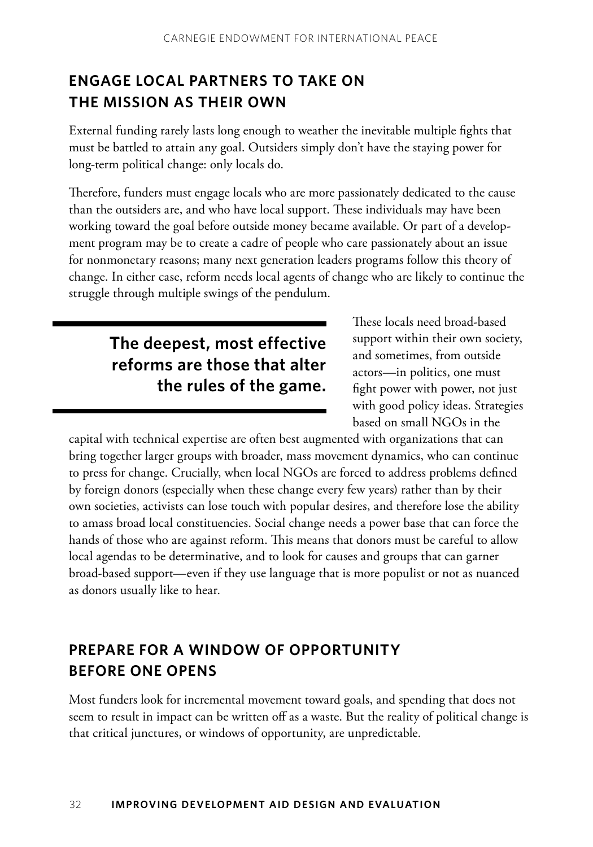## **Engage Local Partners to Take on the Mission as Their Own**

External funding rarely lasts long enough to weather the inevitable multiple fights that must be battled to attain any goal. Outsiders simply don't have the staying power for long-term political change: only locals do.

Therefore, funders must engage locals who are more passionately dedicated to the cause than the outsiders are, and who have local support. These individuals may have been working toward the goal before outside money became available. Or part of a development program may be to create a cadre of people who care passionately about an issue for nonmonetary reasons; many next generation leaders programs follow this theory of change. In either case, reform needs local agents of change who are likely to continue the struggle through multiple swings of the pendulum.

# **The deepest, most effective reforms are those that alter the rules of the game.**

These locals need broad-based support within their own society, and sometimes, from outside actors—in politics, one must fight power with power, not just with good policy ideas. Strategies based on small NGOs in the

capital with technical expertise are often best augmented with organizations that can bring together larger groups with broader, mass movement dynamics, who can continue to press for change. Crucially, when local NGOs are forced to address problems defined by foreign donors (especially when these change every few years) rather than by their own societies, activists can lose touch with popular desires, and therefore lose the ability to amass broad local constituencies. Social change needs a power base that can force the hands of those who are against reform. This means that donors must be careful to allow local agendas to be determinative, and to look for causes and groups that can garner broad-based support—even if they use language that is more populist or not as nuanced as donors usually like to hear.

## **Prepare for a Window of Opportunity Before One Opens**

Most funders look for incremental movement toward goals, and spending that does not seem to result in impact can be written off as a waste. But the reality of political change is that critical junctures, or windows of opportunity, are unpredictable.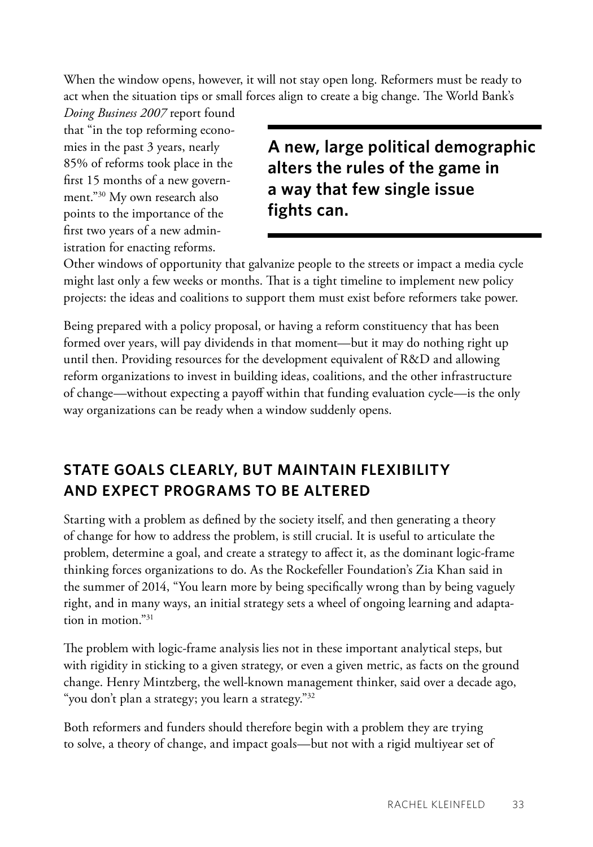When the window opens, however, it will not stay open long. Reformers must be ready to act when the situation tips or small forces align to create a big change. The World Bank's

*Doing Business 2007* report found that "in the top reforming economies in the past 3 years, nearly 85% of reforms took place in the first 15 months of a new government."30 My own research also points to the importance of the first two years of a new administration for enacting reforms.

**A new, large political demographic alters the rules of the game in a way that few single issue fights can.**

Other windows of opportunity that galvanize people to the streets or impact a media cycle might last only a few weeks or months. That is a tight timeline to implement new policy projects: the ideas and coalitions to support them must exist before reformers take power.

Being prepared with a policy proposal, or having a reform constituency that has been formed over years, will pay dividends in that moment—but it may do nothing right up until then. Providing resources for the development equivalent of R&D and allowing reform organizations to invest in building ideas, coalitions, and the other infrastructure of change—without expecting a payoff within that funding evaluation cycle—is the only way organizations can be ready when a window suddenly opens.

## **State Goals Clearly, but Maintain Flexibility and Expect Programs to Be Altered**

Starting with a problem as defined by the society itself, and then generating a theory of change for how to address the problem, is still crucial. It is useful to articulate the problem, determine a goal, and create a strategy to affect it, as the dominant logic-frame thinking forces organizations to do. As the Rockefeller Foundation's Zia Khan said in the summer of 2014, "You learn more by being specifically wrong than by being vaguely right, and in many ways, an initial strategy sets a wheel of ongoing learning and adaptation in motion."31

The problem with logic-frame analysis lies not in these important analytical steps, but with rigidity in sticking to a given strategy, or even a given metric, as facts on the ground change. Henry Mintzberg, the well-known management thinker, said over a decade ago, "you don't plan a strategy; you learn a strategy."<sup>32</sup>

Both reformers and funders should therefore begin with a problem they are trying to solve, a theory of change, and impact goals—but not with a rigid multiyear set of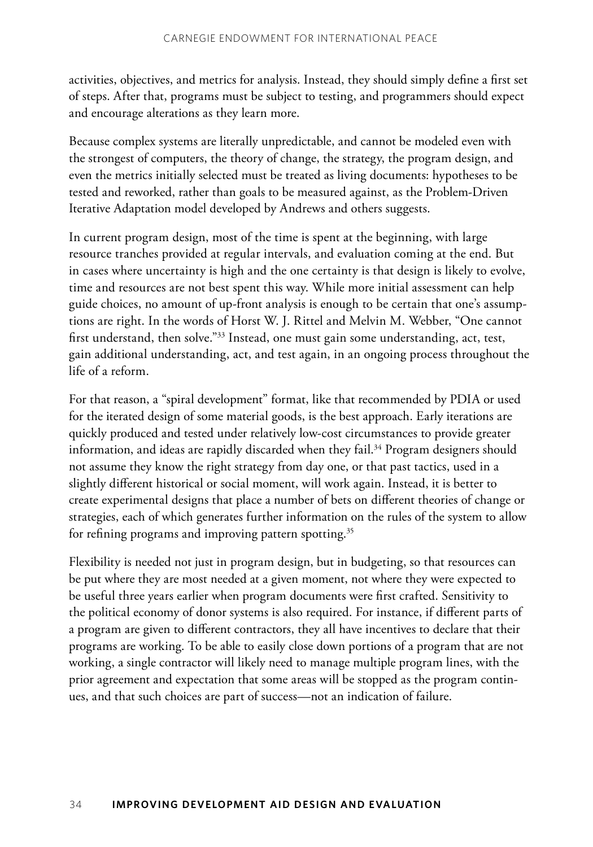activities, objectives, and metrics for analysis. Instead, they should simply define a first set of steps. After that, programs must be subject to testing, and programmers should expect and encourage alterations as they learn more.

Because complex systems are literally unpredictable, and cannot be modeled even with the strongest of computers, the theory of change, the strategy, the program design, and even the metrics initially selected must be treated as living documents: hypotheses to be tested and reworked, rather than goals to be measured against, as the Problem-Driven Iterative Adaptation model developed by Andrews and others suggests.

In current program design, most of the time is spent at the beginning, with large resource tranches provided at regular intervals, and evaluation coming at the end. But in cases where uncertainty is high and the one certainty is that design is likely to evolve, time and resources are not best spent this way. While more initial assessment can help guide choices, no amount of up-front analysis is enough to be certain that one's assumptions are right. In the words of Horst W. J. Rittel and Melvin M. Webber, "One cannot first understand, then solve."<sup>33</sup> Instead, one must gain some understanding, act, test, gain additional understanding, act, and test again, in an ongoing process throughout the life of a reform.

For that reason, a "spiral development" format, like that recommended by PDIA or used for the iterated design of some material goods, is the best approach. Early iterations are quickly produced and tested under relatively low-cost circumstances to provide greater information, and ideas are rapidly discarded when they fail.<sup>34</sup> Program designers should not assume they know the right strategy from day one, or that past tactics, used in a slightly different historical or social moment, will work again. Instead, it is better to create experimental designs that place a number of bets on different theories of change or strategies, each of which generates further information on the rules of the system to allow for refining programs and improving pattern spotting.<sup>35</sup>

Flexibility is needed not just in program design, but in budgeting, so that resources can be put where they are most needed at a given moment, not where they were expected to be useful three years earlier when program documents were first crafted. Sensitivity to the political economy of donor systems is also required. For instance, if different parts of a program are given to different contractors, they all have incentives to declare that their programs are working. To be able to easily close down portions of a program that are not working, a single contractor will likely need to manage multiple program lines, with the prior agreement and expectation that some areas will be stopped as the program continues, and that such choices are part of success—not an indication of failure.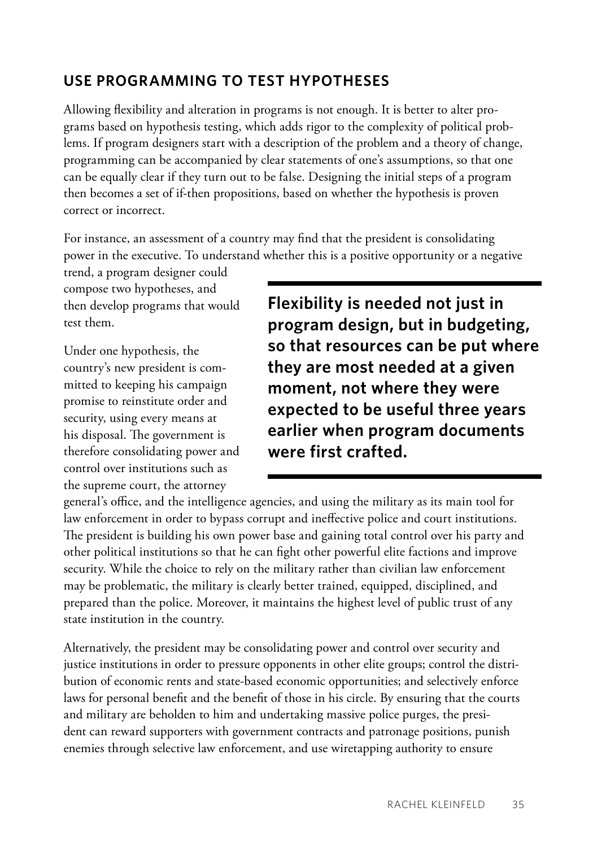## **Use Programming to Test Hypotheses**

Allowing flexibility and alteration in programs is not enough. It is better to alter programs based on hypothesis testing, which adds rigor to the complexity of political problems. If program designers start with a description of the problem and a theory of change, programming can be accompanied by clear statements of one's assumptions, so that one can be equally clear if they turn out to be false. Designing the initial steps of a program then becomes a set of if-then propositions, based on whether the hypothesis is proven correct or incorrect.

For instance, an assessment of a country may find that the president is consolidating power in the executive. To understand whether this is a positive opportunity or a negative

trend, a program designer could compose two hypotheses, and then develop programs that would test them.

Under one hypothesis, the country's new president is committed to keeping his campaign promise to reinstitute order and security, using every means at his disposal. The government is therefore consolidating power and control over institutions such as the supreme court, the attorney

**Flexibility is needed not just in program design, but in budgeting, so that resources can be put where they are most needed at a given moment, not where they were expected to be useful three years earlier when program documents were first crafted.** 

general's office, and the intelligence agencies, and using the military as its main tool for law enforcement in order to bypass corrupt and ineffective police and court institutions. The president is building his own power base and gaining total control over his party and other political institutions so that he can fight other powerful elite factions and improve security. While the choice to rely on the military rather than civilian law enforcement may be problematic, the military is clearly better trained, equipped, disciplined, and prepared than the police. Moreover, it maintains the highest level of public trust of any state institution in the country.

Alternatively, the president may be consolidating power and control over security and justice institutions in order to pressure opponents in other elite groups; control the distribution of economic rents and state-based economic opportunities; and selectively enforce laws for personal benefit and the benefit of those in his circle. By ensuring that the courts and military are beholden to him and undertaking massive police purges, the president can reward supporters with government contracts and patronage positions, punish enemies through selective law enforcement, and use wiretapping authority to ensure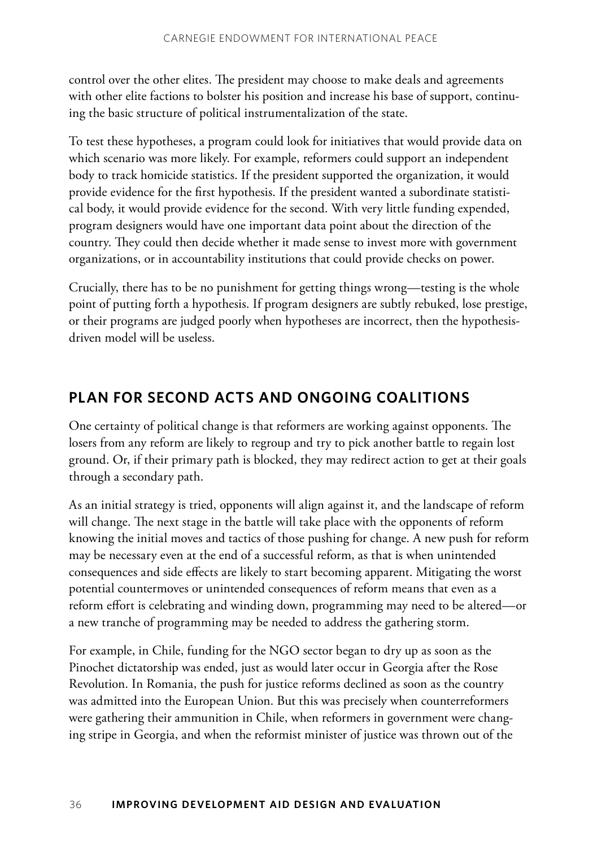control over the other elites. The president may choose to make deals and agreements with other elite factions to bolster his position and increase his base of support, continuing the basic structure of political instrumentalization of the state.

To test these hypotheses, a program could look for initiatives that would provide data on which scenario was more likely. For example, reformers could support an independent body to track homicide statistics. If the president supported the organization, it would provide evidence for the first hypothesis. If the president wanted a subordinate statistical body, it would provide evidence for the second. With very little funding expended, program designers would have one important data point about the direction of the country. They could then decide whether it made sense to invest more with government organizations, or in accountability institutions that could provide checks on power.

Crucially, there has to be no punishment for getting things wrong—testing is the whole point of putting forth a hypothesis. If program designers are subtly rebuked, lose prestige, or their programs are judged poorly when hypotheses are incorrect, then the hypothesisdriven model will be useless.

### **Plan for Second Acts and Ongoing Coalitions**

One certainty of political change is that reformers are working against opponents. The losers from any reform are likely to regroup and try to pick another battle to regain lost ground. Or, if their primary path is blocked, they may redirect action to get at their goals through a secondary path.

As an initial strategy is tried, opponents will align against it, and the landscape of reform will change. The next stage in the battle will take place with the opponents of reform knowing the initial moves and tactics of those pushing for change. A new push for reform may be necessary even at the end of a successful reform, as that is when unintended consequences and side effects are likely to start becoming apparent. Mitigating the worst potential countermoves or unintended consequences of reform means that even as a reform effort is celebrating and winding down, programming may need to be altered—or a new tranche of programming may be needed to address the gathering storm.

For example, in Chile, funding for the NGO sector began to dry up as soon as the Pinochet dictatorship was ended, just as would later occur in Georgia after the Rose Revolution. In Romania, the push for justice reforms declined as soon as the country was admitted into the European Union. But this was precisely when counterreformers were gathering their ammunition in Chile, when reformers in government were changing stripe in Georgia, and when the reformist minister of justice was thrown out of the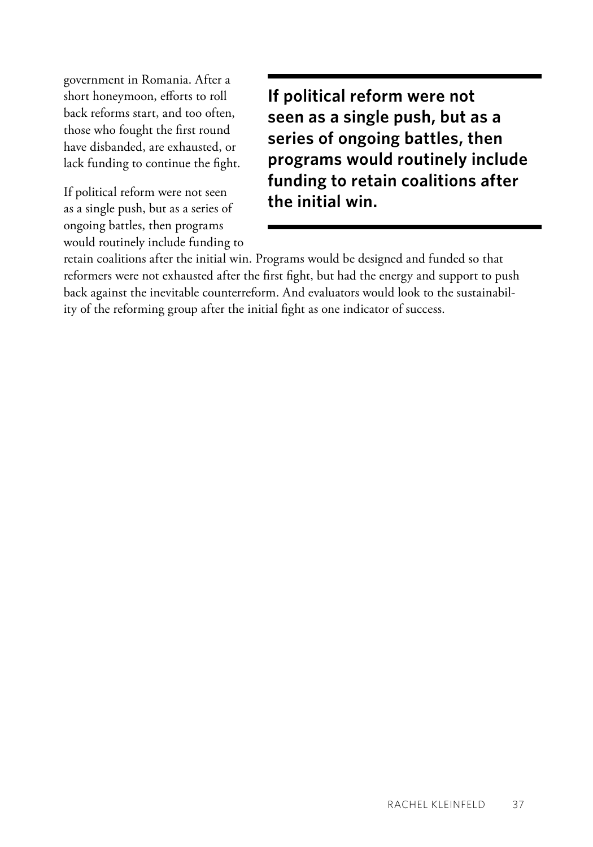government in Romania. After a short honeymoon, efforts to roll back reforms start, and too often, those who fought the first round have disbanded, are exhausted, or lack funding to continue the fight.

If political reform were not seen as a single push, but as a series of ongoing battles, then programs would routinely include funding to **If political reform were not seen as a single push, but as a series of ongoing battles, then programs would routinely include funding to retain coalitions after the initial win.**

retain coalitions after the initial win. Programs would be designed and funded so that reformers were not exhausted after the first fight, but had the energy and support to push back against the inevitable counterreform. And evaluators would look to the sustainability of the reforming group after the initial fight as one indicator of success.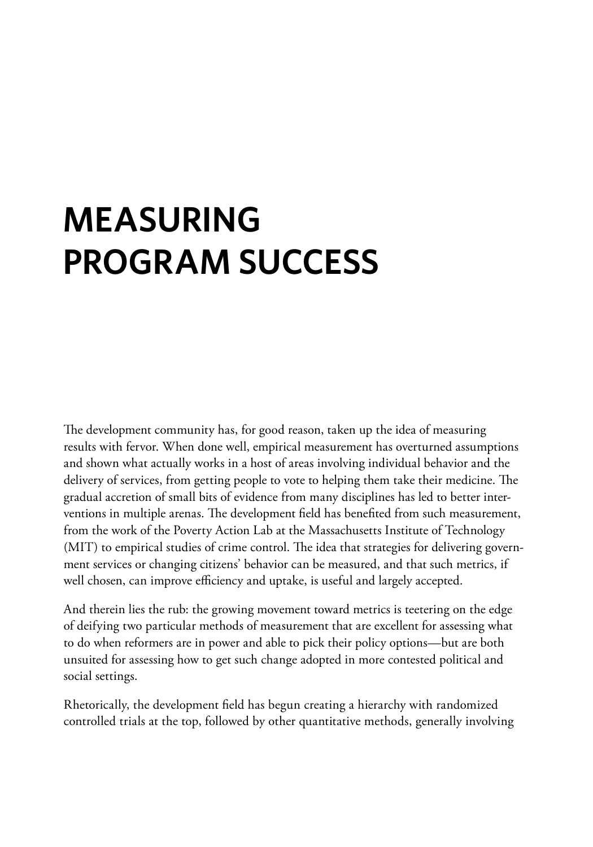# **Measuring Program Success**

The development community has, for good reason, taken up the idea of measuring results with fervor. When done well, empirical measurement has overturned assumptions and shown what actually works in a host of areas involving individual behavior and the delivery of services, from getting people to vote to helping them take their medicine. The gradual accretion of small bits of evidence from many disciplines has led to better interventions in multiple arenas. The development field has benefited from such measurement, from the work of the Poverty Action Lab at the Massachusetts Institute of Technology (MIT) to empirical studies of crime control. The idea that strategies for delivering government services or changing citizens' behavior can be measured, and that such metrics, if well chosen, can improve efficiency and uptake, is useful and largely accepted.

And therein lies the rub: the growing movement toward metrics is teetering on the edge of deifying two particular methods of measurement that are excellent for assessing what to do when reformers are in power and able to pick their policy options—but are both unsuited for assessing how to get such change adopted in more contested political and social settings.

Rhetorically, the development field has begun creating a hierarchy with randomized controlled trials at the top, followed by other quantitative methods, generally involving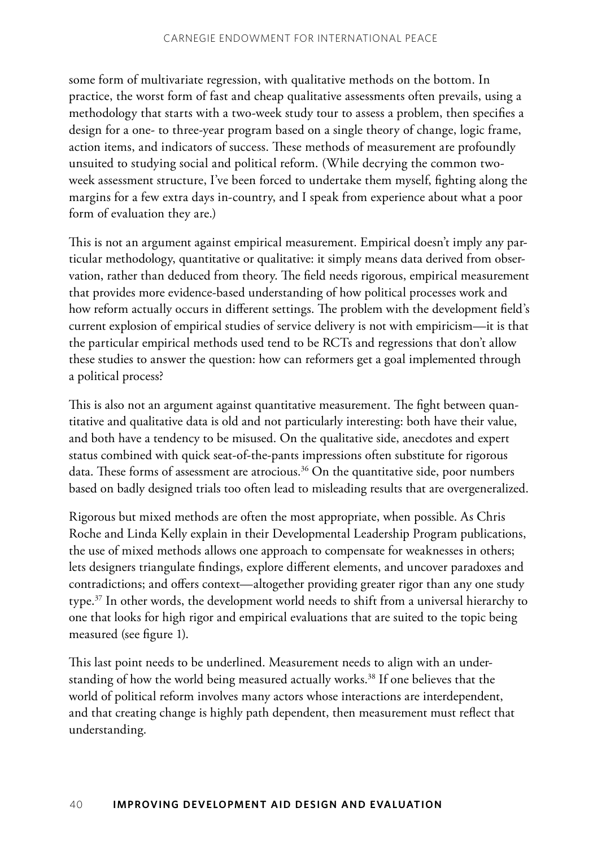some form of multivariate regression, with qualitative methods on the bottom. In practice, the worst form of fast and cheap qualitative assessments often prevails, using a methodology that starts with a two-week study tour to assess a problem, then specifies a design for a one- to three-year program based on a single theory of change, logic frame, action items, and indicators of success. These methods of measurement are profoundly unsuited to studying social and political reform. (While decrying the common twoweek assessment structure, I've been forced to undertake them myself, fighting along the margins for a few extra days in-country, and I speak from experience about what a poor form of evaluation they are.)

This is not an argument against empirical measurement. Empirical doesn't imply any particular methodology, quantitative or qualitative: it simply means data derived from observation, rather than deduced from theory. The field needs rigorous, empirical measurement that provides more evidence-based understanding of how political processes work and how reform actually occurs in different settings. The problem with the development field's current explosion of empirical studies of service delivery is not with empiricism—it is that the particular empirical methods used tend to be RCTs and regressions that don't allow these studies to answer the question: how can reformers get a goal implemented through a political process?

This is also not an argument against quantitative measurement. The fight between quantitative and qualitative data is old and not particularly interesting: both have their value, and both have a tendency to be misused. On the qualitative side, anecdotes and expert status combined with quick seat-of-the-pants impressions often substitute for rigorous data. These forms of assessment are atrocious. $36$  On the quantitative side, poor numbers based on badly designed trials too often lead to misleading results that are overgeneralized.

Rigorous but mixed methods are often the most appropriate, when possible. As Chris Roche and Linda Kelly explain in their Developmental Leadership Program publications, the use of mixed methods allows one approach to compensate for weaknesses in others; lets designers triangulate findings, explore different elements, and uncover paradoxes and contradictions; and offers context—altogether providing greater rigor than any one study type.<sup>37</sup> In other words, the development world needs to shift from a universal hierarchy to one that looks for high rigor and empirical evaluations that are suited to the topic being measured (see figure 1).

This last point needs to be underlined. Measurement needs to align with an understanding of how the world being measured actually works.<sup>38</sup> If one believes that the world of political reform involves many actors whose interactions are interdependent, and that creating change is highly path dependent, then measurement must reflect that understanding.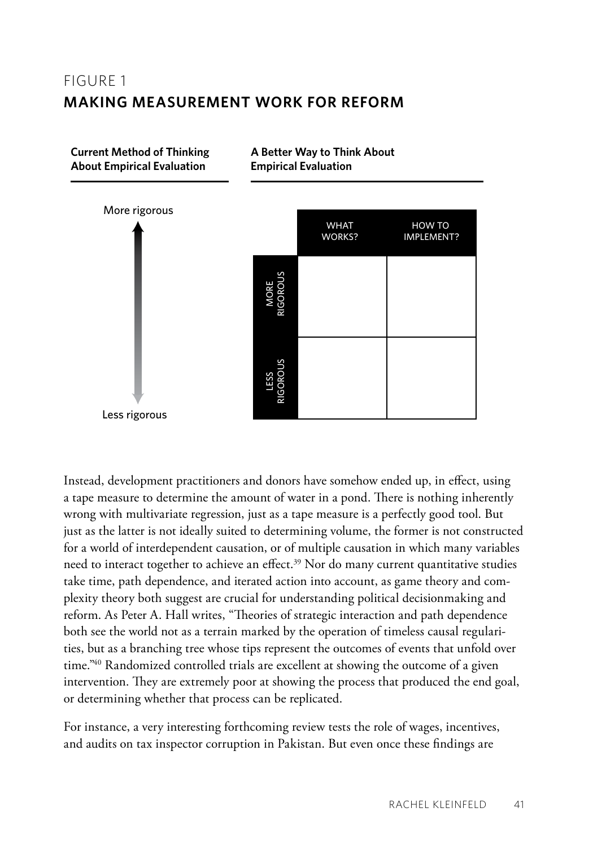## FIGURF<sub>1</sub> **Making Measurement Work for Reform**

**Current Method of Thinking About Empirical Evaluation**



**A Better Way to Think About**

**Empirical Evaluation**

Instead, development practitioners and donors have somehow ended up, in effect, using a tape measure to determine the amount of water in a pond. There is nothing inherently wrong with multivariate regression, just as a tape measure is a perfectly good tool. But just as the latter is not ideally suited to determining volume, the former is not constructed for a world of interdependent causation, or of multiple causation in which many variables need to interact together to achieve an effect.<sup>39</sup> Nor do many current quantitative studies take time, path dependence, and iterated action into account, as game theory and complexity theory both suggest are crucial for understanding political decisionmaking and reform. As Peter A. Hall writes, "Theories of strategic interaction and path dependence both see the world not as a terrain marked by the operation of timeless causal regularities, but as a branching tree whose tips represent the outcomes of events that unfold over time."<sup>40</sup> Randomized controlled trials are excellent at showing the outcome of a given intervention. They are extremely poor at showing the process that produced the end goal, or determining whether that process can be replicated.

For instance, a very interesting forthcoming review tests the role of wages, incentives, and audits on tax inspector corruption in Pakistan. But even once these findings are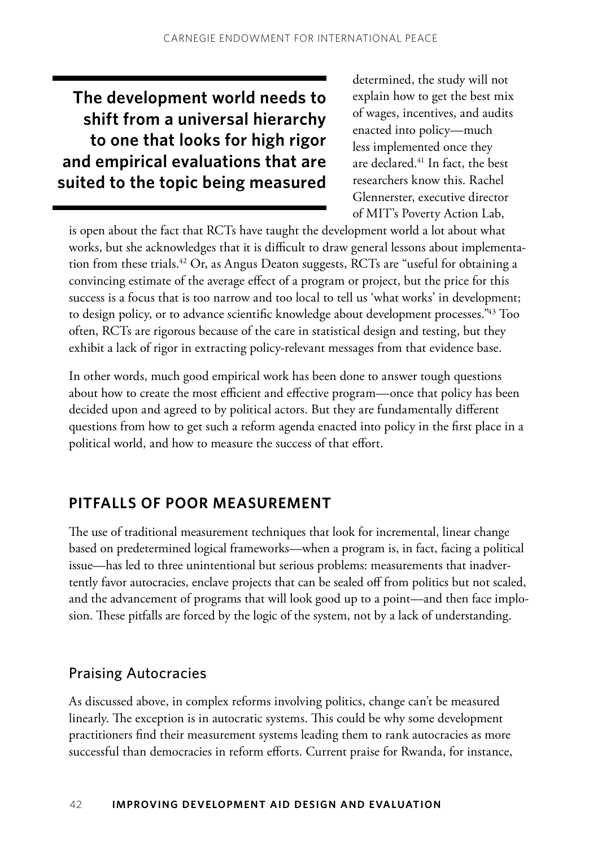**The development world needs to shift from a universal hierarchy to one that looks for high rigor and empirical evaluations that are suited to the topic being measured**  determined, the study will not explain how to get the best mix of wages, incentives, and audits enacted into policy—much less implemented once they are declared.<sup>41</sup> In fact, the best researchers know this. Rachel Glennerster, executive director of MIT's Poverty Action Lab,

is open about the fact that RCTs have taught the development world a lot about what works, but she acknowledges that it is difficult to draw general lessons about implementation from these trials.<sup>42</sup> Or, as Angus Deaton suggests, RCTs are "useful for obtaining a convincing estimate of the average effect of a program or project, but the price for this success is a focus that is too narrow and too local to tell us 'what works' in development; to design policy, or to advance scientific knowledge about development processes."43 Too often, RCTs are rigorous because of the care in statistical design and testing, but they exhibit a lack of rigor in extracting policy-relevant messages from that evidence base.

In other words, much good empirical work has been done to answer tough questions about how to create the most efficient and effective program—once that policy has been decided upon and agreed to by political actors. But they are fundamentally different questions from how to get such a reform agenda enacted into policy in the first place in a political world, and how to measure the success of that effort.

## **Pitfalls of Poor Measurement**

The use of traditional measurement techniques that look for incremental, linear change based on predetermined logical frameworks—when a program is, in fact, facing a political issue—has led to three unintentional but serious problems: measurements that inadvertently favor autocracies, enclave projects that can be sealed off from politics but not scaled, and the advancement of programs that will look good up to a point—and then face implosion. These pitfalls are forced by the logic of the system, not by a lack of understanding.

#### Praising Autocracies

As discussed above, in complex reforms involving politics, change can't be measured linearly. The exception is in autocratic systems. This could be why some development practitioners find their measurement systems leading them to rank autocracies as more successful than democracies in reform efforts. Current praise for Rwanda, for instance,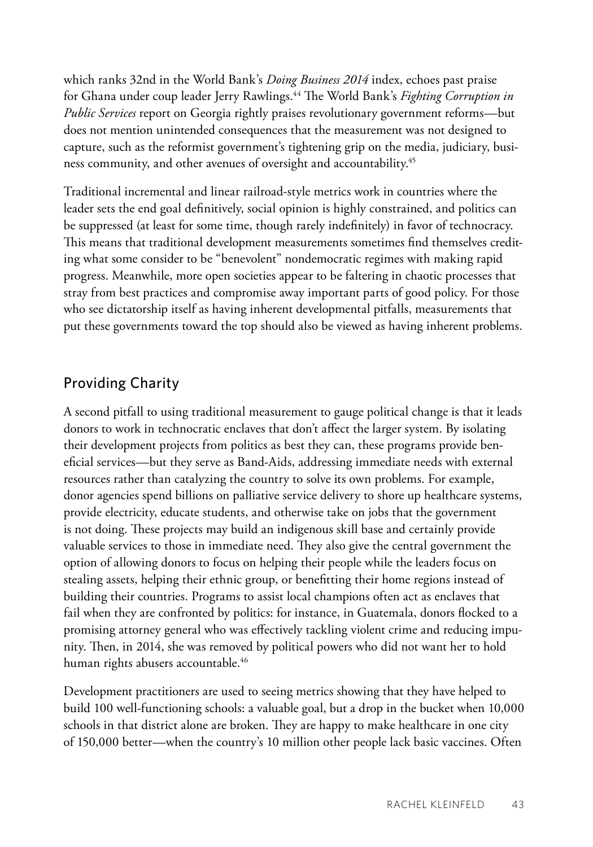which ranks 32nd in the World Bank's *Doing Business 2014* index, echoes past praise for Ghana under coup leader Jerry Rawlings.44 The World Bank's *Fighting Corruption in Public Services* report on Georgia rightly praises revolutionary government reforms—but does not mention unintended consequences that the measurement was not designed to capture, such as the reformist government's tightening grip on the media, judiciary, business community, and other avenues of oversight and accountability.<sup>45</sup>

Traditional incremental and linear railroad-style metrics work in countries where the leader sets the end goal definitively, social opinion is highly constrained, and politics can be suppressed (at least for some time, though rarely indefinitely) in favor of technocracy. This means that traditional development measurements sometimes find themselves crediting what some consider to be "benevolent" nondemocratic regimes with making rapid progress. Meanwhile, more open societies appear to be faltering in chaotic processes that stray from best practices and compromise away important parts of good policy. For those who see dictatorship itself as having inherent developmental pitfalls, measurements that put these governments toward the top should also be viewed as having inherent problems.

## Providing Charity

A second pitfall to using traditional measurement to gauge political change is that it leads donors to work in technocratic enclaves that don't affect the larger system. By isolating their development projects from politics as best they can, these programs provide beneficial services—but they serve as Band-Aids, addressing immediate needs with external resources rather than catalyzing the country to solve its own problems. For example, donor agencies spend billions on palliative service delivery to shore up healthcare systems, provide electricity, educate students, and otherwise take on jobs that the government is not doing. These projects may build an indigenous skill base and certainly provide valuable services to those in immediate need. They also give the central government the option of allowing donors to focus on helping their people while the leaders focus on stealing assets, helping their ethnic group, or benefitting their home regions instead of building their countries. Programs to assist local champions often act as enclaves that fail when they are confronted by politics: for instance, in Guatemala, donors flocked to a promising attorney general who was effectively tackling violent crime and reducing impunity. Then, in 2014, she was removed by political powers who did not want her to hold human rights abusers accountable.<sup>46</sup>

Development practitioners are used to seeing metrics showing that they have helped to build 100 well-functioning schools: a valuable goal, but a drop in the bucket when 10,000 schools in that district alone are broken. They are happy to make healthcare in one city of 150,000 better—when the country's 10 million other people lack basic vaccines. Often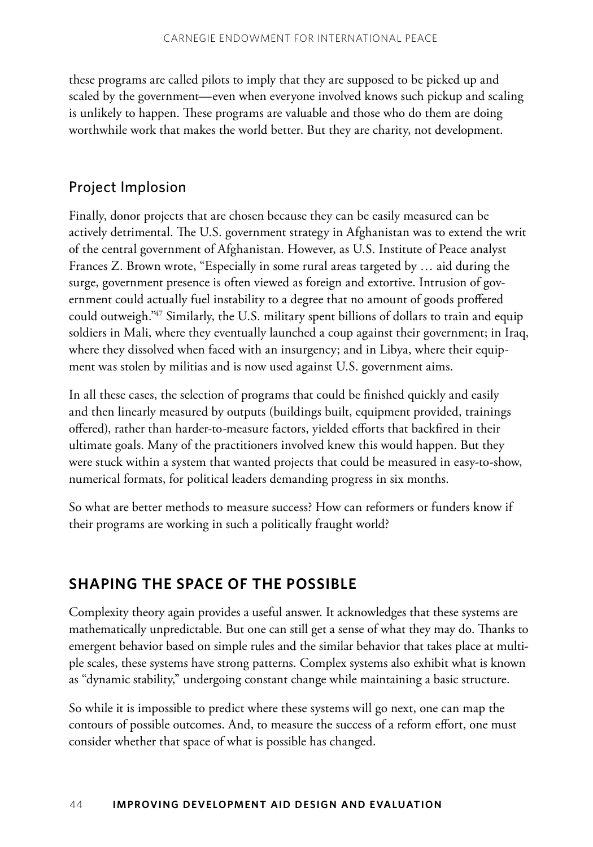these programs are called pilots to imply that they are supposed to be picked up and scaled by the government—even when everyone involved knows such pickup and scaling is unlikely to happen. These programs are valuable and those who do them are doing worthwhile work that makes the world better. But they are charity, not development.

### Project Implosion

Finally, donor projects that are chosen because they can be easily measured can be actively detrimental. The U.S. government strategy in Afghanistan was to extend the writ of the central government of Afghanistan. However, as U.S. Institute of Peace analyst Frances Z. Brown wrote, "Especially in some rural areas targeted by … aid during the surge, government presence is often viewed as foreign and extortive. Intrusion of government could actually fuel instability to a degree that no amount of goods proffered could outweigh."47 Similarly, the U.S. military spent billions of dollars to train and equip soldiers in Mali, where they eventually launched a coup against their government; in Iraq, where they dissolved when faced with an insurgency; and in Libya, where their equipment was stolen by militias and is now used against U.S. government aims.

In all these cases, the selection of programs that could be finished quickly and easily and then linearly measured by outputs (buildings built, equipment provided, trainings offered), rather than harder-to-measure factors, yielded efforts that backfired in their ultimate goals. Many of the practitioners involved knew this would happen. But they were stuck within a system that wanted projects that could be measured in easy-to-show, numerical formats, for political leaders demanding progress in six months.

So what are better methods to measure success? How can reformers or funders know if their programs are working in such a politically fraught world?

## **Shaping the Space of the Possible**

Complexity theory again provides a useful answer. It acknowledges that these systems are mathematically unpredictable. But one can still get a sense of what they may do. Thanks to emergent behavior based on simple rules and the similar behavior that takes place at multiple scales, these systems have strong patterns. Complex systems also exhibit what is known as "dynamic stability," undergoing constant change while maintaining a basic structure.

So while it is impossible to predict where these systems will go next, one can map the contours of possible outcomes. And, to measure the success of a reform effort, one must consider whether that space of what is possible has changed.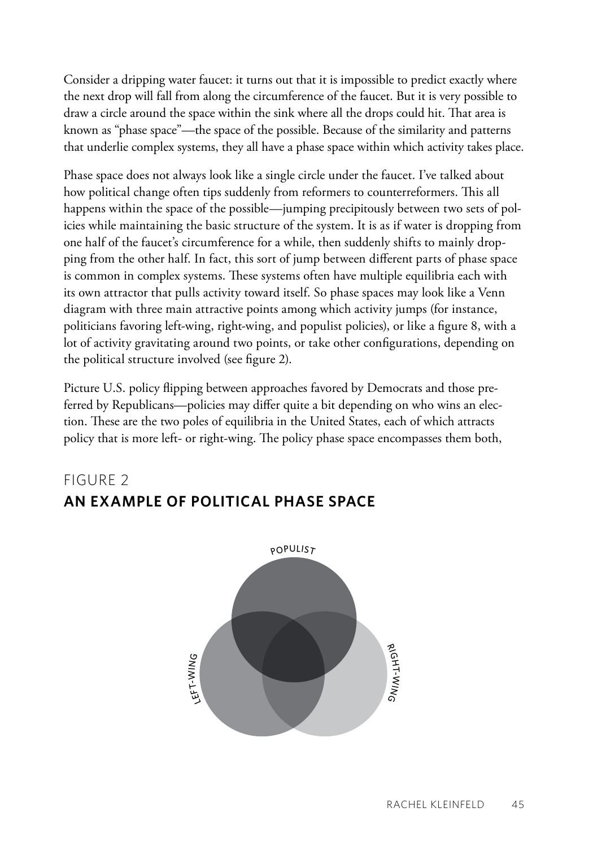Consider a dripping water faucet: it turns out that it is impossible to predict exactly where the next drop will fall from along the circumference of the faucet. But it is very possible to draw a circle around the space within the sink where all the drops could hit. That area is known as "phase space"—the space of the possible. Because of the similarity and patterns that underlie complex systems, they all have a phase space within which activity takes place.

Phase space does not always look like a single circle under the faucet. I've talked about how political change often tips suddenly from reformers to counterreformers. This all happens within the space of the possible—jumping precipitously between two sets of policies while maintaining the basic structure of the system. It is as if water is dropping from one half of the faucet's circumference for a while, then suddenly shifts to mainly dropping from the other half. In fact, this sort of jump between different parts of phase space is common in complex systems. These systems often have multiple equilibria each with its own attractor that pulls activity toward itself. So phase spaces may look like a Venn diagram with three main attractive points among which activity jumps (for instance, politicians favoring left-wing, right-wing, and populist policies), or like a figure 8, with a lot of activity gravitating around two points, or take other configurations, depending on the political structure involved (see figure 2).

Picture U.S. policy flipping between approaches favored by Democrats and those preferred by Republicans—policies may differ quite a bit depending on who wins an election. These are the two poles of equilibria in the United States, each of which attracts policy that is more left- or right-wing. The policy phase space encompasses them both,

## Figure 2 **An Example of Political Phase Space**

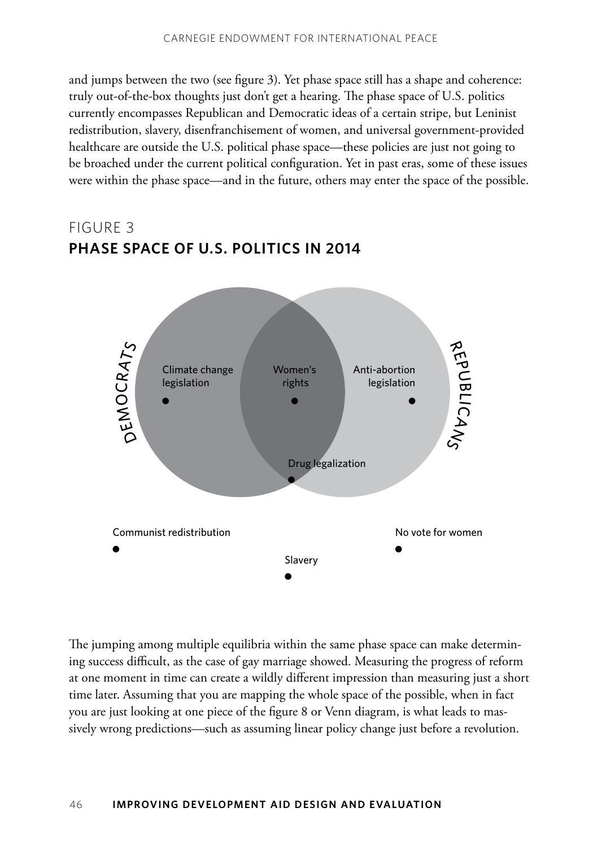and jumps between the two (see figure 3). Yet phase space still has a shape and coherence: truly out-of-the-box thoughts just don't get a hearing. The phase space of U.S. politics currently encompasses Republican and Democratic ideas of a certain stripe, but Leninist redistribution, slavery, disenfranchisement of women, and universal government-provided healthcare are outside the U.S. political phase space—these policies are just not going to be broached under the current political configuration. Yet in past eras, some of these issues were within the phase space—and in the future, others may enter the space of the possible.

## Figure 3 **Phase Space of U.S. Politics in 2014**



The jumping among multiple equilibria within the same phase space can make determining success difficult, as the case of gay marriage showed. Measuring the progress of reform at one moment in time can create a wildly different impression than measuring just a short time later. Assuming that you are mapping the whole space of the possible, when in fact you are just looking at one piece of the figure 8 or Venn diagram, is what leads to massively wrong predictions—such as assuming linear policy change just before a revolution.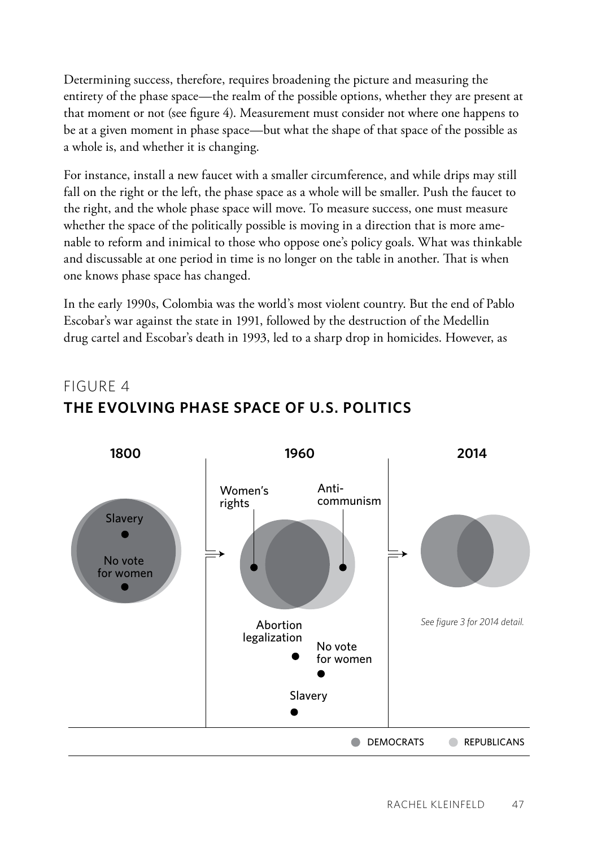Determining success, therefore, requires broadening the picture and measuring the entirety of the phase space—the realm of the possible options, whether they are present at that moment or not (see figure 4). Measurement must consider not where one happens to be at a given moment in phase space—but what the shape of that space of the possible as a whole is, and whether it is changing.

For instance, install a new faucet with a smaller circumference, and while drips may still fall on the right or the left, the phase space as a whole will be smaller. Push the faucet to the right, and the whole phase space will move. To measure success, one must measure whether the space of the politically possible is moving in a direction that is more amenable to reform and inimical to those who oppose one's policy goals. What was thinkable and discussable at one period in time is no longer on the table in another. That is when one knows phase space has changed.

In the early 1990s, Colombia was the world's most violent country. But the end of Pablo Escobar's war against the state in 1991, followed by the destruction of the Medellin drug cartel and Escobar's death in 1993, led to a sharp drop in homicides. However, as

# FIGURF 4 **The Evolving Phase Space of U.S. Politics**

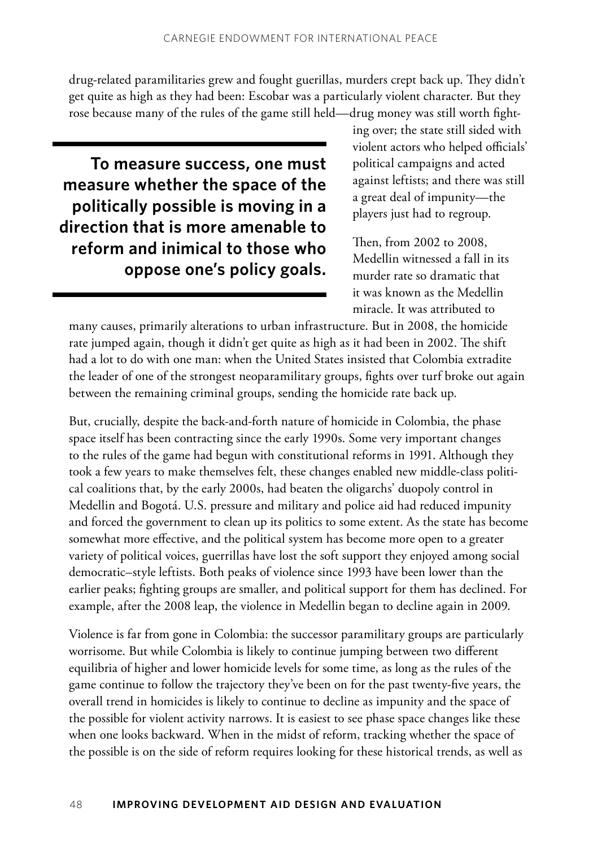drug-related paramilitaries grew and fought guerillas, murders crept back up. They didn't get quite as high as they had been: Escobar was a particularly violent character. But they rose because many of the rules of the game still held—drug money was still worth fight-

**To measure success, one must measure whether the space of the politically possible is moving in a direction that is more amenable to reform and inimical to those who oppose one's policy goals.**

ing over; the state still sided with violent actors who helped officials' political campaigns and acted against leftists; and there was still a great deal of impunity—the players just had to regroup.

Then, from 2002 to 2008, Medellin witnessed a fall in its murder rate so dramatic that it was known as the Medellin miracle. It was attributed to

many causes, primarily alterations to urban infrastructure. But in 2008, the homicide rate jumped again, though it didn't get quite as high as it had been in 2002. The shift had a lot to do with one man: when the United States insisted that Colombia extradite the leader of one of the strongest neoparamilitary groups, fights over turf broke out again between the remaining criminal groups, sending the homicide rate back up.

But, crucially, despite the back-and-forth nature of homicide in Colombia, the phase space itself has been contracting since the early 1990s. Some very important changes to the rules of the game had begun with constitutional reforms in 1991. Although they took a few years to make themselves felt, these changes enabled new middle-class political coalitions that, by the early 2000s, had beaten the oligarchs' duopoly control in Medellin and Bogotá. U.S. pressure and military and police aid had reduced impunity and forced the government to clean up its politics to some extent. As the state has become somewhat more effective, and the political system has become more open to a greater variety of political voices, guerrillas have lost the soft support they enjoyed among social democratic–style leftists. Both peaks of violence since 1993 have been lower than the earlier peaks; fighting groups are smaller, and political support for them has declined. For example, after the 2008 leap, the violence in Medellin began to decline again in 2009.

Violence is far from gone in Colombia: the successor paramilitary groups are particularly worrisome. But while Colombia is likely to continue jumping between two different equilibria of higher and lower homicide levels for some time, as long as the rules of the game continue to follow the trajectory they've been on for the past twenty-five years, the overall trend in homicides is likely to continue to decline as impunity and the space of the possible for violent activity narrows. It is easiest to see phase space changes like these when one looks backward. When in the midst of reform, tracking whether the space of the possible is on the side of reform requires looking for these historical trends, as well as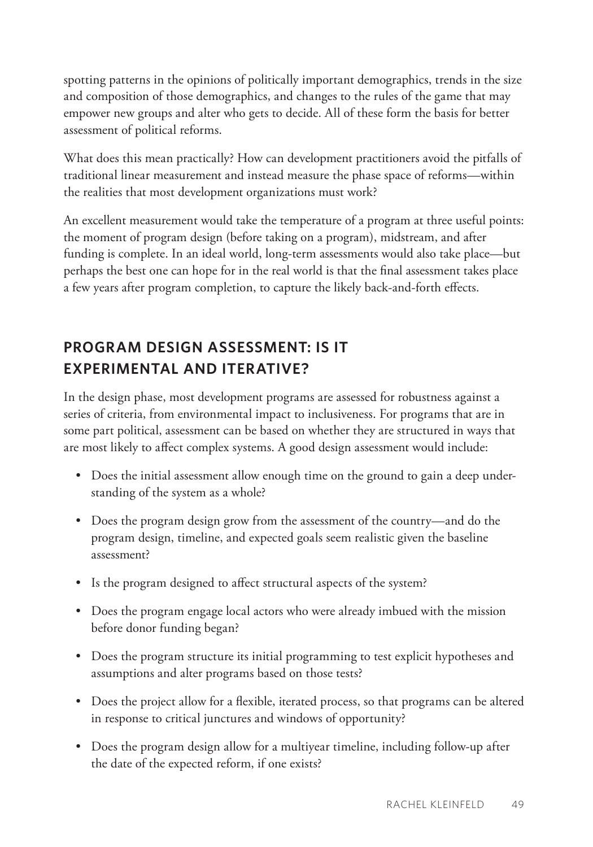spotting patterns in the opinions of politically important demographics, trends in the size and composition of those demographics, and changes to the rules of the game that may empower new groups and alter who gets to decide. All of these form the basis for better assessment of political reforms.

What does this mean practically? How can development practitioners avoid the pitfalls of traditional linear measurement and instead measure the phase space of reforms—within the realities that most development organizations must work?

An excellent measurement would take the temperature of a program at three useful points: the moment of program design (before taking on a program), midstream, and after funding is complete. In an ideal world, long-term assessments would also take place—but perhaps the best one can hope for in the real world is that the final assessment takes place a few years after program completion, to capture the likely back-and-forth effects.

# **Program Design Assessment: Is It Experimental and Iterative?**

In the design phase, most development programs are assessed for robustness against a series of criteria, from environmental impact to inclusiveness. For programs that are in some part political, assessment can be based on whether they are structured in ways that are most likely to affect complex systems. A good design assessment would include:

- Does the initial assessment allow enough time on the ground to gain a deep understanding of the system as a whole?
- Does the program design grow from the assessment of the country—and do the program design, timeline, and expected goals seem realistic given the baseline assessment?
- Is the program designed to affect structural aspects of the system?
- Does the program engage local actors who were already imbued with the mission before donor funding began?
- Does the program structure its initial programming to test explicit hypotheses and assumptions and alter programs based on those tests?
- Does the project allow for a flexible, iterated process, so that programs can be altered in response to critical junctures and windows of opportunity?
- Does the program design allow for a multiyear timeline, including follow-up after the date of the expected reform, if one exists?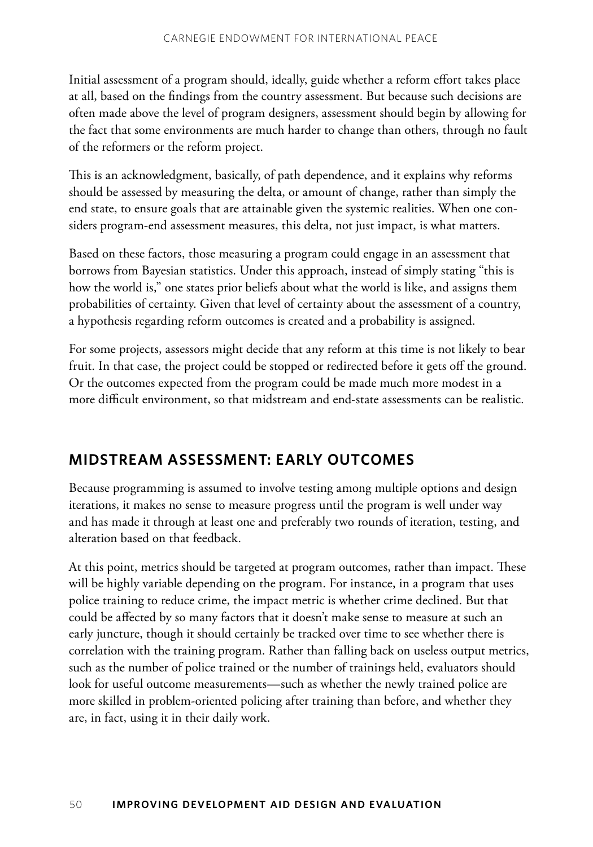Initial assessment of a program should, ideally, guide whether a reform effort takes place at all, based on the findings from the country assessment. But because such decisions are often made above the level of program designers, assessment should begin by allowing for the fact that some environments are much harder to change than others, through no fault of the reformers or the reform project.

This is an acknowledgment, basically, of path dependence, and it explains why reforms should be assessed by measuring the delta, or amount of change, rather than simply the end state, to ensure goals that are attainable given the systemic realities. When one considers program-end assessment measures, this delta, not just impact, is what matters.

Based on these factors, those measuring a program could engage in an assessment that borrows from Bayesian statistics. Under this approach, instead of simply stating "this is how the world is," one states prior beliefs about what the world is like, and assigns them probabilities of certainty. Given that level of certainty about the assessment of a country, a hypothesis regarding reform outcomes is created and a probability is assigned.

For some projects, assessors might decide that any reform at this time is not likely to bear fruit. In that case, the project could be stopped or redirected before it gets off the ground. Or the outcomes expected from the program could be made much more modest in a more difficult environment, so that midstream and end-state assessments can be realistic.

### **Midstream Assessment: Early Outcomes**

Because programming is assumed to involve testing among multiple options and design iterations, it makes no sense to measure progress until the program is well under way and has made it through at least one and preferably two rounds of iteration, testing, and alteration based on that feedback.

At this point, metrics should be targeted at program outcomes, rather than impact. These will be highly variable depending on the program. For instance, in a program that uses police training to reduce crime, the impact metric is whether crime declined. But that could be affected by so many factors that it doesn't make sense to measure at such an early juncture, though it should certainly be tracked over time to see whether there is correlation with the training program. Rather than falling back on useless output metrics, such as the number of police trained or the number of trainings held, evaluators should look for useful outcome measurements—such as whether the newly trained police are more skilled in problem-oriented policing after training than before, and whether they are, in fact, using it in their daily work.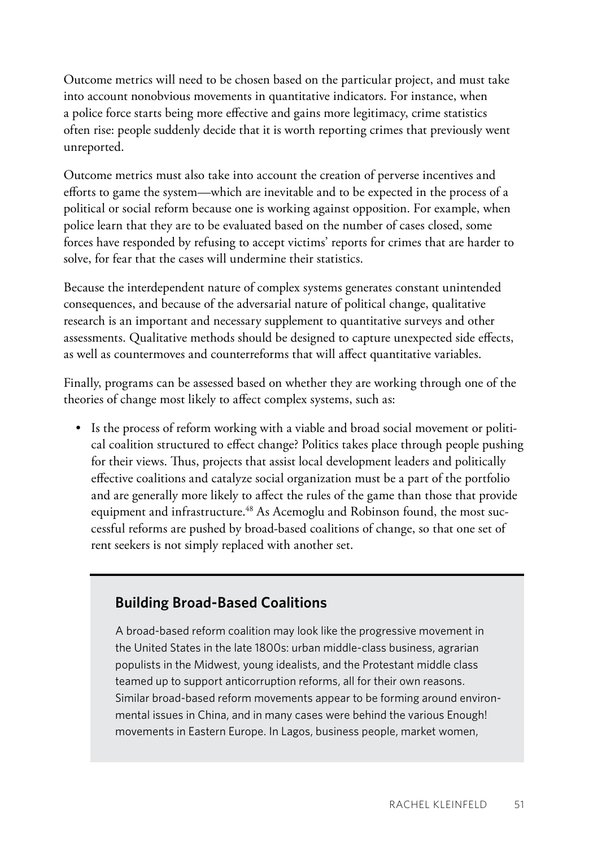Outcome metrics will need to be chosen based on the particular project, and must take into account nonobvious movements in quantitative indicators. For instance, when a police force starts being more effective and gains more legitimacy, crime statistics often rise: people suddenly decide that it is worth reporting crimes that previously went unreported.

Outcome metrics must also take into account the creation of perverse incentives and efforts to game the system—which are inevitable and to be expected in the process of a political or social reform because one is working against opposition. For example, when police learn that they are to be evaluated based on the number of cases closed, some forces have responded by refusing to accept victims' reports for crimes that are harder to solve, for fear that the cases will undermine their statistics.

Because the interdependent nature of complex systems generates constant unintended consequences, and because of the adversarial nature of political change, qualitative research is an important and necessary supplement to quantitative surveys and other assessments. Qualitative methods should be designed to capture unexpected side effects, as well as countermoves and counterreforms that will affect quantitative variables.

Finally, programs can be assessed based on whether they are working through one of the theories of change most likely to affect complex systems, such as:

• Is the process of reform working with a viable and broad social movement or political coalition structured to effect change? Politics takes place through people pushing for their views. Thus, projects that assist local development leaders and politically effective coalitions and catalyze social organization must be a part of the portfolio and are generally more likely to affect the rules of the game than those that provide equipment and infrastructure.<sup>48</sup> As Acemoglu and Robinson found, the most successful reforms are pushed by broad-based coalitions of change, so that one set of rent seekers is not simply replaced with another set.

### **Building Broad-Based Coalitions**

A broad-based reform coalition may look like the progressive movement in the United States in the late 1800s: urban middle-class business, agrarian populists in the Midwest, young idealists, and the Protestant middle class teamed up to support anticorruption reforms, all for their own reasons. Similar broad-based reform movements appear to be forming around environmental issues in China, and in many cases were behind the various Enough! movements in Eastern Europe. In Lagos, business people, market women,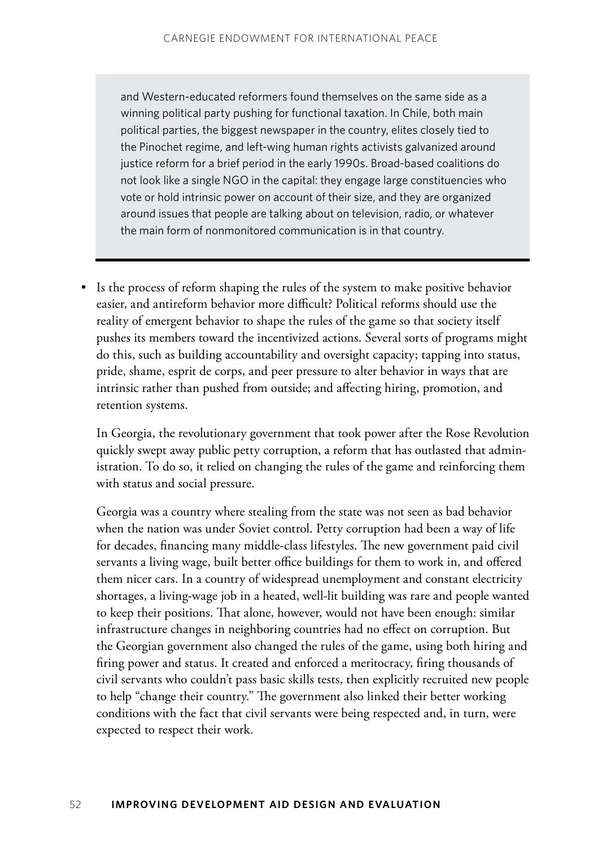and Western-educated reformers found themselves on the same side as a winning political party pushing for functional taxation. In Chile, both main political parties, the biggest newspaper in the country, elites closely tied to the Pinochet regime, and left-wing human rights activists galvanized around justice reform for a brief period in the early 1990s. Broad-based coalitions do not look like a single NGO in the capital: they engage large constituencies who vote or hold intrinsic power on account of their size, and they are organized around issues that people are talking about on television, radio, or whatever the main form of nonmonitored communication is in that country.

• Is the process of reform shaping the rules of the system to make positive behavior easier, and antireform behavior more difficult? Political reforms should use the reality of emergent behavior to shape the rules of the game so that society itself pushes its members toward the incentivized actions. Several sorts of programs might do this, such as building accountability and oversight capacity; tapping into status, pride, shame, esprit de corps, and peer pressure to alter behavior in ways that are intrinsic rather than pushed from outside; and affecting hiring, promotion, and retention systems.

In Georgia, the revolutionary government that took power after the Rose Revolution quickly swept away public petty corruption, a reform that has outlasted that administration. To do so, it relied on changing the rules of the game and reinforcing them with status and social pressure.

Georgia was a country where stealing from the state was not seen as bad behavior when the nation was under Soviet control. Petty corruption had been a way of life for decades, financing many middle-class lifestyles. The new government paid civil servants a living wage, built better office buildings for them to work in, and offered them nicer cars. In a country of widespread unemployment and constant electricity shortages, a living-wage job in a heated, well-lit building was rare and people wanted to keep their positions. That alone, however, would not have been enough: similar infrastructure changes in neighboring countries had no effect on corruption. But the Georgian government also changed the rules of the game, using both hiring and firing power and status. It created and enforced a meritocracy, firing thousands of civil servants who couldn't pass basic skills tests, then explicitly recruited new people to help "change their country." The government also linked their better working conditions with the fact that civil servants were being respected and, in turn, were expected to respect their work.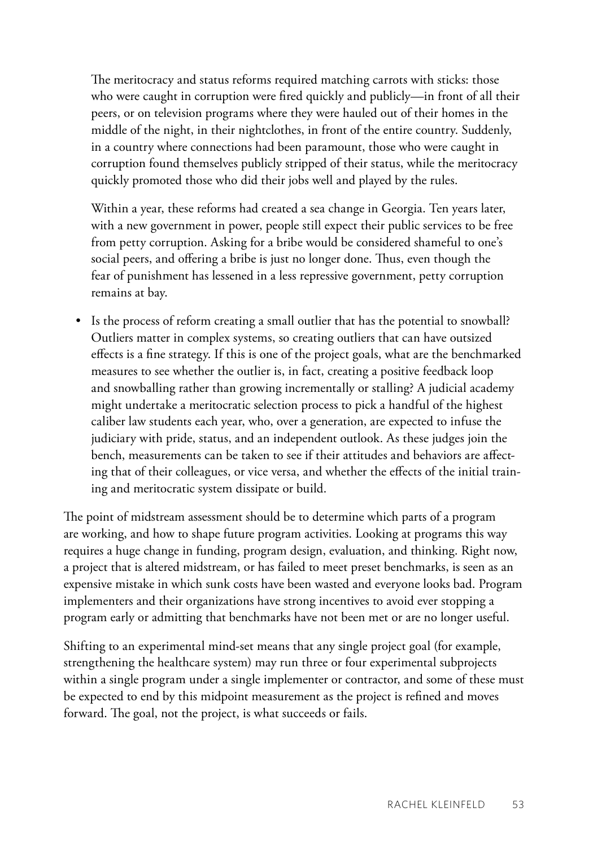The meritocracy and status reforms required matching carrots with sticks: those who were caught in corruption were fired quickly and publicly—in front of all their peers, or on television programs where they were hauled out of their homes in the middle of the night, in their nightclothes, in front of the entire country. Suddenly, in a country where connections had been paramount, those who were caught in corruption found themselves publicly stripped of their status, while the meritocracy quickly promoted those who did their jobs well and played by the rules.

Within a year, these reforms had created a sea change in Georgia. Ten years later, with a new government in power, people still expect their public services to be free from petty corruption. Asking for a bribe would be considered shameful to one's social peers, and offering a bribe is just no longer done. Thus, even though the fear of punishment has lessened in a less repressive government, petty corruption remains at bay.

• Is the process of reform creating a small outlier that has the potential to snowball? Outliers matter in complex systems, so creating outliers that can have outsized effects is a fine strategy. If this is one of the project goals, what are the benchmarked measures to see whether the outlier is, in fact, creating a positive feedback loop and snowballing rather than growing incrementally or stalling? A judicial academy might undertake a meritocratic selection process to pick a handful of the highest caliber law students each year, who, over a generation, are expected to infuse the judiciary with pride, status, and an independent outlook. As these judges join the bench, measurements can be taken to see if their attitudes and behaviors are affecting that of their colleagues, or vice versa, and whether the effects of the initial training and meritocratic system dissipate or build.

The point of midstream assessment should be to determine which parts of a program are working, and how to shape future program activities. Looking at programs this way requires a huge change in funding, program design, evaluation, and thinking. Right now, a project that is altered midstream, or has failed to meet preset benchmarks, is seen as an expensive mistake in which sunk costs have been wasted and everyone looks bad. Program implementers and their organizations have strong incentives to avoid ever stopping a program early or admitting that benchmarks have not been met or are no longer useful.

Shifting to an experimental mind-set means that any single project goal (for example, strengthening the healthcare system) may run three or four experimental subprojects within a single program under a single implementer or contractor, and some of these must be expected to end by this midpoint measurement as the project is refined and moves forward. The goal, not the project, is what succeeds or fails.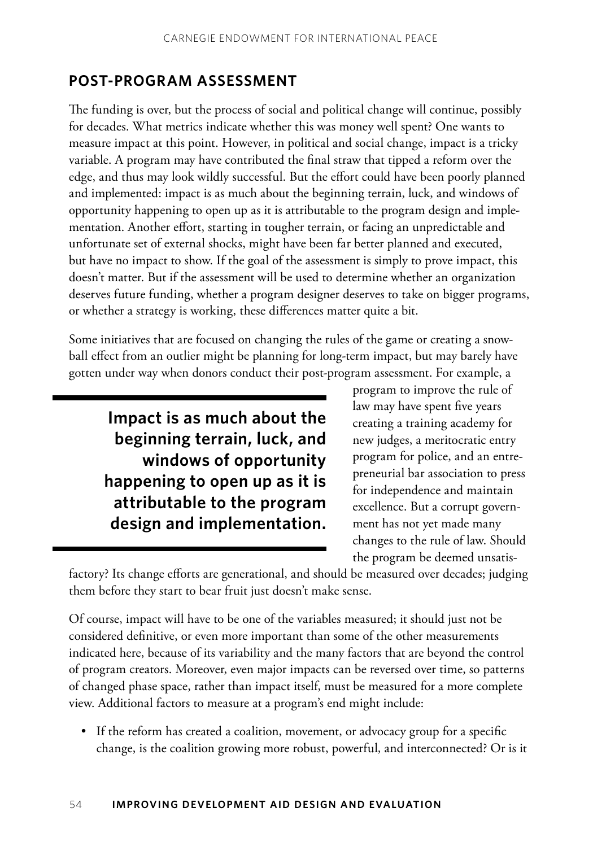### **Post-Program Assessment**

The funding is over, but the process of social and political change will continue, possibly for decades. What metrics indicate whether this was money well spent? One wants to measure impact at this point. However, in political and social change, impact is a tricky variable. A program may have contributed the final straw that tipped a reform over the edge, and thus may look wildly successful. But the effort could have been poorly planned and implemented: impact is as much about the beginning terrain, luck, and windows of opportunity happening to open up as it is attributable to the program design and implementation. Another effort, starting in tougher terrain, or facing an unpredictable and unfortunate set of external shocks, might have been far better planned and executed, but have no impact to show. If the goal of the assessment is simply to prove impact, this doesn't matter. But if the assessment will be used to determine whether an organization deserves future funding, whether a program designer deserves to take on bigger programs, or whether a strategy is working, these differences matter quite a bit.

Some initiatives that are focused on changing the rules of the game or creating a snowball effect from an outlier might be planning for long-term impact, but may barely have gotten under way when donors conduct their post-program assessment. For example, a

# **Impact is as much about the beginning terrain, luck, and windows of opportunity happening to open up as it is attributable to the program design and implementation.**

program to improve the rule of law may have spent five years creating a training academy for new judges, a meritocratic entry program for police, and an entrepreneurial bar association to press for independence and maintain excellence. But a corrupt government has not yet made many changes to the rule of law. Should the program be deemed unsatis-

factory? Its change efforts are generational, and should be measured over decades; judging them before they start to bear fruit just doesn't make sense.

Of course, impact will have to be one of the variables measured; it should just not be considered definitive, or even more important than some of the other measurements indicated here, because of its variability and the many factors that are beyond the control of program creators. Moreover, even major impacts can be reversed over time, so patterns of changed phase space, rather than impact itself, must be measured for a more complete view. Additional factors to measure at a program's end might include:

• If the reform has created a coalition, movement, or advocacy group for a specific change, is the coalition growing more robust, powerful, and interconnected? Or is it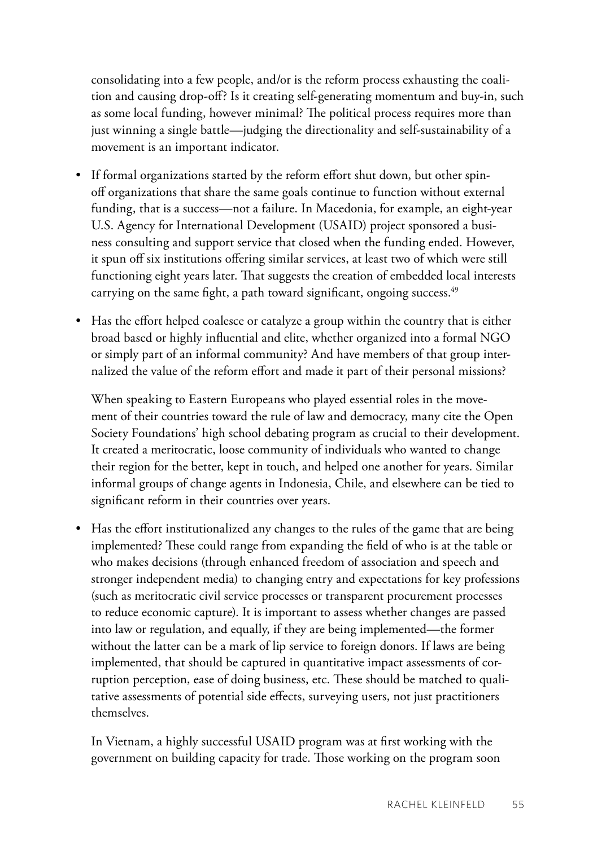consolidating into a few people, and/or is the reform process exhausting the coalition and causing drop-off? Is it creating self-generating momentum and buy-in, such as some local funding, however minimal? The political process requires more than just winning a single battle—judging the directionality and self-sustainability of a movement is an important indicator.

- If formal organizations started by the reform effort shut down, but other spinoff organizations that share the same goals continue to function without external funding, that is a success—not a failure. In Macedonia, for example, an eight-year U.S. Agency for International Development (USAID) project sponsored a business consulting and support service that closed when the funding ended. However, it spun off six institutions offering similar services, at least two of which were still functioning eight years later. That suggests the creation of embedded local interests carrying on the same fight, a path toward significant, ongoing success.<sup>49</sup>
- Has the effort helped coalesce or catalyze a group within the country that is either broad based or highly influential and elite, whether organized into a formal NGO or simply part of an informal community? And have members of that group internalized the value of the reform effort and made it part of their personal missions?

When speaking to Eastern Europeans who played essential roles in the movement of their countries toward the rule of law and democracy, many cite the Open Society Foundations' high school debating program as crucial to their development. It created a meritocratic, loose community of individuals who wanted to change their region for the better, kept in touch, and helped one another for years. Similar informal groups of change agents in Indonesia, Chile, and elsewhere can be tied to significant reform in their countries over years.

• Has the effort institutionalized any changes to the rules of the game that are being implemented? These could range from expanding the field of who is at the table or who makes decisions (through enhanced freedom of association and speech and stronger independent media) to changing entry and expectations for key professions (such as meritocratic civil service processes or transparent procurement processes to reduce economic capture). It is important to assess whether changes are passed into law or regulation, and equally, if they are being implemented—the former without the latter can be a mark of lip service to foreign donors. If laws are being implemented, that should be captured in quantitative impact assessments of corruption perception, ease of doing business, etc. These should be matched to qualitative assessments of potential side effects, surveying users, not just practitioners themselves.

In Vietnam, a highly successful USAID program was at first working with the government on building capacity for trade. Those working on the program soon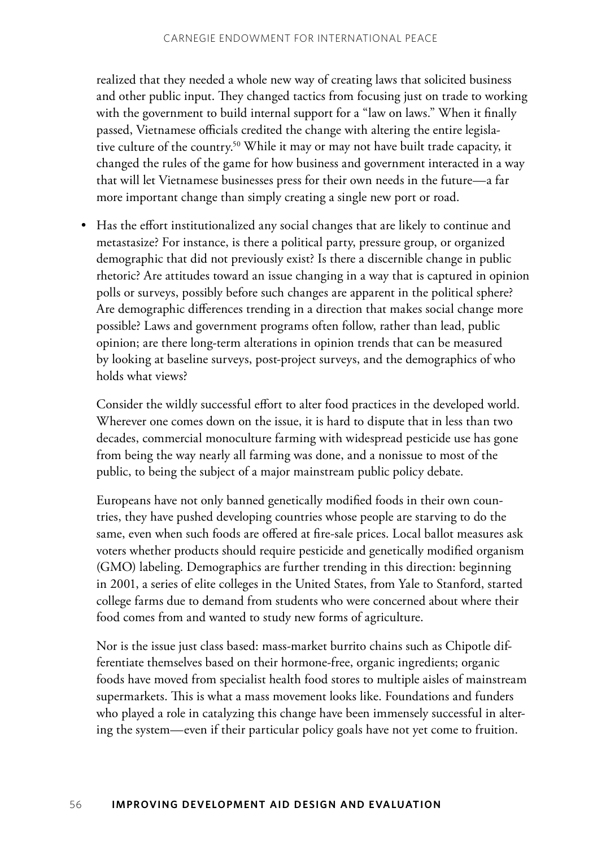realized that they needed a whole new way of creating laws that solicited business and other public input. They changed tactics from focusing just on trade to working with the government to build internal support for a "law on laws." When it finally passed, Vietnamese officials credited the change with altering the entire legislative culture of the country.50 While it may or may not have built trade capacity, it changed the rules of the game for how business and government interacted in a way that will let Vietnamese businesses press for their own needs in the future—a far more important change than simply creating a single new port or road.

• Has the effort institutionalized any social changes that are likely to continue and metastasize? For instance, is there a political party, pressure group, or organized demographic that did not previously exist? Is there a discernible change in public rhetoric? Are attitudes toward an issue changing in a way that is captured in opinion polls or surveys, possibly before such changes are apparent in the political sphere? Are demographic differences trending in a direction that makes social change more possible? Laws and government programs often follow, rather than lead, public opinion; are there long-term alterations in opinion trends that can be measured by looking at baseline surveys, post-project surveys, and the demographics of who holds what views?

Consider the wildly successful effort to alter food practices in the developed world. Wherever one comes down on the issue, it is hard to dispute that in less than two decades, commercial monoculture farming with widespread pesticide use has gone from being the way nearly all farming was done, and a nonissue to most of the public, to being the subject of a major mainstream public policy debate.

Europeans have not only banned genetically modified foods in their own countries, they have pushed developing countries whose people are starving to do the same, even when such foods are offered at fire-sale prices. Local ballot measures ask voters whether products should require pesticide and genetically modified organism (GMO) labeling. Demographics are further trending in this direction: beginning in 2001, a series of elite colleges in the United States, from Yale to Stanford, started college farms due to demand from students who were concerned about where their food comes from and wanted to study new forms of agriculture.

Nor is the issue just class based: mass-market burrito chains such as Chipotle differentiate themselves based on their hormone-free, organic ingredients; organic foods have moved from specialist health food stores to multiple aisles of mainstream supermarkets. This is what a mass movement looks like. Foundations and funders who played a role in catalyzing this change have been immensely successful in altering the system—even if their particular policy goals have not yet come to fruition.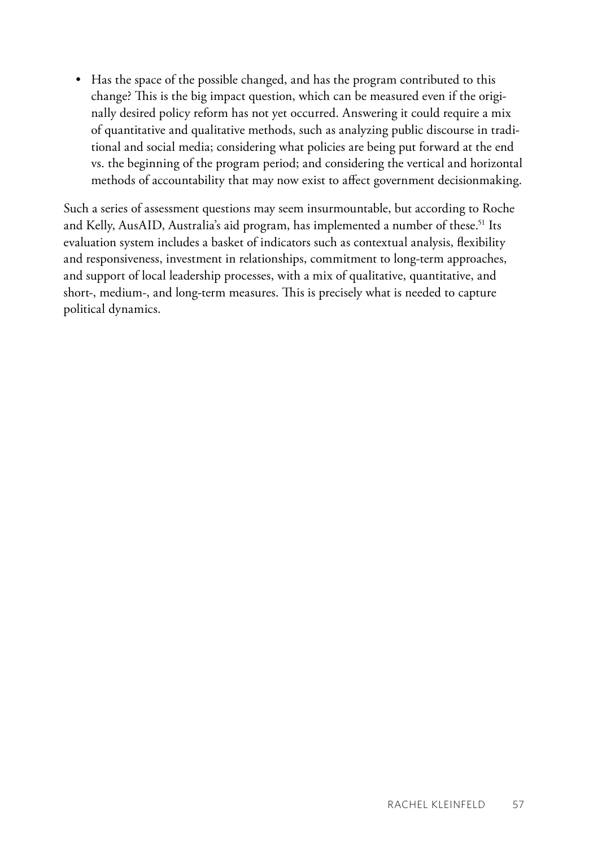• Has the space of the possible changed, and has the program contributed to this change? This is the big impact question, which can be measured even if the originally desired policy reform has not yet occurred. Answering it could require a mix of quantitative and qualitative methods, such as analyzing public discourse in traditional and social media; considering what policies are being put forward at the end vs. the beginning of the program period; and considering the vertical and horizontal methods of accountability that may now exist to affect government decisionmaking.

Such a series of assessment questions may seem insurmountable, but according to Roche and Kelly, AusAID, Australia's aid program, has implemented a number of these.<sup>51</sup> Its evaluation system includes a basket of indicators such as contextual analysis, flexibility and responsiveness, investment in relationships, commitment to long-term approaches, and support of local leadership processes, with a mix of qualitative, quantitative, and short-, medium-, and long-term measures. This is precisely what is needed to capture political dynamics.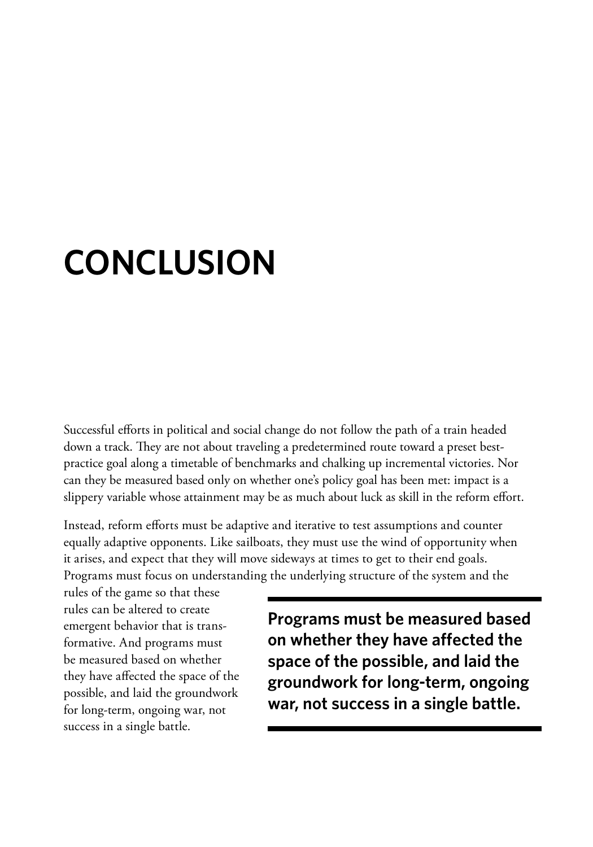# **Conclusion**

Successful efforts in political and social change do not follow the path of a train headed down a track. They are not about traveling a predetermined route toward a preset bestpractice goal along a timetable of benchmarks and chalking up incremental victories. Nor can they be measured based only on whether one's policy goal has been met: impact is a slippery variable whose attainment may be as much about luck as skill in the reform effort.

Instead, reform efforts must be adaptive and iterative to test assumptions and counter equally adaptive opponents. Like sailboats, they must use the wind of opportunity when it arises, and expect that they will move sideways at times to get to their end goals. Programs must focus on understanding the underlying structure of the system and the

rules of the game so that these rules can be altered to create emergent behavior that is transformative. And programs must be measured based on whether they have affected the space of the possible, and laid the groundwork for long-term, ongoing war, not success in a single battle.

**Programs must be measured based on whether they have affected the space of the possible, and laid the groundwork for long-term, ongoing war, not success in a single battle.**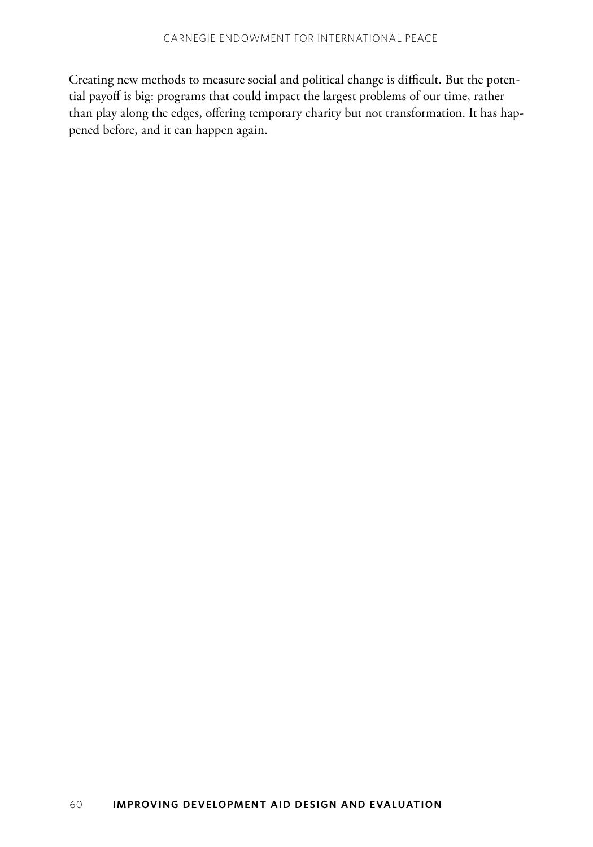Creating new methods to measure social and political change is difficult. But the potential payoff is big: programs that could impact the largest problems of our time, rather than play along the edges, offering temporary charity but not transformation. It has happened before, and it can happen again.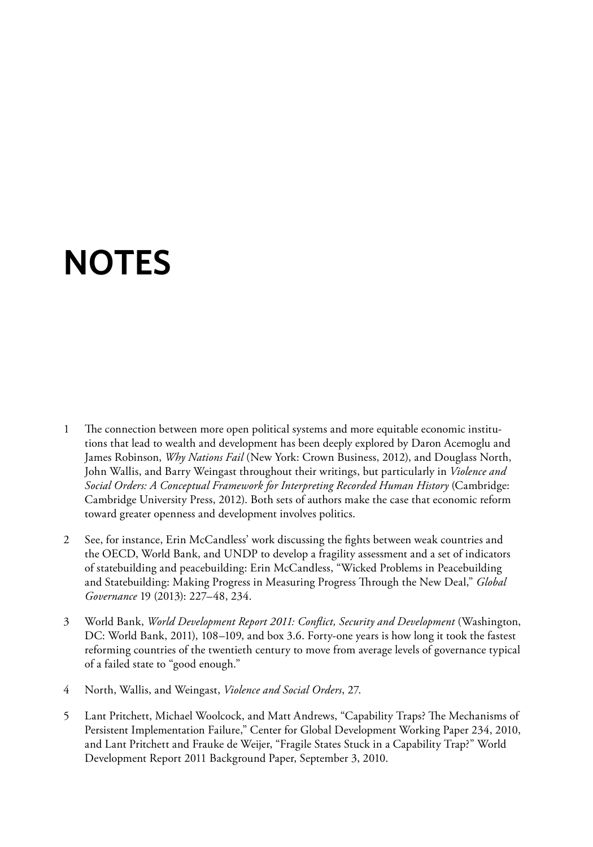# **Notes**

- 1 The connection between more open political systems and more equitable economic institutions that lead to wealth and development has been deeply explored by Daron Acemoglu and James Robinson, *Why Nations Fail* (New York: Crown Business, 2012), and Douglass North, John Wallis, and Barry Weingast throughout their writings, but particularly in *Violence and Social Orders: A Conceptual Framework for Interpreting Recorded Human History* (Cambridge: Cambridge University Press, 2012). Both sets of authors make the case that economic reform toward greater openness and development involves politics.
- 2 See, for instance, Erin McCandless' work discussing the fights between weak countries and the OECD, World Bank, and UNDP to develop a fragility assessment and a set of indicators of statebuilding and peacebuilding: Erin McCandless, "Wicked Problems in Peacebuilding and Statebuilding: Making Progress in Measuring Progress Through the New Deal," *Global Governance* 19 (2013): 227–48, 234.
- 3 World Bank, *World Development Report 2011: Conflict, Security and Development* (Washington, DC: World Bank, 2011), 108–109, and box 3.6. Forty-one years is how long it took the fastest reforming countries of the twentieth century to move from average levels of governance typical of a failed state to "good enough."
- 4 North, Wallis, and Weingast, *Violence and Social Orders*, 27.
- 5 Lant Pritchett, Michael Woolcock, and Matt Andrews, "Capability Traps? The Mechanisms of Persistent Implementation Failure," Center for Global Development Working Paper 234, 2010, and Lant Pritchett and Frauke de Weijer, "Fragile States Stuck in a Capability Trap?" World Development Report 2011 Background Paper, September 3, 2010.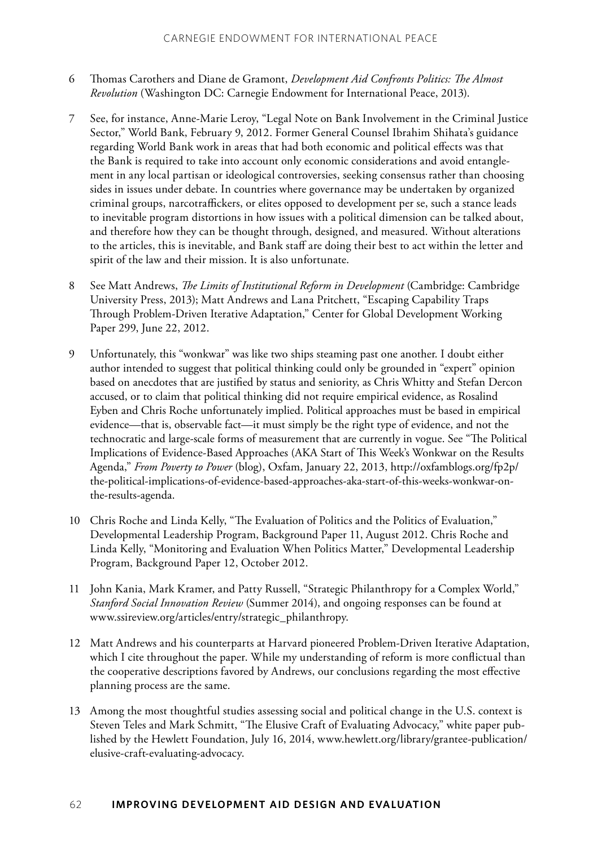- 6 Thomas Carothers and Diane de Gramont, *Development Aid Confronts Politics: The Almost Revolution* (Washington DC: Carnegie Endowment for International Peace, 2013).
- 7 See, for instance, Anne-Marie Leroy, "Legal Note on Bank Involvement in the Criminal Justice Sector," World Bank, February 9, 2012. Former General Counsel Ibrahim Shihata's guidance regarding World Bank work in areas that had both economic and political effects was that the Bank is required to take into account only economic considerations and avoid entanglement in any local partisan or ideological controversies, seeking consensus rather than choosing sides in issues under debate. In countries where governance may be undertaken by organized criminal groups, narcotraffickers, or elites opposed to development per se, such a stance leads to inevitable program distortions in how issues with a political dimension can be talked about, and therefore how they can be thought through, designed, and measured. Without alterations to the articles, this is inevitable, and Bank staff are doing their best to act within the letter and spirit of the law and their mission. It is also unfortunate.
- 8 See Matt Andrews, *The Limits of Institutional Reform in Development* (Cambridge: Cambridge University Press, 2013); Matt Andrews and Lana Pritchett, "Escaping Capability Traps Through Problem-Driven Iterative Adaptation," Center for Global Development Working Paper 299, June 22, 2012.
- 9 Unfortunately, this "wonkwar" was like two ships steaming past one another. I doubt either author intended to suggest that political thinking could only be grounded in "expert" opinion based on anecdotes that are justified by status and seniority, as Chris Whitty and Stefan Dercon accused, or to claim that political thinking did not require empirical evidence, as Rosalind Eyben and Chris Roche unfortunately implied. Political approaches must be based in empirical evidence—that is, observable fact—it must simply be the right type of evidence, and not the technocratic and large-scale forms of measurement that are currently in vogue. See "The Political Implications of Evidence-Based Approaches (AKA Start of This Week's Wonkwar on the Results Agenda," *From Poverty to Power* (blog), Oxfam, January 22, 2013, [http://oxfamblogs.org/fp2p/](http://oxfamblogs.org/fp2p/the-political-implications-of-evidence-based-approaches-aka-start-of-this-weeks-wonkwar-on-the-results-agenda/) [the-political-implications-of-evidence-based-approaches-aka-start-of-this-weeks-wonkwar-on](http://oxfamblogs.org/fp2p/the-political-implications-of-evidence-based-approaches-aka-start-of-this-weeks-wonkwar-on-the-results-agenda/)[the-results-agenda](http://oxfamblogs.org/fp2p/the-political-implications-of-evidence-based-approaches-aka-start-of-this-weeks-wonkwar-on-the-results-agenda/).
- 10 Chris Roche and Linda Kelly, "The Evaluation of Politics and the Politics of Evaluation," Developmental Leadership Program, Background Paper 11, August 2012. Chris Roche and Linda Kelly, "Monitoring and Evaluation When Politics Matter," Developmental Leadership Program, Background Paper 12, October 2012.
- 11 John Kania, Mark Kramer, and Patty Russell, "Strategic Philanthropy for a Complex World," *Stanford Social Innovation Review* (Summer 2014), and ongoing responses can be found at [www.ssireview.org/articles/entry/strategic\\_philanthropy.](http://www.ssireview.org/articles/entry/strategic_philanthropy)
- 12 Matt Andrews and his counterparts at Harvard pioneered Problem-Driven Iterative Adaptation, which I cite throughout the paper. While my understanding of reform is more conflictual than the cooperative descriptions favored by Andrews, our conclusions regarding the most effective planning process are the same.
- 13 Among the most thoughtful studies assessing social and political change in the U.S. context is Steven Teles and Mark Schmitt, "The Elusive Craft of Evaluating Advocacy," white paper published by the Hewlett Foundation, July 16, 2014, [www.hewlett.org/library/grantee-publication/](http://www.hewlett.org/library/grantee-publication/elusive-craft-evaluating-advocacy) [elusive-craft-evaluating-advocacy](http://www.hewlett.org/library/grantee-publication/elusive-craft-evaluating-advocacy).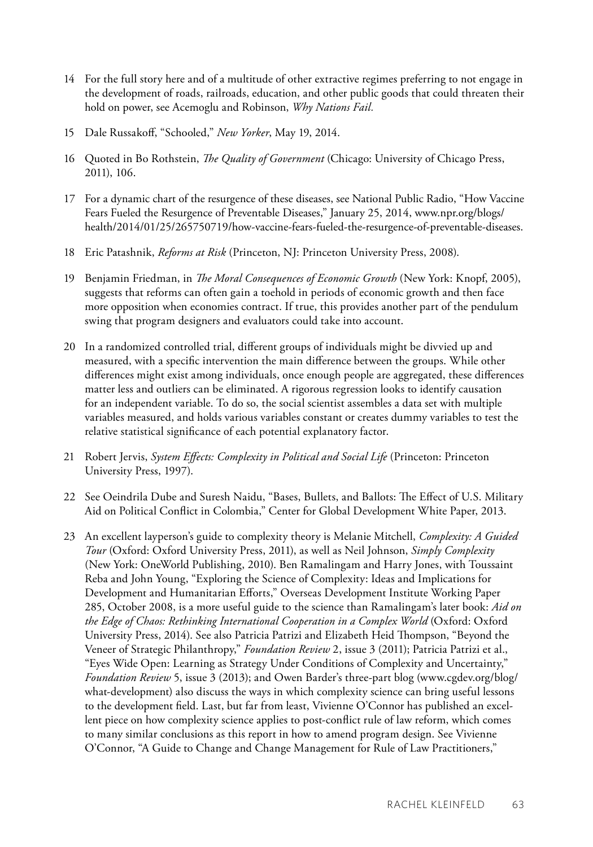- 14 For the full story here and of a multitude of other extractive regimes preferring to not engage in the development of roads, railroads, education, and other public goods that could threaten their hold on power, see Acemoglu and Robinson, *Why Nations Fail.*
- 15 Dale Russakoff, "Schooled," *New Yorker*, May 19, 2014.
- 16 Quoted in Bo Rothstein, *The Quality of Government* (Chicago: University of Chicago Press, 2011), 106.
- 17 For a dynamic chart of the resurgence of these diseases, see National Public Radio, "How Vaccine Fears Fueled the Resurgence of Preventable Diseases," January 25, 2014, [www.npr.org/blogs/](http://www.npr.org/blogs/health/2014/01/25/265750719/how-vaccine-fears-fueled-the-resurgence-of-preventable-diseases) [health/2014/01/25/265750719/how-vaccine-fears-fueled-the-resurgence-of-preventable-diseases](http://www.npr.org/blogs/health/2014/01/25/265750719/how-vaccine-fears-fueled-the-resurgence-of-preventable-diseases).
- 18 Eric Patashnik, *Reforms at Risk* (Princeton, NJ: Princeton University Press, 2008).
- 19 Benjamin Friedman, in *The Moral Consequences of Economic Growth* (New York: Knopf, 2005), suggests that reforms can often gain a toehold in periods of economic growth and then face more opposition when economies contract. If true, this provides another part of the pendulum swing that program designers and evaluators could take into account.
- 20 In a randomized controlled trial, different groups of individuals might be divvied up and measured, with a specific intervention the main difference between the groups. While other differences might exist among individuals, once enough people are aggregated, these differences matter less and outliers can be eliminated. A rigorous regression looks to identify causation for an independent variable. To do so, the social scientist assembles a data set with multiple variables measured, and holds various variables constant or creates dummy variables to test the relative statistical significance of each potential explanatory factor.
- 21 Robert Jervis, *System Effects: Complexity in Political and Social Life* (Princeton: Princeton University Press, 1997).
- 22 See Oeindrila Dube and Suresh Naidu, "Bases, Bullets, and Ballots: The Effect of U.S. Military Aid on Political Conflict in Colombia," Center for Global Development White Paper, 2013.
- 23 An excellent layperson's guide to complexity theory is Melanie Mitchell, *Complexity: A Guided Tour* (Oxford: Oxford University Press, 2011), as well as Neil Johnson, *Simply Complexity* (New York: OneWorld Publishing, 2010). Ben Ramalingam and Harry Jones, with Toussaint Reba and John Young, "Exploring the Science of Complexity: Ideas and Implications for Development and Humanitarian Efforts," Overseas Development Institute Working Paper 285, October 2008, is a more useful guide to the science than Ramalingam's later book: *Aid on*  the Edge of Chaos: Rethinking International Cooperation in a Complex World (Oxford: Oxford University Press, 2014). See also Patricia Patrizi and Elizabeth Heid Thompson, "Beyond the Veneer of Strategic Philanthropy," *Foundation Review* 2, issue 3 (2011); Patricia Patrizi et al., "Eyes Wide Open: Learning as Strategy Under Conditions of Complexity and Uncertainty," *Foundation Review* 5, issue 3 (2013); and Owen Barder's three-part blog [\(www.cgdev.org/blog/](http://www.cgdev.org/blog/what-development) [what-development\)](http://www.cgdev.org/blog/what-development) also discuss the ways in which complexity science can bring useful lessons to the development field. Last, but far from least, Vivienne O'Connor has published an excellent piece on how complexity science applies to post-conflict rule of law reform, which comes to many similar conclusions as this report in how to amend program design. See Vivienne O'Connor, "A Guide to Change and Change Management for Rule of Law Practitioners,"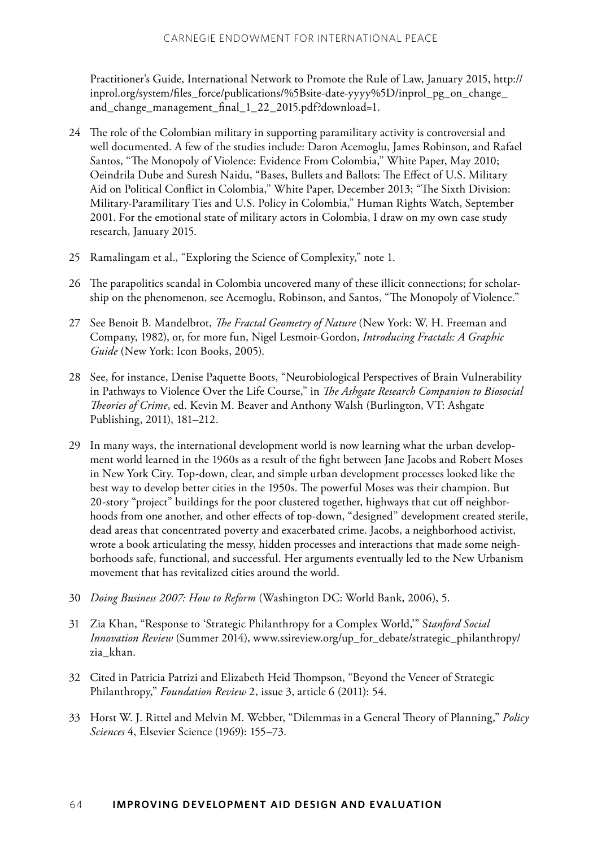Practitioner's Guide, International Network to Promote the Rule of Law, January 2015, http:// inprol.org/system/files\_force/publications/%5Bsite-date-yyyy%5D/inprol\_pg\_on\_change\_ and\_change\_management\_final\_1\_22\_2015.pdf?download=1.

- 24 The role of the Colombian military in supporting paramilitary activity is controversial and well documented. A few of the studies include: Daron Acemoglu, James Robinson, and Rafael Santos, "The Monopoly of Violence: Evidence From Colombia," White Paper, May 2010; Oeindrila Dube and Suresh Naidu, "Bases, Bullets and Ballots: The Effect of U.S. Military Aid on Political Conflict in Colombia," White Paper, December 2013; "The Sixth Division: Military-Paramilitary Ties and U.S. Policy in Colombia," Human Rights Watch, September 2001. For the emotional state of military actors in Colombia, I draw on my own case study research, January 2015.
- 25 Ramalingam et al., "Exploring the Science of Complexity," note 1.
- 26 The parapolitics scandal in Colombia uncovered many of these illicit connections; for scholarship on the phenomenon, see Acemoglu, Robinson, and Santos, "The Monopoly of Violence."
- 27 See Benoit B. Mandelbrot, *The Fractal Geometry of Nature* (New York: W. H. Freeman and Company, 1982), or, for more fun, Nigel Lesmoir-Gordon, *Introducing Fractals: A Graphic Guide* (New York: Icon Books, 2005).
- 28 See, for instance, Denise Paquette Boots, "Neurobiological Perspectives of Brain Vulnerability in Pathways to Violence Over the Life Course," in *The Ashgate Research Companion to Biosocial Theories of Crime*, ed. Kevin M. Beaver and Anthony Walsh (Burlington, VT: Ashgate Publishing, 2011), 181–212.
- 29 In many ways, the international development world is now learning what the urban development world learned in the 1960s as a result of the fight between Jane Jacobs and Robert Moses in New York City. Top-down, clear, and simple urban development processes looked like the best way to develop better cities in the 1950s. The powerful Moses was their champion. But 20-story "project" buildings for the poor clustered together, highways that cut off neighborhoods from one another, and other effects of top-down, "designed" development created sterile, dead areas that concentrated poverty and exacerbated crime. Jacobs, a neighborhood activist, wrote a book articulating the messy, hidden processes and interactions that made some neighborhoods safe, functional, and successful. Her arguments eventually led to the New Urbanism movement that has revitalized cities around the world.
- 30 *Doing Business 2007: How to Reform* (Washington DC: World Bank, 2006), 5.
- 31 Zia Khan, "Response to 'Strategic Philanthropy for a Complex World,'" S*tanford Social Innovation Review* (Summer 2014), [www.ssireview.org/up\\_for\\_debate/strategic\\_philanthropy/](http://www.ssireview.org/up_for_debate/strategic_philanthropy/zia_khan) [zia\\_khan.](http://www.ssireview.org/up_for_debate/strategic_philanthropy/zia_khan)
- 32 Cited in Patricia Patrizi and Elizabeth Heid Thompson, "Beyond the Veneer of Strategic Philanthropy," *Foundation Review* 2, issue 3, article 6 (2011): 54.
- 33 Horst W. J. Rittel and Melvin M. Webber, "Dilemmas in a General Theory of Planning," *Policy Sciences* 4, Elsevier Science (1969): 155–73.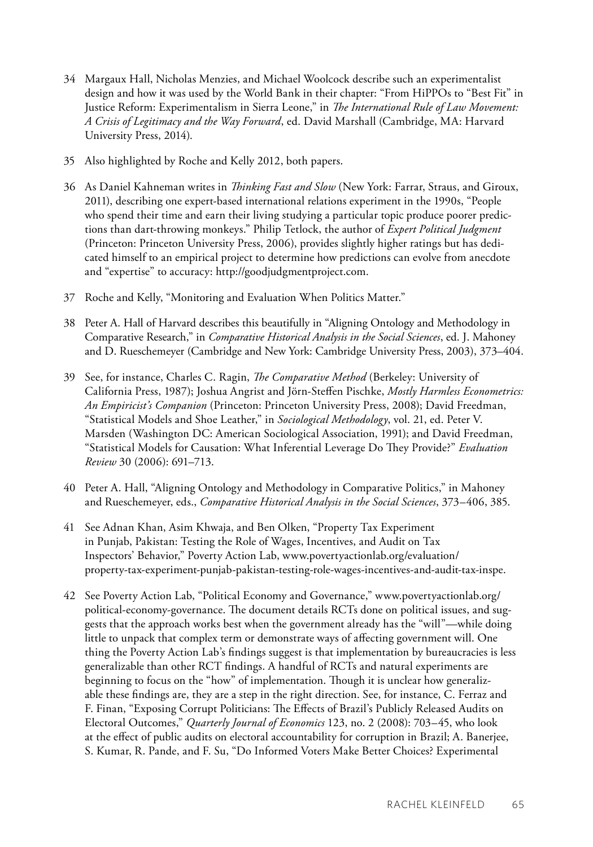- 34 Margaux Hall, Nicholas Menzies, and Michael Woolcock describe such an experimentalist design and how it was used by the World Bank in their chapter: "From HiPPOs to "Best Fit" in Justice Reform: Experimentalism in Sierra Leone," in *The International Rule of Law Movement: A Crisis of Legitimacy and the Way Forward*, ed. David Marshall (Cambridge, MA: Harvard University Press, 2014).
- 35 Also highlighted by Roche and Kelly 2012, both papers.
- 36 As Daniel Kahneman writes in *Thinking Fast and Slow* (New York: Farrar, Straus, and Giroux, 2011), describing one expert-based international relations experiment in the 1990s, "People who spend their time and earn their living studying a particular topic produce poorer predictions than dart-throwing monkeys." Philip Tetlock, the author of *Expert Political Judgment* (Princeton: Princeton University Press, 2006), provides slightly higher ratings but has dedicated himself to an empirical project to determine how predictions can evolve from anecdote and "expertise" to accuracy: [http://goodjudgmentproject.com.](http://goodjudgmentproject.com)
- 37 Roche and Kelly, "Monitoring and Evaluation When Politics Matter."
- 38 Peter A. Hall of Harvard describes this beautifully in "Aligning Ontology and Methodology in Comparative Research," in *Comparative Historical Analysis in the Social Sciences*, ed. J. Mahoney and D. Rueschemeyer (Cambridge and New York: Cambridge University Press, 2003), 373–404.
- 39 See, for instance, Charles C. Ragin, *The Comparative Method* (Berkeley: University of California Press, 1987); Joshua Angrist and Jörn-Steffen Pischke, *Mostly Harmless Econometrics: An Empiricist's Companion* (Princeton: Princeton University Press, 2008); David Freedman, "Statistical Models and Shoe Leather," in *Sociological Methodology*, vol. 21, ed. Peter V. Marsden (Washington DC: American Sociological Association, 1991); and David Freedman, "Statistical Models for Causation: What Inferential Leverage Do They Provide?" *Evaluation Review* 30 (2006): 691–713.
- 40 Peter A. Hall, "Aligning Ontology and Methodology in Comparative Politics," in Mahoney and Rueschemeyer, eds., *Comparative Historical Analysis in the Social Sciences*, 373–406, 385.
- 41 See Adnan Khan, Asim Khwaja, and Ben Olken, "Property Tax Experiment in Punjab, Pakistan: Testing the Role of Wages, Incentives, and Audit on Tax Inspectors' Behavior," Poverty Action Lab, [www.povertyactionlab.org/evaluation/](http://www.povertyactionlab.org/evaluation/property-tax-experiment-punjab-pakistan-testing-role-wages-incentives-and-audit-tax-inspe) [property-tax-experiment-punjab-pakistan-testing-role-wages-incentives-and-audit-tax-inspe.](http://www.povertyactionlab.org/evaluation/property-tax-experiment-punjab-pakistan-testing-role-wages-incentives-and-audit-tax-inspe)
- 42 See Poverty Action Lab, "Political Economy and Governance," [www.povertyactionlab.org/](http://www.povertyactionlab.org/political-economy-governance) [political-economy-governance. Th](http://www.povertyactionlab.org/political-economy-governance)e document details RCTs done on political issues, and suggests that the approach works best when the government already has the "will"—while doing little to unpack that complex term or demonstrate ways of affecting government will. One thing the Poverty Action Lab's findings suggest is that implementation by bureaucracies is less generalizable than other RCT findings. A handful of RCTs and natural experiments are beginning to focus on the "how" of implementation. Though it is unclear how generalizable these findings are, they are a step in the right direction. See, for instance, C. Ferraz and F. Finan, "Exposing Corrupt Politicians: The Effects of Brazil's Publicly Released Audits on Electoral Outcomes," *Quarterly Journal of Economics* 123, no. 2 (2008): 703–45, who look at the effect of public audits on electoral accountability for corruption in Brazil; A. Banerjee, S. Kumar, R. Pande, and F. Su, "Do Informed Voters Make Better Choices? Experimental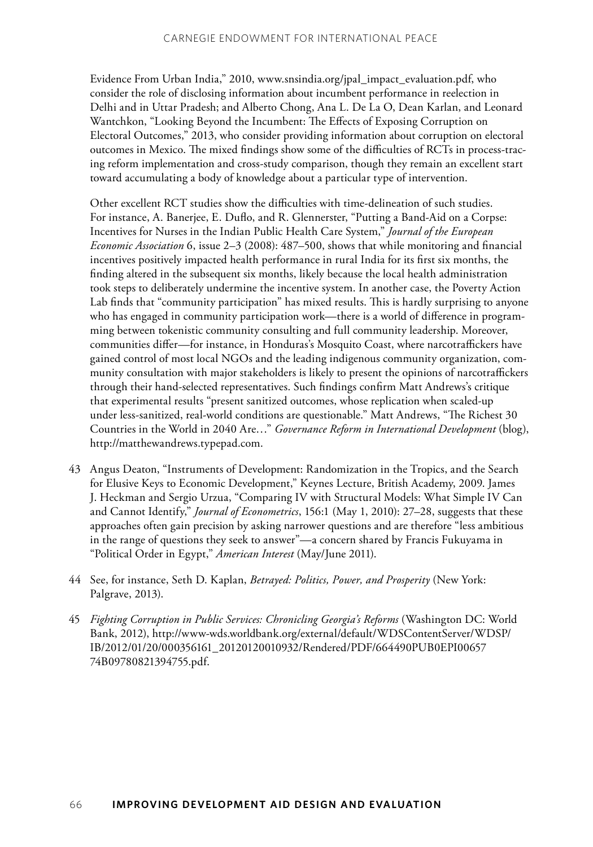Evidence From Urban India," 2010, [www.snsindia.org/jpal\\_impact\\_evaluation.pdf](http://www.snsindia.org/jpal_impact_evaluation.pdf), who consider the role of disclosing information about incumbent performance in reelection in Delhi and in Uttar Pradesh; and Alberto Chong, Ana L. De La O, Dean Karlan, and Leonard Wantchkon, "Looking Beyond the Incumbent: The Effects of Exposing Corruption on Electoral Outcomes," 2013, who consider providing information about corruption on electoral outcomes in Mexico. The mixed findings show some of the difficulties of RCTs in process-tracing reform implementation and cross-study comparison, though they remain an excellent start toward accumulating a body of knowledge about a particular type of intervention.

Other excellent RCT studies show the difficulties with time-delineation of such studies. For instance, A. Banerjee, E. Duflo, and R. Glennerster, "Putting a Band-Aid on a Corpse: Incentives for Nurses in the Indian Public Health Care System," *Journal of the European Economic Association* 6, issue 2–3 (2008): 487–500, shows that while monitoring and financial incentives positively impacted health performance in rural India for its first six months, the finding altered in the subsequent six months, likely because the local health administration took steps to deliberately undermine the incentive system. In another case, the Poverty Action Lab finds that "community participation" has mixed results. This is hardly surprising to anyone who has engaged in community participation work—there is a world of difference in programming between tokenistic community consulting and full community leadership. Moreover, communities differ—for instance, in Honduras's Mosquito Coast, where narcotraffickers have gained control of most local NGOs and the leading indigenous community organization, community consultation with major stakeholders is likely to present the opinions of narcotraffickers through their hand-selected representatives. Such findings confirm Matt Andrews's critique that experimental results "present sanitized outcomes, whose replication when scaled-up under less-sanitized, real-world conditions are questionable." Matt Andrews, "The Richest 30 Countries in the World in 2040 Are…" *Governance Reform in International Development* (blog), <http://matthewandrews.typepad.com>.

- 43 Angus Deaton, "Instruments of Development: Randomization in the Tropics, and the Search for Elusive Keys to Economic Development," Keynes Lecture, British Academy, 2009. James J. Heckman and Sergio Urzua, "Comparing IV with Structural Models: What Simple IV Can and Cannot Identify," *Journal of Econometrics*, 156:1 (May 1, 2010): 27–28, suggests that these approaches often gain precision by asking narrower questions and are therefore "less ambitious in the range of questions they seek to answer"—a concern shared by Francis Fukuyama in "Political Order in Egypt," *American Interest* (May/June 2011).
- 44 See, for instance, Seth D. Kaplan, *Betrayed: Politics, Power, and Prosperity* (New York: Palgrave, 2013).
- 45 *Fighting Corruption in Public Services: Chronicling Georgia's Reforms* (Washington DC: World Bank, 2012), [http://www-wds.worldbank.org/external/default/WDSContentServer/WDSP/](http://www-wds.worldbank.org/external/default/WDSContentServer/WDSP/IB/2012/01/20/000356161_20120120010932/Rendered/PDF/664490PUB0EPI0065774B09780821394755.pdf) [IB/2012/01/20/000356161\\_20120120010932/Rendered/PDF/664490PUB0EPI00657](http://www-wds.worldbank.org/external/default/WDSContentServer/WDSP/IB/2012/01/20/000356161_20120120010932/Rendered/PDF/664490PUB0EPI0065774B09780821394755.pdf) [74B09780821394755.pdf.](http://www-wds.worldbank.org/external/default/WDSContentServer/WDSP/IB/2012/01/20/000356161_20120120010932/Rendered/PDF/664490PUB0EPI0065774B09780821394755.pdf)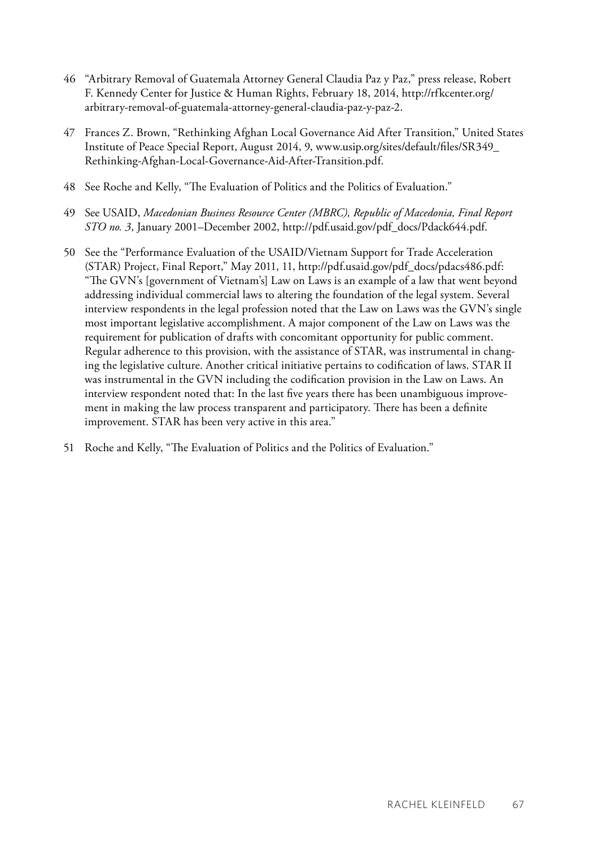- 46 "Arbitrary Removal of Guatemala Attorney General Claudia Paz y Paz," press release, Robert F. Kennedy Center for Justice & Human Rights, February 18, 2014, http://rfkcenter.org/ arbitrary-removal-of-guatemala-attorney-general-claudia-paz-y-paz-2.
- 47 Frances Z. Brown, "Rethinking Afghan Local Governance Aid After Transition," United States Institute of Peace Special Report, August 2014, 9, [www.usip.org/sites/default/files/SR349\\_](http://www.usip.org/sites/default/files/SR349_Rethinking-Afghan-Local-Governance-Aid-After-Transition.pdf) [Rethinking-Afghan-Local-Governance-Aid-After-Transition.pdf.](http://www.usip.org/sites/default/files/SR349_Rethinking-Afghan-Local-Governance-Aid-After-Transition.pdf)
- 48 See Roche and Kelly, "The Evaluation of Politics and the Politics of Evaluation."
- 49 See USAID, *Macedonian Business Resource Center (MBRC), Republic of Macedonia, Final Report STO no. 3*, January 2001–December 2002, http://pdf.usaid.gov/pdf\_docs/Pdack644.pdf.
- 50 See the "Performance Evaluation of the USAID/Vietnam Support for Trade Acceleration (STAR) Project, Final Report," May 2011, 11, [http://pdf.usaid.gov/pdf\\_docs/pdacs486.pdf:](http://pdf.usaid.gov/pdf_docs/pdacs486.pdf) "The GVN's [government of Vietnam's] Law on Laws is an example of a law that went beyond addressing individual commercial laws to altering the foundation of the legal system. Several interview respondents in the legal profession noted that the Law on Laws was the GVN's single most important legislative accomplishment. A major component of the Law on Laws was the requirement for publication of drafts with concomitant opportunity for public comment. Regular adherence to this provision, with the assistance of STAR, was instrumental in changing the legislative culture. Another critical initiative pertains to codification of laws. STAR II was instrumental in the GVN including the codification provision in the Law on Laws. An interview respondent noted that: In the last five years there has been unambiguous improvement in making the law process transparent and participatory. There has been a definite improvement. STAR has been very active in this area."
- 51 Roche and Kelly, "The Evaluation of Politics and the Politics of Evaluation."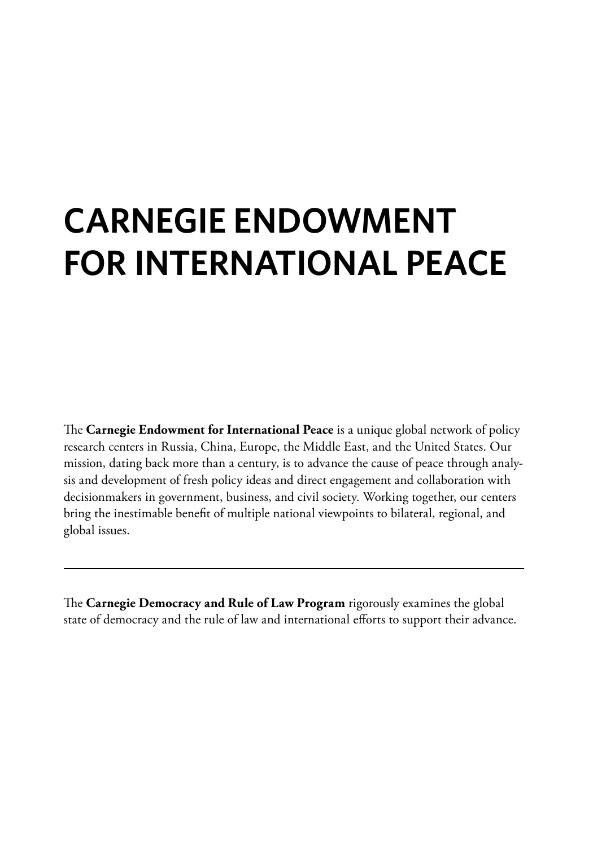## **Carnegie Endowment for International Peace**

The **Carnegie Endowment for International Peace** is a unique global network of policy research centers in Russia, China, Europe, the Middle East, and the United States. Our mission, dating back more than a century, is to advance the cause of peace through analysis and development of fresh policy ideas and direct engagement and collaboration with decisionmakers in government, business, and civil society. Working together, our centers bring the inestimable benefit of multiple national viewpoints to bilateral, regional, and global issues.

The **Carnegie Democracy and Rule of Law Program** rigorously examines the global state of democracy and the rule of law and international efforts to support their advance.